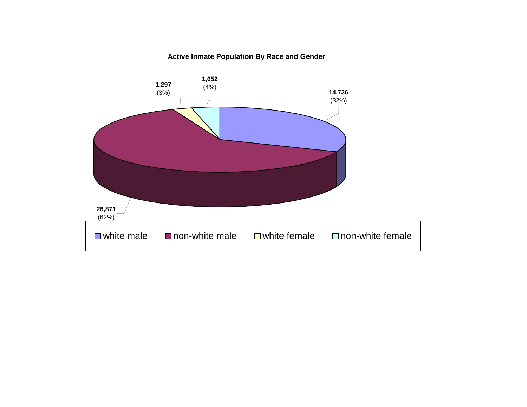#### **Active Inmate Population By Race and Gender**

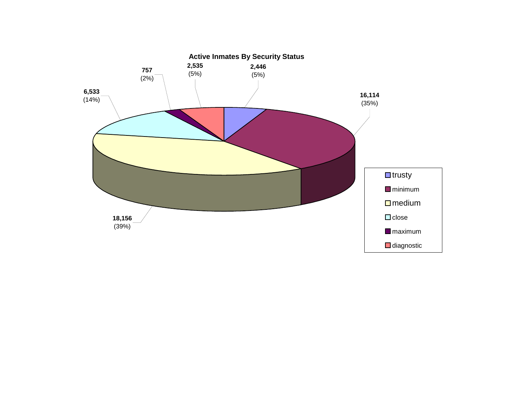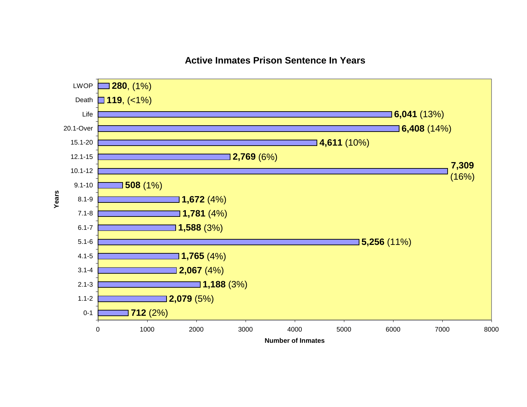#### **Active Inmates Prison Sentence In Years**

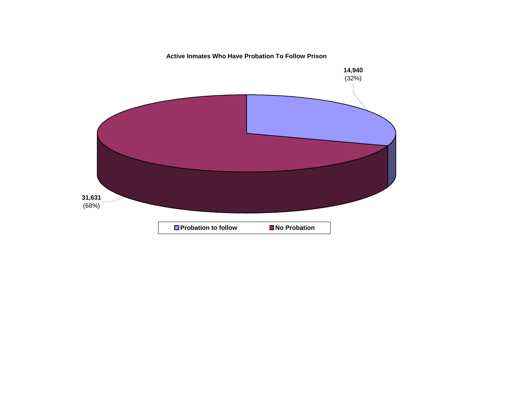**Active Inmates Who Have Probation To Follow Prison**

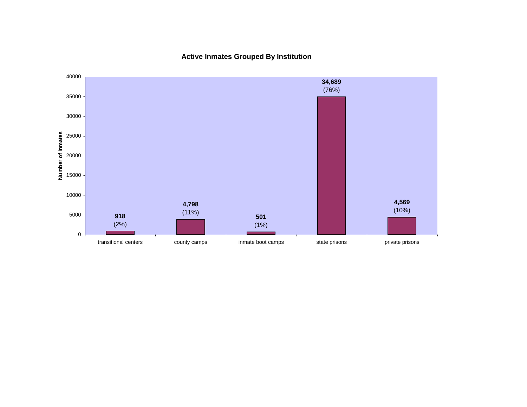**Active Inmates Grouped By Institution**

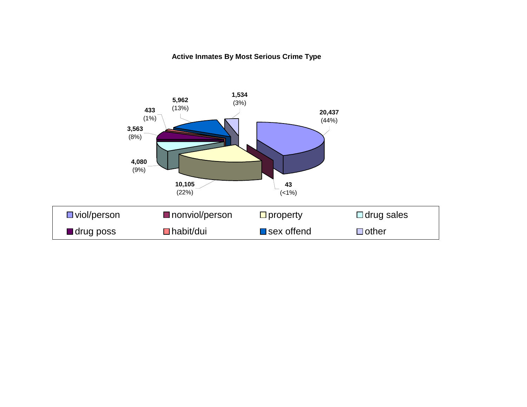#### **Active Inmates By Most Serious Crime Type**

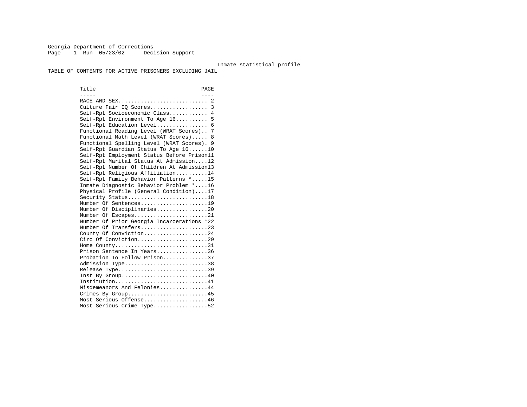Georgia Department of Corrections Page 1 Run 05/23/02 Decision Support

#### Inmate statistical profile

TABLE OF CONTENTS FOR ACTIVE PRISONERS EXCLUDING JAIL

Title PAGE ----- ---- RACE AND SEX............................ 2 Culture Fair IQ Scores.................. 3 Self-Rpt Socioeconomic Class............ 4 Self-Rpt Environment To Age 16.......... 5 Self-Rpt Education Level................ 6 Functional Reading Level (WRAT Scores).. 7 Functional Math Level (WRAT Scores)..... 8 Functional Spelling Level (WRAT Scores). 9 Self-Rpt Guardian Status To Age 16......10 Self-Rpt Employment Status Before Prison11 Self-Rpt Marital Status At Admission....12 Self-Rpt Number Of Children At Admission13 Self-Rpt Religious Affiliation..........14 Self-Rpt Family Behavior Patterns \*.....15 Inmate Diagnostic Behavior Problem \*....16 Physical Profile (General Condition)....17 Security Status...........................18 Number Of Sentences.....................19 Number Of Disciplinaries................20 Number Of Escapes........................21 Number Of Prior Georgia Incarcerations \*22 Number Of Transfers.....................23 County Of Conviction....................24 Circ Of Conviction......................29 Home County................................31 Prison Sentence In Years................36 Probation To Follow Prison..............37Admission Type.............................38 Release Type...............................39 Inst By Group..............................40 Institution...............................41 Misdemeanors And Felonies...............44 Crimes By Group...........................45 Most Serious Offense....................46 Most Serious Crime Type.................52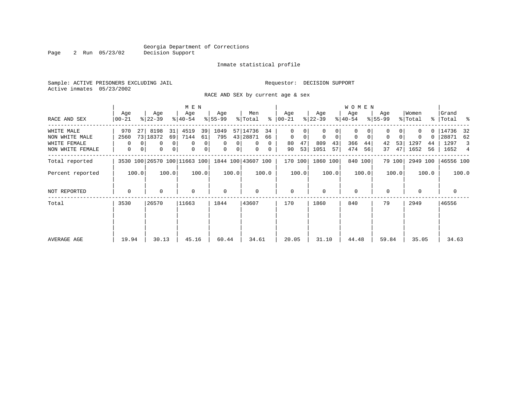Page 2 Run 05/23/02

#### Inmate statistical profile

Sample: ACTIVE PRISONERS EXCLUDING JAIL **Requestor:** DECISION SUPPORT Active inmates 05/23/2002

RACE AND SEX by current age & sex

|                  |                              |    |                  |                | M E N            |                |                  |                |                    |          |                  |       |                  |       | W O M E N        |             |                  |        |                  |               |                  |       |
|------------------|------------------------------|----|------------------|----------------|------------------|----------------|------------------|----------------|--------------------|----------|------------------|-------|------------------|-------|------------------|-------------|------------------|--------|------------------|---------------|------------------|-------|
| RACE AND SEX     | Age<br>$00 - 21$             |    | Age<br>$ 22-39 $ |                | Age<br>$8 40-54$ |                | Age<br>$ 55-99 $ |                | Men<br>% Total     | ွေ       | Age<br>$00 - 21$ |       | Age<br>$ 22-39 $ |       | Age<br>$ 40-54 $ |             | Age<br>$ 55-99 $ |        | Women<br>% Total | $\frac{8}{3}$ | Grand<br>Total % |       |
|                  |                              |    |                  |                |                  |                |                  |                |                    |          |                  |       |                  |       |                  |             |                  |        |                  |               |                  |       |
| WHITE MALE       | 970                          | 27 | 8198             | 31             | 4519             | 39             | 1049             |                | 57 14736           | 34       | $\Omega$         |       |                  |       | 0                |             |                  |        |                  |               | 14736            | 32    |
| NON WHITE MALE   | 2560                         |    | 73 18372         | 69             | 7144             | 61             | 795              |                | 43 28871           | 66       | $\mathbf 0$      | 0     | $\mathbf 0$      | 0     | 0                | $\mathbf 0$ | $\mathbf 0$      |        | 0                | 0             | 28871            | 62    |
| WHITE FEMALE     | $\Omega$                     |    | $\Omega$         | $\overline{0}$ | $\mathbf 0$      | 0              | $\Omega$         | $\Omega$       | $\Omega$           | $\Omega$ | 80               | 47    | 809              | 43    | 366              | 44          | 42               | 53     | 1297             | 44            | 1297             | 3     |
| NON WHITE FEMALE | $\mathbf{0}$                 | 0  | 0                | 0              | $\mathbf 0$      | $\overline{0}$ | 0                | 0 <sup>1</sup> | $\mathbf{0}$       | 0        | 90               | 53    | 1051             | 57    | 474              | 56          | 37               | 47     | 1652             | 56            | 1652 4           |       |
| Total reported   | 3530 100 26570 100 11663 100 |    |                  |                |                  |                |                  |                | 1844 100 43607 100 |          | 170 100          |       | 1860 100         |       |                  | 840 100     |                  | 79 100 | 2949 100         |               | 46556 100        |       |
| Percent reported | 100.0                        |    |                  | 100.0          |                  | 100.0          |                  | 100.0          |                    | 100.0    |                  | 100.0 |                  | 100.0 |                  | 100.0       |                  | 100.0  |                  | 100.0         |                  | 100.0 |
| NOT REPORTED     | 0                            |    | 0                |                | $\mathbf 0$      |                | $\mathbf 0$      |                | 0                  |          | $\mathbf{0}$     |       | $\Omega$         |       | $\mathbf 0$      |             | $\mathbf 0$      |        | $\mathbf 0$      |               | $\mathbf{0}$     |       |
| Total            | 3530                         |    | 26570            |                | 11663            |                | 1844             |                | 43607              |          | 170              |       | 1860             |       | 840              |             | 79               |        | 2949             |               | 46556            |       |
|                  |                              |    |                  |                |                  |                |                  |                |                    |          |                  |       |                  |       |                  |             |                  |        |                  |               |                  |       |
| AVERAGE AGE      | 19.94                        |    | 30.13            |                | 45.16            |                | 60.44            |                | 34.61              |          | 20.05            |       | 31.10            |       | 44.48            |             | 59.84            |        | 35.05            |               | 34.63            |       |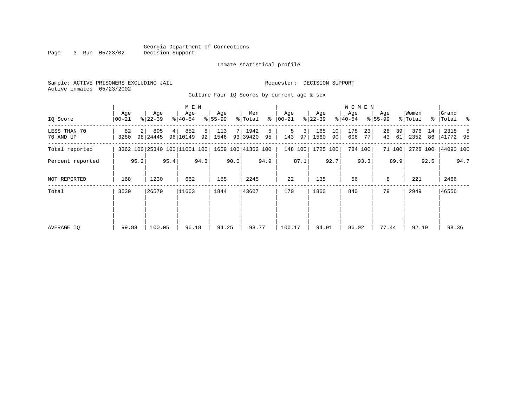#### Georgia Department of Corrections Page 3 Run 05/23/02

#### Inmate statistical profile

Sample: ACTIVE PRISONERS EXCLUDING JAIL **Requestor: DECISION SUPPORT** Active inmates 05/23/2002

Culture Fair IQ Scores by current age & sex

|                           |              |      |                  |      | M E N                        |                      |                  |      |                    |         |                |          |                  |          | W O M E N        |          |                    |          |                  |          |                      |      |
|---------------------------|--------------|------|------------------|------|------------------------------|----------------------|------------------|------|--------------------|---------|----------------|----------|------------------|----------|------------------|----------|--------------------|----------|------------------|----------|----------------------|------|
| IQ Score                  | Age<br>00-21 |      | Age<br>$ 22-39 $ |      | Age<br>$ 40-54 $             |                      | Age<br>$8 55-99$ |      | Men<br>% Total     | ႜ       | Age<br>  00-21 |          | Age<br>$ 22-39 $ |          | Age<br>$8 40-54$ |          | Age<br>$8155 - 99$ |          | Women<br>% Total |          | Grand<br>%   Total % |      |
| LESS THAN 70<br>70 AND UP | 82<br>3280   |      | 895<br>98 24445  | 4    | 852<br>96 10149              | 8 <sup>1</sup><br>92 | 113<br>1546      |      | 1942<br>93 39420   | 5<br>95 | 5<br>143       | 31<br>97 | 165<br>1560      | 10<br>90 | 178<br>606       | 23<br>77 | 28<br>43           | 39<br>61 | 376<br>2352      | 14<br>86 | 2318<br>41772 95     | 5    |
| Total reported            |              |      |                  |      | 3362 100 25340 100 11001 100 |                      |                  |      | 1659 100 41362 100 |         |                | 148 100  | 1725 100         |          |                  | 784 100  |                    | 71 100   | 2728 100         |          | 44090 100            |      |
| Percent reported          |              | 95.2 |                  | 95.4 |                              | 94.3                 |                  | 90.0 |                    | 94.9    |                | 87.1     |                  | 92.7     |                  | 93.3     |                    | 89.9     |                  | 92.5     |                      | 94.7 |
| NOT REPORTED              | 168          |      | 1230             |      | 662                          |                      | 185              |      | 2245               |         | 22             |          | 135              |          | 56               |          | 8                  |          | 221              |          | 2466                 |      |
| Total                     | 3530         |      | 26570            |      | 11663                        |                      | 1844             |      | 43607              |         | 170            |          | 1860             |          | 840              |          | 79                 |          | 2949             |          | 46556                |      |
|                           |              |      |                  |      |                              |                      |                  |      |                    |         |                |          |                  |          |                  |          |                    |          |                  |          |                      |      |
| AVERAGE IQ                | 99.83        |      | 100.05           |      | 96.18                        |                      | 94.25            |      | 98.77              |         | 100.17         |          | 94.91            |          | 86.02            |          | 77.44              |          | 92.19            |          | 98.36                |      |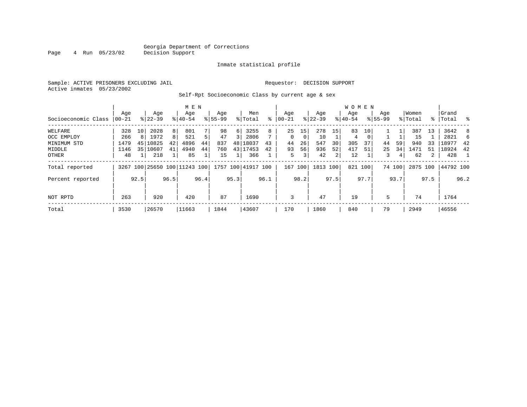#### Georgia Department of Corrections<br>4 Run 05/23/02 Decision Support Page 4 Run 05/23/02 Decision Support

Inmate statistical profile

Sample: ACTIVE PRISONERS EXCLUDING JAIL Requestor: DECISION SUPPORT Active inmates 05/23/2002

Self-Rpt Socioeconomic Class by current age & sex

|                     |       |      |           |      | M E N                        |      |             |          |                    |      |           |                |             |      | <b>WOMEN</b> |          |             |        |          |                |             |      |
|---------------------|-------|------|-----------|------|------------------------------|------|-------------|----------|--------------------|------|-----------|----------------|-------------|------|--------------|----------|-------------|--------|----------|----------------|-------------|------|
|                     | Aqe   |      | Age       |      | Age                          |      | Age         |          | Men                |      | Age       |                | Age         |      | Aqe          |          | Age         |        | Women    |                | Grand       |      |
| Socioeconomic Class | 00-21 |      | $8 22-39$ |      | $8 40-54$                    |      | $8155 - 99$ |          | % Total            | ៖    | $00 - 21$ |                | $8$   22-39 |      | $8 40-54$    |          | $8155 - 99$ |        | % Total  |                | %   Total % |      |
| WELFARE             | 328   | 10   | 2028      | 8    | 801                          |      | 98          | $6 \mid$ | 3255               | 8    | 25        | 15             | 278         | 15   | 83           | 10       |             |        | 387      | 13             | 3642        | -8   |
| OCC EMPLOY          | 266   | 8    | 1972      | 8    | 521                          | 5    | 47          | 3        | 2806               |      | $\Omega$  | 0              | 10          |      | 4            | $\Omega$ |             |        | 15       |                | 2821        | 6    |
| MINIMUM STD         | 1479  | 45   | 10825     | 42   | 4896                         | 44   | 837         |          | 48 18037           | 43   | 44        | 26             | 547         | 30   | 305          | 37       | 44          | 59     | 940      | 33             | 18977       | 42   |
| MIDDLE              | 1146  | 35   | 10607     | 41   | 4940                         | 44   | 760         |          | 43 17453           | 42   | 93        | 56             | 936         | 52   | 417          | 51       | 25          | 34     | 1471     | 51             | 18924       | 42   |
| <b>OTHER</b>        | 48    |      | 218       |      | 85                           |      | 15          |          | 366                |      | 5         | 3 <sub>1</sub> | 42          | 2    | 12           |          | 3           | 4      | 62       | $\overline{2}$ | 428         |      |
| Total reported      |       |      |           |      | 3267 100 25650 100 11243 100 |      |             |          | 1757 100 41917 100 |      | 167 100   |                | 1813 100    |      |              | 821 100  |             | 74 100 | 2875 100 |                | 44792 100   |      |
| Percent reported    |       | 92.5 |           | 96.5 |                              | 96.4 |             | 95.3     |                    | 96.1 |           | 98.2           |             | 97.5 |              | 97.7     |             | 93.7   |          | 97.5           |             | 96.2 |
| NOT RPTD            | 263   |      | 920       |      | 420                          |      | 87          |          | 1690               |      | 3         |                | 47          |      | 19           |          | 5           |        | 74       |                | 1764        |      |
| Total               | 3530  |      | 26570     |      | 11663                        |      | 1844        |          | 43607              |      | 170       |                | 1860        |      | 840          |          | 79          |        | 2949     |                | 46556       |      |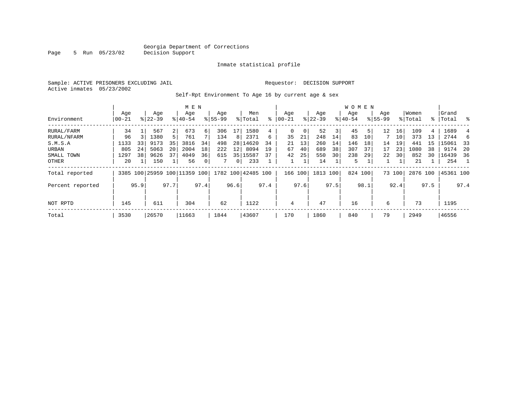Page 5 Run 05/23/02

#### Inmate statistical profile

Sample: ACTIVE PRISONERS EXCLUDING JAIL **Requestor: DECISION SUPPORT** Active inmates 05/23/2002

Self-Rpt Environment To Age 16 by current age & sex

|                  |                  |      |                  |      | M E N                        |      |                    |                |                    |      |                 |      |                  |      | <b>WOMEN</b>    |      |                    |        |                  |      |                 |      |
|------------------|------------------|------|------------------|------|------------------------------|------|--------------------|----------------|--------------------|------|-----------------|------|------------------|------|-----------------|------|--------------------|--------|------------------|------|-----------------|------|
| Environment      | Age<br>$00 - 21$ |      | Age<br>$8 22-39$ |      | Age<br>$8140 - 54$           |      | Age<br>$8155 - 99$ |                | Men<br>% Total     | ႜ    | Aqe<br>$ 00-21$ |      | Age<br>$ 22-39 $ |      | Age<br>$ 40-54$ |      | Age<br>$8155 - 99$ |        | Women<br>% Total | ႜ    | Grand<br> Total | ွေ   |
|                  |                  |      |                  |      |                              |      |                    |                |                    |      |                 |      |                  |      |                 |      |                    |        |                  |      |                 |      |
| RURAL/FARM       | 34               |      | 567              | 2    | 673                          | 6    | 306                | 17             | 1580               | 4    | 0               | 0    | 52               | 3    | 45              | 5    | 12                 | 16     | 109              | 4    | 1689            | 4    |
| RURAL/NFARM      | 96               |      | 1380             |      | 761                          |      | 134                | 8              | 2371               | 6    | 35              | 21   | 248              | 14   | 83              | 10   |                    | 10     | 373              | 13   | 2744            |      |
| S.M.S.A          | 1133             | 33   | 9173             | 35   | 3816                         | 34   | 498                | 28             | 14620              | 34   | 21              | 13   | 260              | 14   | 146             | 18   | 14                 | 19     | 441              | 15   | 15061           | - 33 |
| URBAN            | 805              | 24   | 5063             | 20   | 2004                         | 18   | 222                | 12             | 8094               | 19   | 67              | 40   | 689              | 38   | 307             | 37   | 17                 | 23     | 1080             | 38   | 9174            | 20   |
| SMALL TOWN       | 1297             | 38   | 9626             | 37   | 4049                         | 36   | 615                |                | 35 15587           | 37   | 42              | 25   | 550              | 30   | 238             | 29   | 22                 | 30     | 852              | 30   | 16439           | 36   |
| OTHER            | 20               |      | 150              |      | 56                           | 0    |                    | 0 <sup>1</sup> | 233                |      | $\mathbf{1}$    |      | 14               |      | 5               |      |                    |        | 21               |      | 254             |      |
| Total reported   |                  |      |                  |      | 3385 100 25959 100 11359 100 |      |                    |                | 1782 100 42485 100 |      | 166 100         |      | 1813 100         |      | 824 100         |      |                    | 73 100 | 2876 100         |      | 45361 100       |      |
| Percent reported |                  | 95.9 |                  | 97.7 |                              | 97.4 |                    | 96.6           |                    | 97.4 |                 | 97.6 |                  | 97.5 |                 | 98.1 |                    | 92.4   |                  | 97.5 |                 | 97.4 |
|                  |                  |      |                  |      |                              |      |                    |                |                    |      |                 |      |                  |      |                 |      |                    |        |                  |      |                 |      |
| NOT RPTD         | 145              |      | 611              |      | 304                          |      | 62                 |                | 1122               |      | $\overline{4}$  |      | 47               |      | 16              |      | 6                  |        | 73               |      | 1195            |      |
| Total            | 3530             |      | 26570            |      | 11663                        |      | 1844               |                | 43607              |      | 170             |      | 1860             |      | 840             |      | 79                 |        | 2949             |      | 46556           |      |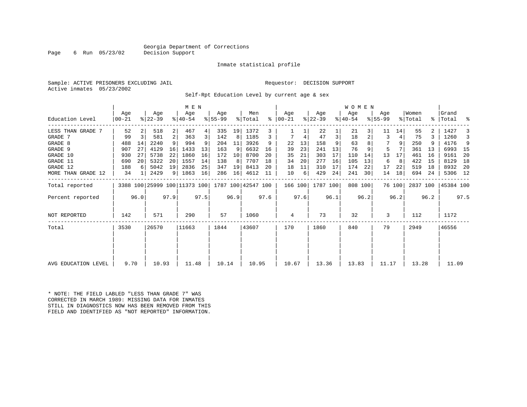### Georgia Department of Corrections<br>Decision Support

Page 6 Run 05/23/02

#### Inmate statistical profile

Sample: ACTIVE PRISONERS EXCLUDING JAIL Requestor: DECISION SUPPORT Active inmates 05/23/2002

Self-Rpt Education Level by current age & sex

|                     |                 |                |                  |      | M E N                                           |      |                 |      |                |      |                    |      |                  |      | <b>WOMEN</b>     |      |                  |        |                  |      |                    |      |
|---------------------|-----------------|----------------|------------------|------|-------------------------------------------------|------|-----------------|------|----------------|------|--------------------|------|------------------|------|------------------|------|------------------|--------|------------------|------|--------------------|------|
| Education Level     | Age<br>$ 00-21$ |                | Age<br>$ 22-39 $ |      | Aqe<br>$8140 - 54$                              |      | Aqe<br>$ 55-99$ |      | Men<br>% Total | ွေ   | Aqe<br>$ 00 - 21 $ |      | Age<br>$ 22-39 $ |      | Age<br>$ 40-54 $ |      | Aqe<br>$8 55-99$ |        | Women<br>% Total |      | Grand<br>%   Total | ႜ    |
| LESS THAN GRADE 7   | 52              |                | 518              | 2    | 467                                             | 4    | 335             | 19   | 1372           | 3    |                    |      | 22               |      | 21               |      | 11               | 14     | 55               |      | 1427               |      |
| GRADE 7             | 99              | $\overline{3}$ | 581              | 2    | 363                                             | 3    | 142             | 8    | 1185           | 3    | 7                  | 4    | 47               | 3    | 18               |      | 3                |        | 75               |      | 1260               | 3    |
| GRADE 8             | 488             | 14             | 2240             | 9    | 994                                             |      | 204             | 11   | 3926           | 9    | 22                 | 13   | 158              | 9    | 63               |      |                  |        | 250              |      | 4176               | 9    |
| GRADE 9             | 907             | 27             | 4129             | 16   | 1433                                            | 13   | 163             | 9    | 6632           | 16   | 39                 | 23   | 241              | 13   | 76               |      | 5                |        | 361              | 13   | 6993               | - 15 |
| GRADE 10            | 930             | 27             | 5738             | 22   | 1860                                            | 16   | 172             | 10   | 8700           | 20   | 35                 | 21   | 303              | 17   | 110              | 14   | 13               | 17     | 461              | 16   | 9161               | 20   |
| GRADE 11            | 690             | 20             | 5322             | 20   | 1557                                            | 14   | 138             | 8    | 7707           | 18   | 34                 | 20   | 277              | 16   | 105              | 13   | 6                | 8      | 422              | 15   | 8129               | 18   |
| GRADE 12            | 188             |                | 5042             | 19   | 2836                                            | 25   | 347             | 19   | 8413           | 20   | 18                 | 11   | 310              | 17   | 174              | 22   | 17               | 22     | 519              | 18   | 8932               | - 20 |
| MORE THAN GRADE 12  | 34              |                | 2429             | 9    | 1863                                            | 16   | 286             | 16   | 4612           | 11   | 10                 | 6    | 429              | 24   | 241              | 30   | 14               | 18     | 694              | 24   | 5306 12            |      |
| Total reported      |                 |                |                  |      | 3388 100 25999 100 11373 100 1787 100 42547 100 |      |                 |      |                |      | 166 100            |      | 1787 100         |      | 808 100          |      |                  | 76 100 | 2837 100         |      | 45384 100          |      |
| Percent reported    |                 | 96.0           |                  | 97.9 |                                                 | 97.5 |                 | 96.9 |                | 97.6 |                    | 97.6 |                  | 96.1 |                  | 96.2 |                  | 96.2   |                  | 96.2 |                    | 97.5 |
| NOT REPORTED        | 142             |                | 571              |      | 290                                             |      | 57              |      | 1060           |      | 4                  |      | 73               |      | 32               |      | 3                |        | 112              |      | 1172               |      |
| Total               | 3530            |                | 26570            |      | 11663                                           |      | 1844            |      | 43607          |      | 170                |      | 1860             |      | 840              |      | 79               |        | 2949             |      | 46556              |      |
|                     |                 |                |                  |      |                                                 |      |                 |      |                |      |                    |      |                  |      |                  |      |                  |        |                  |      |                    |      |
| AVG EDUCATION LEVEL | 9.70            |                | 10.93            |      | 11.48                                           |      | 10.14           |      | 10.95          |      | 10.67              |      | 13.36            |      | 13.83            |      | 11.17            |        | 13.28            |      | 11.09              |      |

\* NOTE: THE FIELD LABLED "LESS THAN GRADE 7" WAS CORRECTED IN MARCH 1989: MISSING DATA FOR INMATES STILL IN DIAGNOSTICS NOW HAS BEEN REMOVED FROM THIS FIELD AND IDENTIFIED AS "NOT REPORTED" INFORMATION.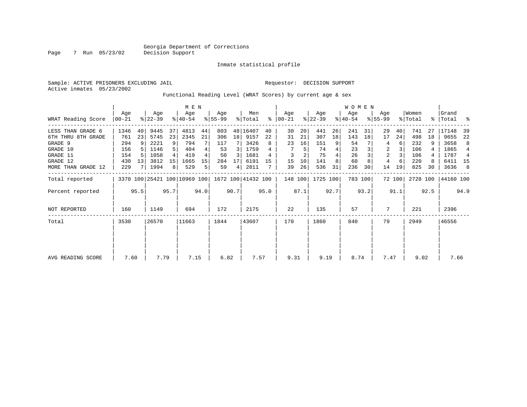Inmate statistical profile

Sample: ACTIVE PRISONERS EXCLUDING JAIL Requestor: DECISION SUPPORT Active inmates 05/23/2002

Functional Reading Level (WRAT Scores) by current age & sex

|                     |                 |                 |                  |      | M E N                        |      |                  |      |                    |      |                 |      |                  |      | W O M E N        |         |                    |        |                  |      |                 |      |
|---------------------|-----------------|-----------------|------------------|------|------------------------------|------|------------------|------|--------------------|------|-----------------|------|------------------|------|------------------|---------|--------------------|--------|------------------|------|-----------------|------|
| WRAT Reading Score  | Age<br>$ 00-21$ |                 | Age<br>$ 22-39 $ |      | Age<br>$8140 - 54$           |      | Aqe<br>$ 55-99 $ |      | Men<br>% Total     | ႜ    | Aqe<br>$ 00-21$ |      | Age<br>$ 22-39 $ |      | Age<br>$8 40-54$ |         | Age<br>$8155 - 99$ |        | Women<br>% Total | ွေ   | Grand<br> Total | ႜ    |
| LESS THAN GRADE 6   | 1346            | 40              | 9445             | 37   | 4813                         | 44   | 803              |      | 48 16407           | 40   | 30              | 20   | 441              | 26   | 241              | 31      | 29                 | 40     | 741              | 27   | 17148           | 39   |
| 6TH THRU 8TH GRADE  | 761             | 23              | 5745             | 23   | 2345                         | 21   | 306              | 18   | 9157               | 22   | 31              | 21   | 307              | 18   | 143              | 18      | 17                 | 24     | 498              | 18   | 9655            | 22   |
| GRADE 9             | 294             |                 | 2221             | 9    | 794                          |      | 117              |      | 3426               |      | 23              | 16   | 151              | 9    | 54               |         | 4                  | 6      | 232              |      | 3658            | 8    |
| GRADE 10            | 156             |                 | 1146             |      | 404                          |      | 53               | 3    | 1759               |      |                 | 5    | 74               |      | 23               |         | 2                  | 3      | 106              |      | 1865            | 4    |
| GRADE 11            | 154             | .5              | 1058             |      | 419                          |      | 50               | 3    | 1681               |      | 3               |      | 75               |      | 26               |         | $\overline{2}$     | 3      | 106              |      | 1787            | 4    |
| GRADE 12            | 430             | 13 <sup>1</sup> | 3812             | 15   | 1665                         | 15   | 284              | 17   | 6191               | 15   | 15              | 10   | 141              | 8    | 60               |         | 4                  | 6      | 220              | 8    | 6411 15         |      |
| MORE THAN GRADE 12  | 229             |                 | 1994             | 8    | 529                          | 5    | 59               | 4    | 2811               |      | 39              | 26   | 536              | 31   | 236              | 30      | 14                 | 19     | 825              | 30   | 3636            | 8    |
| Total reported      |                 |                 |                  |      | 3370 100 25421 100 10969 100 |      |                  |      | 1672 100 41432 100 |      | 148 100         |      | 1725 100         |      |                  | 783 100 |                    | 72 100 | 2728 100         |      | 44160 100       |      |
| Percent reported    |                 | 95.5            |                  | 95.7 |                              | 94.0 |                  | 90.7 |                    | 95.0 |                 | 87.1 |                  | 92.7 |                  | 93.2    |                    | 91.1   |                  | 92.5 |                 | 94.9 |
| <b>NOT REPORTED</b> | 160             |                 | 1149             |      | 694                          |      | 172              |      | 2175               |      | 22              |      | 135              |      | 57               |         | 7                  |        | 221              |      | 2396            |      |
| Total               | 3530            |                 | 26570            |      | 11663                        |      | 1844             |      | 43607              |      | 170             |      | 1860             |      | 840              |         | 79                 |        | 2949             |      | 46556           |      |
|                     |                 |                 |                  |      |                              |      |                  |      |                    |      |                 |      |                  |      |                  |         |                    |        |                  |      |                 |      |
|                     |                 |                 |                  |      |                              |      |                  |      |                    |      |                 |      |                  |      |                  |         |                    |        |                  |      |                 |      |
| AVG READING SCORE   | 7.60            |                 | 7.79             |      | 7.15                         |      | 6.82             |      | 7.57               |      | 9.31            |      | 9.19             |      | 8.74             |         | 7.47               |        | 9.02             |      | 7.66            |      |

Page 7 Run 05/23/02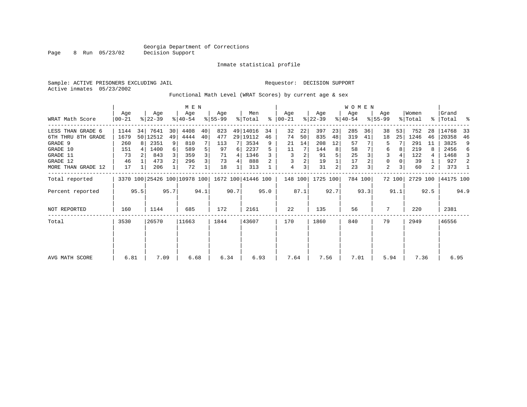Page 8 Run 05/23/02

#### Inmate statistical profile

Sample: ACTIVE PRISONERS EXCLUDING JAIL Requestor: DECISION SUPPORT Active inmates 05/23/2002

Functional Math Level (WRAT Scores) by current age & sex

|                    |                  |      |                  |                | M E N                        |      |                 |      |                    |      |                      |      |                  |      | <b>WOMEN</b>     |         |                    |        |                  |      |                    |      |
|--------------------|------------------|------|------------------|----------------|------------------------------|------|-----------------|------|--------------------|------|----------------------|------|------------------|------|------------------|---------|--------------------|--------|------------------|------|--------------------|------|
| WRAT Math Score    | Age<br>$00 - 21$ |      | Age<br>$ 22-39 $ |                | Age<br>$8 40-54$             |      | Aqe<br>$ 55-99$ |      | Men<br>% Total     |      | Aqe<br>$8   00 - 21$ |      | Age<br>$ 22-39 $ |      | Age<br>$ 40-54 $ |         | Aqe<br>$8155 - 99$ |        | Women<br>% Total |      | Grand<br>% Total % |      |
| LESS THAN GRADE 6  | 1144             | 34   | 7641             | 30             | 4408                         | 40   | 823             |      | 49 14016           | 34   | 32                   | 22   | 397              | 23   | 285              | 36      | 38                 | 53     | 752              | 28   | 14768              | 33   |
| 6TH THRU 8TH GRADE | 1679             |      | 50   12512       | 49             | 4444                         | 40   | 477             |      | 29   19112         | 46   | 74                   | 50   | 835              | 48   | 319              | 41      | 18                 | 25     | 1246             | 46   | 20358              | 46   |
| GRADE 9            | 260              | 8    | 2351             | 9              | 810                          |      | 113             |      | 3534               | 9    | 21                   | 14   | 208              | 12   | 57               |         | 5                  |        | 291              | 11   | 3825               | 9    |
| GRADE 10           | 151              |      | 1400             | 6              | 589                          | 5    | 97              | 6    | 2237               | 5    | 11                   |      | 144              | 8    | 58               |         | 6                  |        | 219              | 8    | 2456               | 6    |
| GRADE 11           | 73               |      | 843              |                | 359                          | 3    | 71              | 4    | 1346               |      | 3                    | 2    | 91               |      | 25               |         | 3                  |        | 122              | 4    | 1468               | 3    |
| GRADE 12           | 46               |      | 473              | 2 <sup>1</sup> | 296                          | 3    | 73              | 4    | 888                |      | 3                    | 2    | 19               |      | 17               |         | 0                  |        | 39               |      | 927                | 2    |
| MORE THAN GRADE 12 | 17               |      | 206              |                | 72                           |      | 18              |      | 313                |      | 4                    | 3    | 31               | 2    | 23               | 3       | 2                  |        | 60               | 2    | 373                | -1   |
| Total reported     |                  |      |                  |                | 3370 100 25426 100 10978 100 |      |                 |      | 1672 100 41446 100 |      | 148 100              |      | 1725 100         |      |                  | 784 100 |                    | 72 100 | 2729 100         |      | 44175 100          |      |
| Percent reported   |                  | 95.5 |                  | 95.7           |                              | 94.1 |                 | 90.7 |                    | 95.0 |                      | 87.1 |                  | 92.7 |                  | 93.3    |                    | 91.1   |                  | 92.5 |                    | 94.9 |
| NOT REPORTED       | 160              |      | 1144             |                | 685                          |      | 172             |      | 2161               |      | 22                   |      | 135              |      | 56               |         | 7                  |        | 220              |      | 2381               |      |
| Total              | 3530             |      | 26570            |                | 11663                        |      | 1844            |      | 43607              |      | 170                  |      | 1860             |      | 840              |         | 79                 |        | 2949             |      | 46556              |      |
|                    |                  |      |                  |                |                              |      |                 |      |                    |      |                      |      |                  |      |                  |         |                    |        |                  |      |                    |      |
|                    |                  |      |                  |                |                              |      |                 |      |                    |      |                      |      |                  |      |                  |         |                    |        |                  |      |                    |      |
| AVG MATH SCORE     | 6.81             |      | 7.09             |                | 6.68                         |      | 6.34            |      | 6.93               |      | 7.64                 |      | 7.56             |      | 7.01             |         | 5.94               |        | 7.36             |      | 6.95               |      |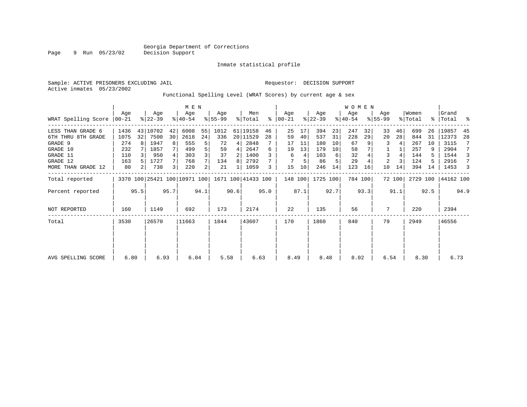# Georgia Department of Corrections<br>Decision Support

Page 9 Run 05/23/02

#### Inmate statistical profile

|  | Sample: ACTIVE PRISONERS EXCLUDING JAIL |                                                              |  |  | Requestor: DECISION SUPPORT |  |  |
|--|-----------------------------------------|--------------------------------------------------------------|--|--|-----------------------------|--|--|
|  | Active inmates 05/23/2002               |                                                              |  |  |                             |  |  |
|  |                                         | Functional Spelling Level (WRAT Scores) by current age & sex |  |  |                             |  |  |

|                      |       |      |           | M E N |           |      |                                                 |      |          |      |               |      |           | WOMEN |           |         |                |        |          |           |           |      |
|----------------------|-------|------|-----------|-------|-----------|------|-------------------------------------------------|------|----------|------|---------------|------|-----------|-------|-----------|---------|----------------|--------|----------|-----------|-----------|------|
|                      | Aqe   |      | Age       |       | Age       |      | Age                                             |      | Men      |      | Aqe           |      | Age       |       | Aqe       |         | Age            |        | Women    |           | Grand     |      |
| WRAT Spelling Score  | 00-21 |      | $ 22-39 $ |       | $8 40-54$ |      | $8 55-99$                                       |      | % Total  |      | $8   00 - 21$ |      | $ 22-39 $ |       | $8 40-54$ |         | $ 55-99 $      |        | % Total  | $\approx$ | Total     | ႜ    |
| THAN GRADE 6<br>LESS | 1436  |      | 43 10702  | 42    | 6008      | 55   | 1012                                            |      | 61 19158 | 46   | 25            | 17   | 394       | 23    | 247       | 32      | 33             | 46     | 699      | 26        | 19857     | -45  |
| 6TH THRU 8TH GRADE   | 1075  | 32   | 7500      | 30    | 2618      | 24   | 336                                             |      | 20 11529 | 28   | 59            | 40   | 537       | 31    | 228       | 29      | 20             | 28     | 844      | 31        | 12373     | 28   |
| GRADE 9              | 274   |      | 1947      | 8     | 555       | 5    | 72                                              | 4    | 2848     |      | 17            | 11   | 180       | 10    | 67        |         | 3              | 4      | 267      | 10        | 3115      |      |
| GRADE 10             | 232   |      | 1857      |       | 499       | 5    | 59                                              | 4    | 2647     | 6    | 19            | 13   | 179       | 10    | 58        |         |                |        | 257      | 9         | 2904      |      |
| GRADE 11             | 110   |      | 950       |       | 303       | 3    | 37                                              | 2    | 1400     |      | 6             | 4    | 103       | 6     | 32        |         | 3              | 4      | 144      |           | 1544      |      |
| GRADE 12             | 163   |      | 1727      |       | 768       | 7    | 134                                             | 8    | 2792     |      |               | 5    | 86        | 5     | 29        |         | $\overline{2}$ | 3      | 124      | 5         | 2916      |      |
| MORE THAN GRADE 12   | 80    |      | 738       | 3     | 220       | 2    | 21                                              |      | 1059     | 3    | 15            | 10   | 246       | 14    | 123       | 16      | 10             | 14     | 394      | 14        | 1453      |      |
| Total reported       |       |      |           |       |           |      | 3370 100 25421 100 10971 100 1671 100 41433 100 |      |          |      | 148 100       |      | 1725 100  |       |           | 784 100 |                | 72 100 | 2729 100 |           | 44162 100 |      |
| Percent reported     |       | 95.5 |           | 95.7  |           | 94.1 |                                                 | 90.6 |          | 95.0 |               | 87.1 |           | 92.7  |           | 93.3    |                | 91.1   |          | 92.5      |           | 94.9 |
| NOT REPORTED         | 160   |      | 1149      |       | 692       |      | 173                                             |      | 2174     |      | 22            |      | 135       |       | 56        |         | 7              |        | 220      |           | 2394      |      |
| Total                | 3530  |      | 26570     |       | 11663     |      | 1844                                            |      | 43607    |      | 170           |      | 1860      |       | 840       |         | 79             |        | 2949     |           | 46556     |      |
|                      |       |      |           |       |           |      |                                                 |      |          |      |               |      |           |       |           |         |                |        |          |           |           |      |
|                      |       |      |           |       |           |      |                                                 |      |          |      |               |      |           |       |           |         |                |        |          |           |           |      |
| AVG SPELLING SCORE   | 6.80  |      | 6.93      |       | 6.04      |      | 5.58                                            |      | 6.63     |      | 8.49          |      | 8.48      |       | 8.02      |         | 6.54           |        | 8.30     |           | 6.73      |      |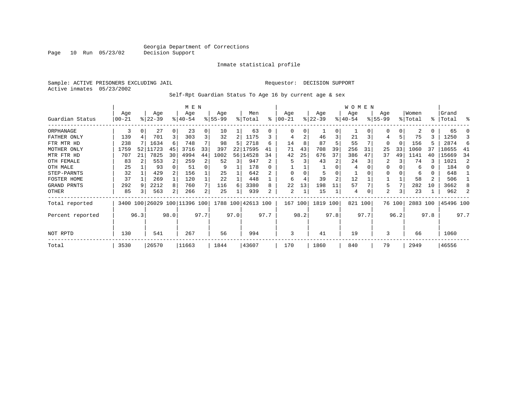Inmate statistical profile

Sample: ACTIVE PRISONERS EXCLUDING JAIL Requestor: DECISION SUPPORT Active inmates 05/23/2002

Self-Rpt Guardian Status To Age 16 by current age & sex

|                  |           |      |           |                | M E N                   |                |           |      |           |      |          |      |           |                | <b>WOMEN</b> |      |              |        |          |                |           |      |
|------------------|-----------|------|-----------|----------------|-------------------------|----------------|-----------|------|-----------|------|----------|------|-----------|----------------|--------------|------|--------------|--------|----------|----------------|-----------|------|
|                  | Age       |      | Age       |                | Age                     |                | Age       |      | Men       |      | Age      |      | Age       |                | Age          |      | Age          |        | Women    |                | Grand     |      |
| Guardian Status  | $00 - 21$ |      | $ 22-39 $ |                | $8140 - 54$             |                | $8 55-99$ |      | % Total   | ፠    | $ 00-21$ |      | $ 22-39 $ |                | $ 40-54$     |      | $8 55-99$    |        | % Total  |                | %   Total | ႜ    |
| ORPHANAGE        | 3         | 0    | 27        | $\Omega$       | 23                      | 0              | 10        |      | 63        | 0    | 0        | 0    |           | 0              |              |      | O            | 0      | 2        | 0              | 65        |      |
| FATHER ONLY      | 139       |      | 701       | 3              | 303                     | 3              | 32        |      | 1175      |      | 4        | 2    | 46        | 3              | 21           |      | 4            |        | 75       |                | 1250      |      |
| FTR MTR HD       | 238       |      | 1634      | 6              | 748                     |                | 98        | 5    | 2718      | 6    | 14       | 8    | 87        | 5              | 55           |      | $\Omega$     |        | 156      | 5              | 2874      | 6    |
| MOTHER ONLY      | 1759      | 52   | 11723     | 45             | 3716                    | 33             | 397       | 22   | 17595     | 41   | 71       | 43   | 708       | 39             | 256          | 31   | 25           | 33     | 1060     | 37             | 18655     | -41  |
| MTR FTR HD       | 707       | 21   | 7825      | 30             | 4994                    | 44             | 1002      | 56   | 14528     | 34   | 42       | 25   | 676       | 37             | 386          | 47   | 37           | 49     | 1141     | 40             | 15669     | 34   |
| OTH FEMALE       | 83        |      | 553       | $\overline{2}$ | 259                     | 2              | 52        | 3    | 947       | 2.   | 5        | 3    | 43        | 2              | 24           |      | 2            |        | 74       | 3              | 1021      | 2    |
| OTH MALE         | 25        |      | 93        |                | 51                      | 0              | 9         |      | 178       |      |          |      |           |                | 4            |      | <sup>0</sup> |        | 6        | 0              | 184       | n    |
| STEP-PARNTS      | 32        |      | 429       |                | 156                     |                | 25        |      | 642       |      | 0        |      |           | $\Omega$       |              |      | 0            |        | 6        | 0              | 648       |      |
| FOSTER HOME      | 37        |      | 269       |                | 120                     |                | 22        |      | 448       |      | 6        |      | 39        | $\overline{2}$ | 12           |      |              |        | 58       | $\overline{2}$ | 506       |      |
| GRAND PRNTS      | 292       | 9    | 2212      | 8              | 760                     | 7              | 116       | 6    | 3380      | 8    | 22       | 13   | 198       | 11             | 57           |      | 5            |        | 282      | 10             | 3662      | 8    |
| OTHER            | 85        |      | 563       | 2              | 266                     | $\overline{a}$ | 25        |      | 939       | 2    | 2        | 1    | 15        |                | 4            |      | 2            | 3      | 23       |                | 962       |      |
| Total reported   | 3400      |      |           |                | 100 26029 100 11396 100 |                | 1788 100  |      | 42613 100 |      | 167      | 100  | 1819      | 100            | 821 100      |      |              | 76 100 | 2883 100 |                | 45496 100 |      |
| Percent reported |           | 96.3 |           | 98.0           |                         | 97.7           |           | 97.0 |           | 97.7 |          | 98.2 |           | 97.8           |              | 97.7 |              | 96.2   |          | 97.8           |           | 97.7 |
| NOT RPTD         | 130       |      | 541       |                | 267                     |                | 56        |      | 994       |      | 3        |      | 41        |                | 19           |      | 3            |        | 66       |                | 1060      |      |
| Total            | 3530      |      | 26570     |                | 11663                   |                | 1844      |      | 43607     |      | 170      |      | 1860      |                | 840          |      | 79           |        | 2949     |                | 46556     |      |

Page 10 Run 05/23/02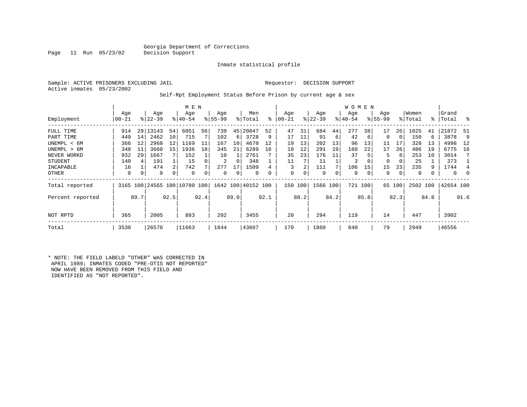### Georgia Department of Corrections<br>Decision Support

Inmate statistical profile

Sample: ACTIVE PRISONERS EXCLUDING JAIL Requestor: DECISION SUPPORT Active inmates 05/23/2002

Page 11 Run 05/23/02

#### Self-Rpt Employment Status Before Prison by current age & sex

|                  |                  |      |                  |                | M E N                        |      |                  |          |                    |      |                  |      |                  |      | W O M E N        |         |                    |        |                  |      |                    |          |
|------------------|------------------|------|------------------|----------------|------------------------------|------|------------------|----------|--------------------|------|------------------|------|------------------|------|------------------|---------|--------------------|--------|------------------|------|--------------------|----------|
| Employment       | Age<br>$00 - 21$ |      | Age<br>$ 22-39 $ |                | Age<br>$8 40-54$             |      | Age<br>$8 55-99$ |          | Men<br>% Total     | ៖    | Age<br>$00 - 21$ |      | Age<br>$ 22-39 $ |      | Age<br>$ 40-54 $ |         | Age<br>$8155 - 99$ |        | Women<br>% Total |      | Grand<br>%   Total | ႜ        |
|                  |                  |      |                  |                |                              |      |                  |          |                    |      |                  |      |                  |      |                  |         |                    |        |                  |      |                    |          |
| FULL TIME        | 914              |      | 29 13143         | 54             | 6051                         | 56   | 739              | 45       | 20847              | 52   | 47               | 31   | 684              | 44   | 277              | 38      | 17                 | 26     | 1025             | 41   | 21872              | 51       |
| PART TIME        | 449              | 14   | 2462             | 10             | 715                          |      | 102              | 6        | 3728               | 9    | 17               | 11   | 91               | 6    | 42               | 6       | 0                  | 0      | 150              | 6    | 3878               | 9        |
| UNEMPL < 6M      | 366              | 12   | 2968             | 12             | 1169                         | 11   | 167              | 10       | 4670               | 12   | 19               | 13   | 202              | 13   | 96               | 13      | 11                 | 17     | 328              | 13   | 4998               | 12       |
| UNEMPL > 6M      | 348              | 11   | 3660             | 15             | 1936                         | 18   | 345              | 21       | 6289               | 16   | 18               | 12   | 291              | 19   | 160              | 22      | 17                 | 26     | 486              | 19   | 6775               | 16       |
| NEVER WORKD      | 932              | 29   | 1667             |                | 152                          |      | 10               |          | 2761               |      | 35               | 23   | 176              | 11   | 37               |         | 5                  | 8      | 253              | 10   | 3014               | 7        |
| <b>STUDENT</b>   | 140              | 4    | 191              |                | 15                           |      | 2                | $\Omega$ | 348                |      | 11               |      | 11               |      | 3                |         | 0                  | 0      | 25               |      | 373                |          |
| INCAPABLE        | 16               |      | 474              | $\overline{2}$ | 742                          |      | 277              | 17       | 1509               |      | 3                | 2    | 111              |      | 106              | 15      | 15                 | 23     | 235              | 9    | 1744               | 4        |
| OTHER            | 0                | 0    | 0                | 0              | 0                            |      | 0                | 0        | 0                  |      | 0                | 0    | 0                | 0    | 0                | 0       | 0                  | 0      | 0                |      | $\mathbf{0}$       | $\Omega$ |
| Total reported   |                  |      |                  |                | 3165 100 24565 100 10780 100 |      |                  |          | 1642 100 40152 100 |      | 150              | 100  | 1566 100         |      |                  | 721 100 |                    | 65 100 | 2502 100         |      | 42654 100          |          |
| Percent reported |                  | 89.7 |                  | 92.5           |                              | 92.4 |                  | 89.0     |                    | 92.1 |                  | 88.2 |                  | 84.2 |                  | 85.8    |                    | 82.3   |                  | 84.8 |                    | 91.6     |
| NOT RPTD         | 365              |      | 2005             |                | 883                          |      | 202              |          | 3455               |      | 20               |      | 294              |      | 119              |         | 14                 |        | 447              |      | 3902               |          |
| Total            | 3530             |      | 26570            |                | 11663                        |      | 1844             |          | 43607              |      | 170              |      | 1860             |      | 840              |         | 79                 |        | 2949             |      | 46556              |          |

\* NOTE: THE FIELD LABELD "OTHER" WAS CORRECTED IN APRIL 1989; INMATES CODED "PRE-OTIS NOT REPORTED" NOW HAVE BEEN REMOVED FROM THIS FIELD AND IDENTIFIED AS "NOT REPORTED".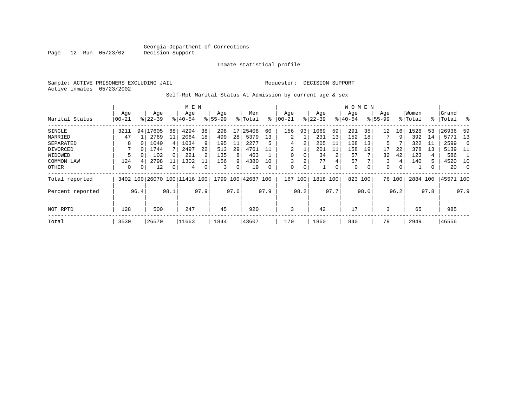Inmate statistical profile

Sample: ACTIVE PRISONERS EXCLUDING JAIL Requestor: DECISION SUPPORT Active inmates 05/23/2002

Self-Rpt Marital Status At Admission by current age & sex

|                  |          |      |                         |      | M E N       |      |          |      |                    |      |           |      |           |      | W O M E N |      |             |        |          |      |           |         |
|------------------|----------|------|-------------------------|------|-------------|------|----------|------|--------------------|------|-----------|------|-----------|------|-----------|------|-------------|--------|----------|------|-----------|---------|
|                  | Age      |      | Age                     |      | Age         |      | Age      |      | Men                |      | Age       |      | Age       |      | Age       |      | Age         |        | Women    |      | Grand     |         |
| Marital Status   | $ 00-21$ |      | $ 22-39 $               |      | $8140 - 54$ |      | $ 55-99$ |      | % Total            | ႜ    | $00 - 21$ |      | $ 22-39 $ |      | $ 40-54 $ |      | $8155 - 99$ |        | % Total  |      | %   Total | ိ       |
| SINGLE           | 3211     | 94   | 17605                   | 68   | 4294        | 38   | 298      | 17   | 25408              | 60   | 156       | 93   | 1069      | 59   | 291       | 35   | 12          | 16     | 1528     | 53   | 26936     | -59     |
| MARRIED          | 47       |      | 2769                    | 11   | 2064        | 18   | 499      | 28   | 5379               | 13   | 2         |      | 231       | 13   | 152       | 18   |             | 9      | 392      | 14   | 5771      | 13      |
| SEPARATED        | 8        |      | 1040                    | 4    | 1034        | 9    | 195      | 11   | 2277               | 5    | 4         | 2    | 205       | 11   | 108       | 13   | 5           |        | 322      | 11   | 2599      | -6      |
| DIVORCED         |          |      | 1744                    |      | 2497        | 22   | 513      | 29   | 4761               | 11   | 2         |      | 201       | 11   | 158       | 19   | 17          | 22     | 378      | 13   | 5139      | - 11    |
| WIDOWED          | 5        |      | 102                     |      | 221         |      | 135      | 8    | 463                |      | 0         |      | 34        | 2    | 57        |      | 32          | 42     | 123      | 4    | 586       |         |
| COMMON LAW       | 124      |      | 2798                    | 11   | 1302        |      | 156      | 9    | 4380               | 10   | 3         | 2    | 77        | 4    | 57        |      | 3           | 4      | 140      | 5    | 4520      | 10      |
| OTHER            | 0        |      | 12                      |      | 4           | 0    | 3        | 0    | 19                 | 0    | 0         | 0    |           | 0    | 0         | 0    | 0           | 0      |          |      | 20        | $\circ$ |
| Total reported   | 3402     |      | 100 26070 100 11416 100 |      |             |      |          |      | 1799 100 42687 100 |      | 167       | 100  | 1818      | 100  | 823       | 100  |             | 76 100 | 2884 100 |      | 45571 100 |         |
| Percent reported |          | 96.4 |                         | 98.1 |             | 97.9 |          | 97.6 |                    | 97.9 |           | 98.2 |           | 97.7 |           | 98.0 |             | 96.2   |          | 97.8 |           | 97.9    |
| NOT RPTD         | 128      |      | 500                     |      | 247         |      | 45       |      | 920                |      | 3         |      | 42        |      | 17        |      | 3           |        | 65       |      | 985       |         |
|                  |          |      |                         |      |             |      |          |      |                    |      |           |      |           |      |           |      |             |        |          |      |           |         |
| Total            | 3530     |      | 26570                   |      | 11663       |      | 1844     |      | 43607              |      | 170       |      | 1860      |      | 840       |      | 79          |        | 2949     |      | 46556     |         |

Page 12 Run 05/23/02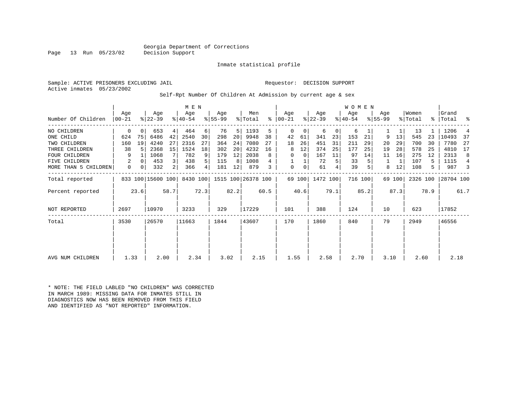### Georgia Department of Corrections<br>Decision Support

Inmate statistical profile

Sample: ACTIVE PRISONERS EXCLUDING JAIL Requestor: DECISION SUPPORT

Active inmates 05/23/2002

Page 13 Run 05/23/02

#### Self-Rpt Number Of Children At Admission by current age & sex

|                      |                   |          |                   |                | M E N            |          |                 |      |                             |      |                   |        |                  |          | W O M E N        |         |                    |        |                  |      |                |      |
|----------------------|-------------------|----------|-------------------|----------------|------------------|----------|-----------------|------|-----------------------------|------|-------------------|--------|------------------|----------|------------------|---------|--------------------|--------|------------------|------|----------------|------|
| Number Of Children   | Age<br>$ 00 - 21$ |          | Age<br>$ 22-39 $  |                | Age<br>$ 40-54 $ |          | Age<br>$ 55-99$ |      | Men<br>% Total              | ⊱    | Aqe<br>$ 00 - 21$ |        | Age<br>$ 22-39 $ |          | Age<br>$ 40-54 $ |         | Age<br>$8155 - 99$ |        | Women<br>% Total | ႜ    | Grand<br>Total | ႜ    |
| NO CHILDREN          | 0                 | $\Omega$ | 653               | 4              | 464              | $6 \mid$ | 76              | 5    | 1193                        | 5    | $\Omega$          | 0      | 6                | $\Omega$ | 6                |         |                    |        | 13               |      | 1206           |      |
| ONE CHILD            | 624               | 75       | 6486              | 42             | 2540             | 30       | 298             | 20   | 9948                        | 38   | 42                | 61     | 341              | 23       | 153              | 21      | 9                  | 13     | 545              | 23   | 10493          | 37   |
| TWO CHILDREN         | 160               | 19       | 4240              | 27             | 2316             | 27       | 364             | 24   | 7080                        | 27   | 18                | 26     | 451              | 31       | 211              | 29      | 20                 | 29     | 700              | 30   | 7780           | 27   |
| THREE CHILDREN       | 38                |          | 2368              | 15             | 1524             | 18       | 302             | 20   | 4232                        | 16   | 8                 | 12     | 374              | 25       | 177              | 25      | 19                 | 28     | 578              | 25   | 4810           | 17   |
| <b>FOUR CHILDREN</b> | 9                 |          | 1068              | 7 <sup>1</sup> | 782              | 9        | 179             | 12   | 2038                        | 8    | 0                 | 0      | 167              | 11       | 97               | 14      | 11                 | 16     | 275              | 12   | 2313           | 8    |
| <b>FIVE CHILDREN</b> | 2                 | $\Omega$ | 453               | 3              | 438              | 5        | 115             | 8    | 1008                        |      |                   |        | 72               | 5        | 33               |         |                    |        | 107              | 5    | 1115           | 4    |
| MORE THAN 5 CHILDREN | 0                 | 0        | 332               | 2              | 366              | 4        | 181             | 12   | 879                         |      | 0                 | 0      | 61               | 4        | 39               |         | 8                  | 12     | 108              | 5    | 987            | 3    |
| Total reported       |                   |          | 833 100 15600 100 |                |                  |          |                 |      | 8430 100 1515 100 26378 100 |      |                   | 69 100 | 1472 100         |          |                  | 716 100 |                    | 69 100 | 2326 100         |      | 28704 100      |      |
| Percent reported     |                   | 23.6     |                   | 58.7           |                  | 72.3     |                 | 82.2 |                             | 60.5 |                   | 40.6   |                  | 79.1     |                  | 85.2    |                    | 87.3   |                  | 78.9 |                | 61.7 |
| NOT REPORTED         | 2697              |          | 10970             |                | 3233             |          | 329             |      | 17229                       |      | 101               |        | 388              |          | 124              |         | 10                 |        | 623              |      | 17852          |      |
| Total                | 3530              |          | 26570             |                | 11663            |          | 1844            |      | 43607                       |      | 170               |        | 1860             |          | 840              |         | 79                 |        | 2949             |      | 46556          |      |
|                      |                   |          |                   |                |                  |          |                 |      |                             |      |                   |        |                  |          |                  |         |                    |        |                  |      |                |      |
|                      |                   |          |                   |                |                  |          |                 |      |                             |      |                   |        |                  |          |                  |         |                    |        |                  |      |                |      |
| AVG NUM CHILDREN     | 1.33              |          | 2.00              |                | 2.34             |          | 3.02            |      | 2.15                        |      | 1.55              |        | 2.58             |          | 2.70             |         | 3.10               |        | 2.60             |      | 2.18           |      |

\* NOTE: THE FIELD LABLED "NO CHILDREN" WAS CORRECTED IN MARCH 1989: MISSING DATA FOR INMATES STILL IN DIAGNOSTICS NOW HAS BEEN REMOVED FROM THIS FIELD AND IDENTIFIED AS "NOT REPORTED" INFORMATION.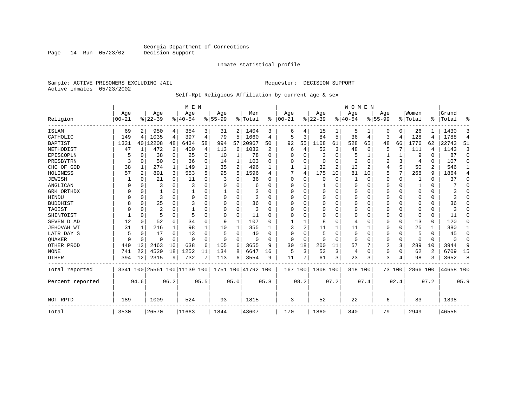Inmate statistical profile

Sample: ACTIVE PRISONERS EXCLUDING JAIL **Requestor: DECISION SUPPORT** Active inmates 05/23/2002

Page 14 Run 05/23/02

#### Self-Rpt Religious Affiliation by current age & sex

|                  |           |          |           |                | M E N                        |          |             |              |                    |          |          |          |           |      | <b>WOMEN</b>   |                |                |                |          |          |           |                |
|------------------|-----------|----------|-----------|----------------|------------------------------|----------|-------------|--------------|--------------------|----------|----------|----------|-----------|------|----------------|----------------|----------------|----------------|----------|----------|-----------|----------------|
|                  | Age       |          | Age       |                | Age                          |          | Age         |              | Men                |          | Age      |          | Age       |      | Aqe            |                | Age            |                | Women    |          | Grand     |                |
| Religion         | $00 - 21$ |          | $8 22-39$ |                | $8 40-54$                    |          | $8155 - 99$ |              | % Total            | ွေ       | $ 00-21$ |          | $8 22-39$ |      | $8 40-54$      |                | $8155 - 99$    |                | % Total  | ႜ        | Total     | ႜ              |
| <b>ISLAM</b>     | 69        | 2        | 950       | $\overline{4}$ | 354                          | 3        | 31          | 2            | 1404               | 3        | 6        | 4        | 15        |      | 5              |                | 0              | 0              | 26       |          | 1430      | 3              |
| CATHOLIC         | 149       | 4        | 1035      | 4              | 397                          | 4        | 79          | 5            | 1660               | 4        | 5        | 3        | 84        | 5    | 36             | 4              | 3              | $\overline{4}$ | 128      | 4        | 1788      | $\overline{4}$ |
| <b>BAPTIST</b>   | 1331      |          | 40 12208  | 48             | 6434                         | 58       | 994         | 57           | 20967              | 50       | 92       | 55       | 1108      | 61   | 528            | 65             | 48             | 66             | 1776     | 62       | 22743     | 51             |
| METHODIST        | 47        | 1        | 472       | 2              | 400                          | 4        | 113         | 6            | 1032               | 2        | 6        | 4        | 52        | 3    | 48             | 6              | 5              | 7              | 111      | 4        | 1143      | 3              |
| EPISCOPLN        | 5         | $\Omega$ | 38        | $\Omega$       | 25                           | 0        | 10          | 1            | 78                 | $\Omega$ | $\Omega$ | $\Omega$ | 3         | 0    | 5              |                |                |                | 9        | $\Omega$ | 87        | $\Omega$       |
| PRESBYTRN        | 3         | $\Omega$ | 50        | $\Omega$       | 36                           | $\Omega$ | 14          | $\mathbf{1}$ | 103                | 0        | $\Omega$ | $\Omega$ | $\Omega$  | 0    | $\overline{2}$ | $\Omega$       | 2              | 3              | 4        | $\Omega$ | 107       | $\Omega$       |
| CHC OF GOD       | 38        | 1        | 274       | $\mathbf{1}$   | 149                          | 1        | 35          | 2            | 496                |          |          |          | 32        | 2    | 13             | $\overline{c}$ | 4              | 5              | 50       | 2        | 546       | 1              |
| HOLINESS         | 57        | 2        | 891       | 3              | 553                          | 5        | 95          | 5            | 1596               | 4        |          | 4        | 175       | 10   | 81             | 10             | 5              | 7              | 268      | 9        | 1864      | 4              |
| JEWISH           |           | O        | 21        | 0              | 11                           | O        | 3           | O            | 36                 | O        | $\Omega$ | $\Omega$ | $\Omega$  | 0    |                | 0              | $\Omega$       | $\mathbf 0$    |          | $\Omega$ | 37        | $\Omega$       |
| ANGLICAN         | 0         | $\Omega$ | 3         | $\Omega$       | 3                            | 0        | U           | 0            | 6                  | U        | $\Omega$ | $\Omega$ | 1         | 0    | $\Omega$       | $\Omega$       | 0              | $\Omega$       |          | $\Omega$ |           | $\Omega$       |
| GRK ORTHDX       | U         | $\Omega$ | 1         | 0              | 1                            | 0        | 1           | U            | 3                  | U        | ∩        | ∩        | $\Omega$  | 0    | $\Omega$       | $\Omega$       | 0              | $\Omega$       | $\Omega$ | $\Omega$ | κ         | $\Omega$       |
| HINDU            |           | 0        | 3         | $\Omega$       | $\Omega$                     | 0        | U           | 0            | 3                  | O        | $\Omega$ | $\Omega$ | $\Omega$  | U    | $\Omega$       | $\Omega$       | U              | $\Omega$       | $\Omega$ | $\Omega$ |           | $\Omega$       |
| <b>BUDDHIST</b>  | 8         | $\Omega$ | 25        | $\Omega$       | 3                            | O        | O           | 0            | 36                 | O        |          | $\Omega$ | $\Omega$  | O    | $\Omega$       | $\Omega$       | Ω              | $\Omega$       | $\Omega$ | $\Omega$ | 36        | $\Omega$       |
| TAOIST           |           | $\Omega$ | 2         | 0              |                              | 0        | 0           | 0            | 3                  | U        | $\Omega$ | $\Omega$ | $\Omega$  | 0    | $\Omega$       | $\Omega$       | 0              | $\Omega$       | $\Omega$ | $\Omega$ | 3         | U              |
| SHINTOIST        |           | $\Omega$ | 5         | $\Omega$       | 5                            | $\Omega$ | $\Omega$    | 0            | 11                 | U        | ∩        | $\Omega$ | $\Omega$  | O    | $\Omega$       | $\Omega$       | 0              | $\Omega$       | $\Omega$ | $\Omega$ | 11        | U              |
| SEVEN D AD       | 12        | $\Omega$ | 52        | $\Omega$       | 34                           | $\Omega$ | 9           | 1            | 107                | U        |          |          | 8         | 0    | 4              | $\Omega$       | 0              | $\Omega$       | 13       | $\Omega$ | 120       | $\Omega$       |
| JEHOVAH WT       | 31        | 1        | 216       | $\mathbf{1}$   | 98                           | 1        | 10          | 1            | 355                |          | २        | 2        | 11        |      | 11             |                | 0              | $\mathbf 0$    | 25       |          | 380       | 1              |
| LATR DAY S       | 5         | $\Omega$ | 17        | $\Omega$       | 13                           | 0        | 5           | $\Omega$     | 40                 | O        | $\Omega$ |          | 5         | 0    | $\Omega$       | $\Omega$       | 0              | $\Omega$       | 5        | $\Omega$ | 45        | 0              |
| <b>OUAKER</b>    | O         | $\Omega$ | O         | $\Omega$       | $\Omega$                     | $\Omega$ | $\Omega$    | $\Omega$     | $\Omega$           | U        | $\Omega$ | $\Omega$ | $\Omega$  | 0    | $\Omega$       | $\Omega$       | 0              | $\Omega$       | $\Omega$ | $\Omega$ | $\Omega$  | $\Omega$       |
| OTHER PROD       | 449       | 13       | 2463      | 10             | 638                          | 6        | 105         | 6            | 3655               | 9        | 30       | 18       | 200       | 11   | 57             | 7              | $\overline{2}$ | 3              | 289      | 10       | 3944      | 9              |
| <b>NONE</b>      | 741       | 22       | 4520      | 18             | 1252                         | 11       | 134         | 8            | 6647               | 16       | 5        | 3        | 53        | 3    | 4              | $\Omega$       | 0              | 0              | 62       | 2        | 6709      | 15             |
| OTHER            | 394       | 12       | 2315      | 9              | 732                          | 7        | 113         | 6            | 3554               | q        | 11       | 7        | 61        | 3    | 23             | 3              | 3              | 4              | 98       | 3        | 3652      | 8              |
| Total reported   |           |          |           |                | 3341 100 25561 100 11139 100 |          |             |              | 1751 100 41792 100 |          | 167 100  |          | 1808 100  |      | 818 100        |                |                | 73 100         | 2866 100 |          | 44658 100 |                |
| Percent reported |           | 94.6     |           | 96.2           |                              | 95.5     |             | 95.0         |                    | 95.8     |          | 98.2     |           | 97.2 |                | 97.4           |                | 92.4           |          | 97.2     |           | 95.9           |
| NOT RPTD         | 189       |          | 1009      |                | 524                          |          | 93          |              | 1815               |          | 3        |          | 52        |      | 22             |                | 6              |                | 83       |          | 1898      |                |
| Total            | 3530      |          | 26570     |                | 11663                        |          | 1844        |              | 43607              |          | 170      |          | 1860      |      | 840            |                | 79             |                | 2949     |          | 46556     |                |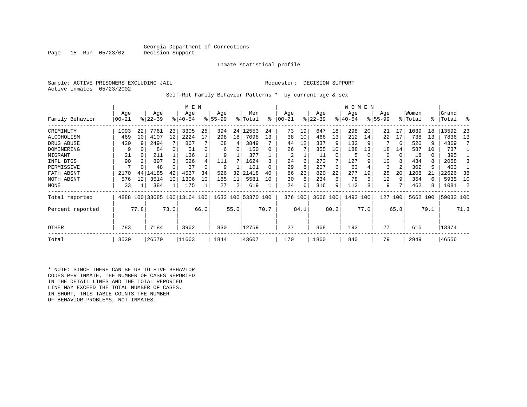### Georgia Department of Corrections<br>Decision Support

Inmate statistical profile

Page 15 Run 05/23/02

Sample: ACTIVE PRISONERS EXCLUDING JAIL Requestor: DECISION SUPPORT Active inmates 05/23/2002

#### Self-Rpt Family Behavior Patterns \* by current age & sex

|                  |           |                 |           |      | M E N                        |      |             |      |                    |      |           |      |           |      | W O M E N |      |             |      |          |      |           |      |
|------------------|-----------|-----------------|-----------|------|------------------------------|------|-------------|------|--------------------|------|-----------|------|-----------|------|-----------|------|-------------|------|----------|------|-----------|------|
|                  | Age       |                 | Age       |      | Age                          |      | Age         |      | Men                |      | Age       |      | Age       |      | Age       |      | Age         |      | Women    |      | Grand     |      |
| Family Behavior  | $00 - 21$ |                 | $ 22-39 $ |      | $8140 - 54$                  |      | $8155 - 99$ |      | % Total            | ႜ    | $00 - 21$ |      | $ 22-39 $ |      | $ 40-54 $ |      | $8155 - 99$ |      | % Total  |      | %   Total | ႜ    |
| CRIMINLTY        | 1093      | 22              | 7761      | 23   | 3305                         | 25   | 394         | 24   | 12553              | 24   | 73        | 19   | 647       | 18   | 298       | 20   | 21          |      | 1039     | 18   | 13592     | 23   |
| ALCOHOLISM       | 469       | 10 <sup>1</sup> | 4107      | 12   | 2224                         | 17   | 298         | 18   | 7098               | 13   | 38        | 10   | 466       | 13   | 212       | 14   | 22          | 17   | 738      | 13   | 7836      | 13   |
| DRUG ABUSE       | 420       | q               | 2494      |      | 867                          |      | 68          | 4    | 3849               |      | 44        | 12   | 337       | 9    | 132       |      |             | 6    | 520      | 9    | 4369      |      |
| DOMINERING       | -9        |                 | 84        |      | 51                           |      | 6           | 0    | 150                | U    | 26        |      | 355       | 10   | 188       | 13   | 18          | 14   | 587      | 10   | 737       |      |
| MIGRANT          | 21        |                 | 211       |      | 136                          |      | 9           |      | 377                |      | 2         |      | 11        | 0    | 5         |      | $\Omega$    |      | 18       | 0    | 395       |      |
| INFL BTGS        | 90        | $\overline{2}$  | 897       |      | 526                          |      | 111         |      | 1624               |      | 24        | 6    | 273       | 7    | 127       | 9    | 10          |      | 434      | 8    | 2058      |      |
| PERMISSIVE       | 7         |                 | 48        |      | 37                           |      | 9           |      | 101                |      | 29        | 8    | 207       | 6    | 63        |      | 3           |      | 302      | 5    | 403       |      |
| FATH ABSNT       | 2170      | 44              | 14185     | 42   | 4537                         | 34   | 526         | 32   | 21418              | 40   | 86        | 23   | 820       | 22   | 277       | 19   | 25          | 20   | 1208     |      | 22626     | 38   |
| MOTH ABSNT       | 576       | 12              | 3514      | 10   | 1306                         | 10   | 185         | 11   | 5581               | 10   | 30        | 8    | 234       | 6    | 78        |      | 12          | 9    | 354      | 6    | 5935      | 10   |
| NONE             | 33        |                 | 384       |      | 175                          |      | 27          | 2    | 619                |      | 24        | 6    | 316       | 9    | 113       | 8    | 9           |      | 462      | 8    | 1081      | -2   |
| Total reported   |           |                 |           |      | 4888 100 33685 100 13164 100 |      |             |      | 1633 100 53370 100 |      | 376 100   |      | 3666 100  |      | 1493 100  |      | 127         | 100  | 5662 100 |      | 59032 100 |      |
| Percent reported |           | 77.8            |           | 73.0 |                              | 66.0 |             | 55.0 |                    | 70.7 |           | 84.1 |           | 80.2 |           | 77.0 |             | 65.8 |          | 79.1 |           | 71.3 |
| OTHER            | 783       |                 | 7184      |      | 3962                         |      | 830         |      | 12759              |      | 27        |      | 368       |      | 193       |      | 27          |      | 615      |      | 13374     |      |
| Total            | 3530      |                 | 26570     |      | 11663                        |      | 1844        |      | 43607              |      | 170       |      | 1860      |      | 840       |      | 79          |      | 2949     |      | 46556     |      |

\* NOTE: SINCE THERE CAN BE UP TO FIVE BEHAVIOR CODES PER INMATE, THE NUMBER OF CASES REPORTED IN THE DETAIL LINES AND THE TOTAL REPORTED LINE MAY EXCEED THE TOTAL NUMBER OF CASES. IN SHORT, THIS TABLE COUNTS THE NUMBER OF BEHAVIOR PROBLEMS, NOT INMATES.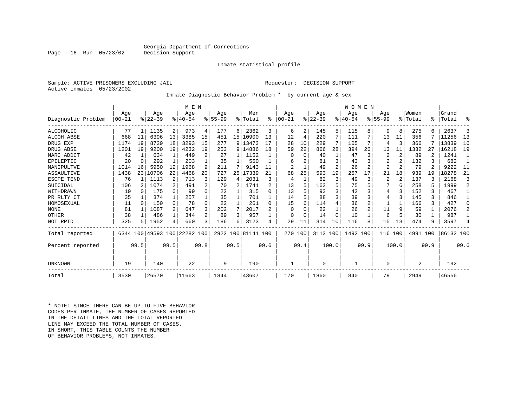### Georgia Department of Corrections<br>Decision Support

Inmate statistical profile

Sample: ACTIVE PRISONERS EXCLUDING JAIL Requestor: DECISION SUPPORT Active inmates 05/23/2002

Page 16 Run 05/23/02

#### Inmate Diagnostic Behavior Problem \* by current age & sex

|                    |            |                 |           |              | M E N                        |                |             |      |                    |                |                |          |           |       | <b>WOMEN</b> |      |                |                |                |      |           |                |
|--------------------|------------|-----------------|-----------|--------------|------------------------------|----------------|-------------|------|--------------------|----------------|----------------|----------|-----------|-------|--------------|------|----------------|----------------|----------------|------|-----------|----------------|
|                    | Age        |                 | Age       |              | Age                          |                | Age         |      | Men                |                | Age            |          | Age       |       | Aqe          |      | Aqe            |                | Women          |      | Grand     |                |
| Diagnostic Problem | $ 00 - 21$ |                 | $8 22-39$ |              | $8 40-54$                    |                | $8155 - 99$ |      | % Total            | $\approx$      | $00 - 21$      |          | $ 22-39 $ |       | $ 40-54$     |      | $8155 - 99$    |                | % Total        | °≈   | Total     | ዱ              |
| ALCOHOLIC          | 77         |                 | 1135      | 2            | 973                          | 4              | 177         | 6    | 2362               | 3              | 6              | 2        | 145       | 5     | 115          | 8    | 9              | 8              | 275            |      | 2637      | 3              |
| ALCOH ABSE         | 668        | 11              | 6396      | 13           | 3385                         | 15             | 451         |      | 15   10900         | 13             | 12             | 4        | 220       | 7     | 111          |      | 13             | 11             | 356            |      | 11256     | 13             |
| DRUG EXP           | 1174       | 19              | 8729      | 18           | 3293                         | 15             | 277         |      | 9 13473            | 17             | 28             | 10       | 229       | 7     | 105          | 7    | 4              | 3              | 366            |      | 13839     | 16             |
| DRUG ABSE          | 1201       | 19              | 9200      | 19           | 4232                         | 19             | 253         |      | 9 14886            | 18             | 59             | 22       | 866       | 28    | 394          | 26   | 13             | 11             | 1332           | 27   | 16218     | 19             |
| NARC ADDCT         | 42         | $\mathbf{1}$    | 634       | $\mathbf{1}$ | 449                          | 2              | 27          | 1    | 1152               |                | $\Omega$       | $\Omega$ | 40        |       | 47           | 3    | 2              | 2              | 89             |      | 1241      | $\overline{1}$ |
| EPILEPTIC          | 20         | $\Omega$        | 292       | 1            | 203                          |                | 35          | 1    | 550                |                | 6              |          | 81        | 3     | 43           | 3    | $\overline{2}$ |                | 132            |      | 682       | -1             |
| MANIPULTVE         | 1014       | 16              | 5950      | 12           | 1968                         | 9              | 211         | 7    | 9143               | 11             | $\overline{2}$ |          | 49        | 2     | 26           |      | $\overline{a}$ | $\overline{2}$ | 79             |      | 9222      | 11             |
| ASSAULTIVE         | 1438       | 23 <sup>1</sup> | 10706     | 22           | 4468                         | 20             | 727         | 25   | 17339              | 21             | 68             | 25       | 593       | 19    | 257          | 17   | 21             | 18             | 939            | 19   | 18278     | 21             |
| ESCPE TEND         | 76         |                 | 1113      | 2            | 713                          | 3              | 129         | 4    | 2031               | ζ              | 4              |          | 82        | 3     | 49           | 3    | 2              | 2              | 137            |      | 2168      | 3              |
| SUICIDAL           | 106        |                 | 1074      | 2            | 491                          | 2              | 70          | 2    | 1741               | $\overline{c}$ | 13             |          | 163       | 5     | 75           |      |                | 6              | 258            |      | 1999      | 2              |
| WITHDRAWN          | 19         |                 | 175       | $\cap$       | 99                           | 0              | 22          |      | 315                | U              | 13             |          | 93        | 3     | 42           |      | 4              |                | 152            | 3    | 467       | $\mathbf{1}$   |
| PR RLTY CT         | 35         |                 | 374       |              | 257                          |                | 35          |      | 701                |                | 14             |          | 88        | 3     | 39           | 3    | 4              | ς              | 145            | ς    | 846       | 1              |
| HOMOSEXUAL         | 11         | $\cap$          | 150       | $\Omega$     | 78                           | $\Omega$       | 22          |      | 261                | <sup>0</sup>   | 15             |          | 114       | 4     | 36           | 2    |                |                | 166            | 3    | 427       | $\Omega$       |
| <b>NONE</b>        | 81         |                 | 1087      | 2            | 647                          | 3              | 202         | 7    | 2017               |                | $\Omega$       |          | 22        |       | 26           |      | 11             | 9              | 59             |      | 2076      | 2              |
| OTHER              | 38         |                 | 486       | 1            | 344                          | $\overline{a}$ | 89          | 3    | 957                |                | O              |          | 14        | O     | 10           |      | 6              | 5              | 30             |      | 987       |                |
| NOT RPTD           | 325        |                 | 1952      | 4            | 660                          | $\overline{3}$ | 186         | 6    | 3123               |                | 29             | 11       | 314       | 10    | 116          | 8    | 15             | 13             | 474            |      | 3597      | 4              |
| Total reported     |            |                 |           |              | 6344 100 49593 100 22282 100 |                |             |      | 2922 100 81141 100 |                | 270 100        |          | 3113 100  |       | 1492 100     |      | 116 100        |                | 4991 100       |      | 86132 100 |                |
| Percent reported   |            | 99.5            |           | 99.5         |                              | 99.8           |             | 99.5 |                    | 99.6           |                | 99.4     |           | 100.0 |              | 99.9 |                | 100.0          |                | 99.9 |           | 99.6           |
| UNKNOWN            | 19         |                 | 140       |              | 22                           |                | 9           |      | 190                |                |                |          | $\Omega$  |       |              |      | 0              |                | $\overline{2}$ |      | 192       |                |
|                    |            |                 |           |              |                              |                |             |      |                    |                |                |          |           |       |              |      |                |                |                |      |           |                |
| Total              | 3530       |                 | 26570     |              | 11663                        |                | 1844        |      | 43607              |                | 170            |          | 1860      |       | 840          |      | 79             |                | 2949           |      | 46556     |                |

\* NOTE: SINCE THERE CAN BE UP TO FIVE BEHAVIOR CODES PER INMATE, THE NUMBER OF CASES REPORTED IN THE DETAIL LINES AND THE TOTAL REPORTED LINE MAY EXCEED THE TOTAL NUMBER OF CASES.IN SHORT, THIS TABLE COUNTS THE NUMBER OF BEHAVIOR PROBLEMS, NOT INMATES.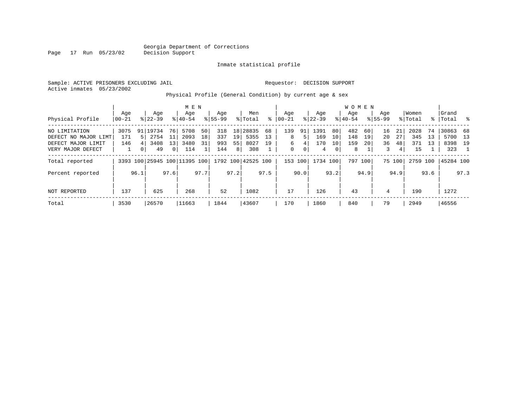Inmate statistical profile

Active inmates 05/23/2002

Page 17 Run 05/23/02

#### Sample: ACTIVE PRISONERS EXCLUDING JAIL Requestor: DECISION SUPPORT

Physical Profile (General Condition) by current age & sex

|                      |       |          |           |                | M E N                        |      |             |                |                    |      |           |      |           |      | W O M E N |         |             |        |          |      |           |      |
|----------------------|-------|----------|-----------|----------------|------------------------------|------|-------------|----------------|--------------------|------|-----------|------|-----------|------|-----------|---------|-------------|--------|----------|------|-----------|------|
|                      | Age   |          | Age       |                | Age                          |      | Age         |                | Men                |      | Aqe       |      | Age       |      | Aqe       |         | Aqe         |        | Women    |      | Grand     |      |
| Physical Profile     | 00-21 |          | $8 22-39$ |                | $8 40-54$                    |      | $8155 - 99$ |                | % Total            | ႜ    | $00 - 21$ |      | $ 22-39 $ |      | $8 40-54$ |         | $8155 - 99$ |        | % Total  | န္   | Total     | ိ    |
| NO LIMITATION        | 3075  |          | 91 19734  | 76             | 5708                         | 50   | 318         |                | 18 28835           | 68   | 139       | 91   | 1391      | 80   | 482       | 60      | 16          | 21     | 2028     | 74   | 30863     | 68   |
| DEFECT NO MAJOR LIMT | 171   | 51       | 2754      | 11             | 2093                         | 18   | 337         | 19             | 5355               | 13   | 8         | 5    | 169       | 10   | 148       | 19      | 20          | 27     | 345      | 13   | 5700      | 13   |
| DEFECT MAJOR LIMIT   | 146   |          | 3408      | 13             | 3480                         | 31   | 993         | 55             | 8027               | 19   | 6         | 4    | 170       | 10   | 159       | 20      | 36          | 48     | 371      | 13   | 8398      | 19   |
| VERY MAJOR DEFECT    |       | $\Omega$ | 49        | $\overline{0}$ | 114                          |      | 144         | 8 <sup>1</sup> | 308                |      | 0         | 0    | 4         | 0    | 8         |         | 3           | 4      | 15       |      | 323       |      |
| Total reported       |       |          |           |                | 3393 100 25945 100 11395 100 |      |             |                | 1792 100 42525 100 |      | 153 100   |      | 1734 100  |      |           | 797 100 |             | 75 100 | 2759 100 |      | 45284 100 |      |
| Percent reported     |       | 96.1     |           | 97.6           |                              | 97.7 |             | 97.2           |                    | 97.5 |           | 90.0 |           | 93.2 |           | 94.9    |             | 94.9   |          | 93.6 |           | 97.3 |
| NOT REPORTED         | 137   |          | 625       |                | 268                          |      | 52          |                | 1082               |      | 17        |      | 126       |      | 43        |         | 4           |        | 190      |      | 1272      |      |
| Total                | 3530  |          | 26570     |                | 11663                        |      | 1844        |                | 43607              |      | 170       |      | 1860      |      | 840       |         | 79          |        | 2949     |      | 46556     |      |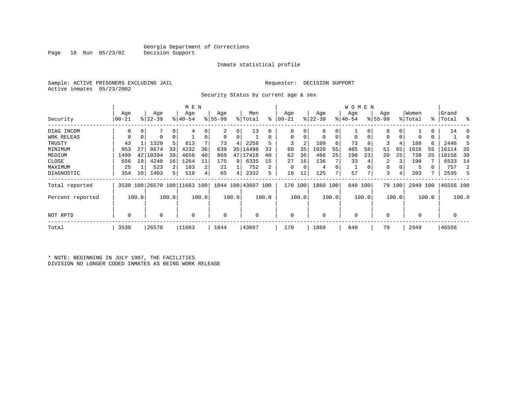Inmate statistical profile

Sample: ACTIVE PRISONERS EXCLUDING JAIL Requestor: DECISION SUPPORT Active inmates 05/23/2002

Security Status by current age & sex

|                  |       |       |           |       | M E N    |       |             |       |                                                 |       |           |       |           |       | W O M E N   |       |             |        |             |       |           |       |
|------------------|-------|-------|-----------|-------|----------|-------|-------------|-------|-------------------------------------------------|-------|-----------|-------|-----------|-------|-------------|-------|-------------|--------|-------------|-------|-----------|-------|
|                  | Age   |       | Age       |       | Age      |       | Age         |       | Men                                             |       | Age       |       | Age       |       | Age         |       | Age         |        | Women       |       | Grand     |       |
| Security         | 00-21 |       | $ 22-39 $ |       | $ 40-54$ |       | $8155 - 99$ |       | % Total                                         | ႜ     | $00 - 21$ |       | $ 22-39 $ |       | $ 40-54$    |       | $8155 - 99$ |        | % Total     |       | %   Total | း     |
| DIAG INCOM       | 0     |       |           | 0     | 4        |       | 2           | 0     | 13                                              |       | 0         |       | 0         | 0     |             |       |             | 0      |             | 0     | 14        |       |
| WRK RELEAS       |       | 0     | 0         | 0     |          |       | 0           |       |                                                 |       | 0         |       | 0         | 0     |             | 0     | 0           | 0      | 0           | 0     |           |       |
| TRUSTY           | 43    |       | 1329      | 5     | 813      |       | 73          | 4     | 2258                                            |       | 3         | 2     | 109       | 6     | 73          | 9     |             | 4      | 188         | б.    | 2446      |       |
| MINIMUM          | 953   | 27    | 8674      | 33    | 4232     | 36    | 639         | 35    | 14498                                           | 33    | 60        | 35    | 1020      | 55    | 485         | 58    | 51          | 65     | 1616        | 55    | 16114     | 35    |
| MEDIUM           | 1499  | 42    | 10394     | 39    | 4656     | 40    | 869         | 47    | 17418                                           | 40    | 62        | 36    | 466       | 25    | 190         | 23    | 20          | 25     | 738         | 25    | 18156     | 39    |
| CLOSE            | 656   | 19    | 4240      | 16    | 1264     | 11    | 175         | 9     | 6335                                            | 15    | 27        | 16    | 136       |       | 33          |       | 2           |        | 198         |       | 6533      | 14    |
| MAXIMUM          | 25    |       | 523       | 2     | 183      | 2     | 21          |       | 752                                             | 2     | $\Omega$  |       | 4         | 0     |             |       | 0           |        | 5           |       | 757       | 2     |
| DIAGNOSTIC       | 354   | 10    | 1403      | 5     | 510      |       | 65          | 4     | 2332                                            | 5     | 18        | 11    | 125       |       | 57          | 7     | 3           | 4      | 203         |       | 2535      | 5     |
| Total reported   |       |       |           |       |          |       |             |       | 3530 100 26570 100 11663 100 1844 100 43607 100 |       | 170       | 100   | 1860 100  |       | 840 100     |       |             | 79 100 | 2949 100    |       | 46556 100 |       |
| Percent reported |       | 100.0 |           | 100.0 |          | 100.0 |             | 100.0 |                                                 | 100.0 |           | 100.0 |           | 100.0 |             | 100.0 |             | 100.0  |             | 100.0 |           | 100.0 |
| NOT RPTD         | 0     |       | 0         |       | $\Omega$ |       | 0           |       |                                                 |       | $\Omega$  |       | $\Omega$  |       | $\mathbf 0$ |       |             |        | $\mathbf 0$ |       |           |       |
| Total            | 3530  |       | 26570     |       | 11663    |       | 1844        |       | 43607                                           |       | 170       |       | 1860      |       | 840         |       | 79          |        | 2949        |       | 46556     |       |

\* NOTE: BEGINNING IN JULY 1987, THE FACILITIES DIVISION NO LONGER CODED INMATES AS BEING WORK RELEASE

Page 18 Run 05/23/02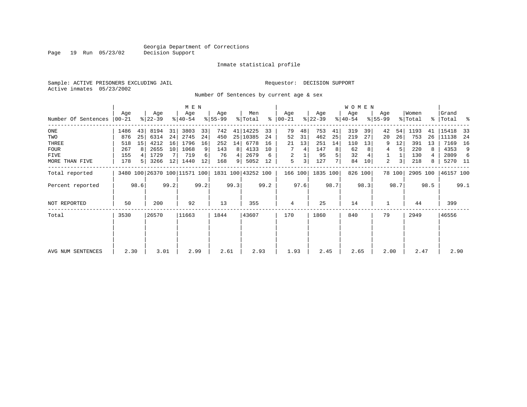Inmate statistical profile

Sample: ACTIVE PRISONERS EXCLUDING JAIL Requestor: DECISION SUPPORT Active inmates 05/23/2002

Number Of Sentences by current age & sex

|                     |       |                |           |      | M E N                        |      |           |      |                    |      |               |         |           |      | W O M E N |         |             |        |          |      |           |      |
|---------------------|-------|----------------|-----------|------|------------------------------|------|-----------|------|--------------------|------|---------------|---------|-----------|------|-----------|---------|-------------|--------|----------|------|-----------|------|
|                     | Age   |                | Age       |      | Age                          |      | Age       |      | Men                |      | Age           |         | Age       |      | Age       |         | Age         |        | Women    |      | Grand     |      |
| Number Of Sentences | 00-21 |                | $ 22-39 $ |      | $8140 - 54$                  |      | $8 55-99$ |      | % Total            |      | $8   00 - 21$ |         | $ 22-39 $ |      | $8 40-54$ |         | $8155 - 99$ |        | % Total  |      | %   Total | ႜ    |
| $_{\rm ONE}$        | 1486  | 43             | 8194      | 31   | 3803                         | 33   | 742       |      | 41 14225           | 33   | 79            | 48      | 753       | 41   | 319       | 39      | 42          | 54     | 1193     | 41   | 15418     | 33   |
| TWO                 | 876   | 25             | 6314      | 24   | 2745                         | 24   | 450       |      | 25 10385           | 24   | 52            | 31      | 462       | 25   | 219       | 27      | 20          | 26     | 753      | 26   | 11138     | -24  |
| THREE               | 518   | 15             | 4212      | 16   | 1796                         | 16   | 252       | 14   | 6778               | 16   | 21            | 13      | 251       | 14   | 110       | 13      | 9           | 12     | 391      | 13   | 7169      | 16   |
| FOUR                | 267   | -8             | 2655      | 10   | 1068                         | 9    | 143       | 8    | 4133               | 10   |               | 4       | 147       | 8    | 62        |         | 4           | 5      | 220      | 8    | 4353      | 9    |
| FIVE                | 155   |                | 1729      |      | 719                          | 6    | 76        |      | 2679               | 6    | 2             |         | 95        | 5    | 32        |         |             |        | 130      |      | 2809      | 6    |
| MORE THAN FIVE      | 178   | 5 <sup>1</sup> | 3266      | 12   | 1440                         | 12   | 168       | 9    | 5052               | 12   | 5             | 3       | 127       |      | 84        | 10      | 2           | 3      | 218      | 8    | 5270 11   |      |
| Total reported      |       |                |           |      | 3480 100 26370 100 11571 100 |      |           |      | 1831 100 43252 100 |      |               | 166 100 | 1835 100  |      |           | 826 100 |             | 78 100 | 2905 100 |      | 46157 100 |      |
| Percent reported    |       | 98.6           |           | 99.2 |                              | 99.2 |           | 99.3 |                    | 99.2 |               | 97.6    |           | 98.7 |           | 98.3    |             | 98.7   |          | 98.5 |           | 99.1 |
| <b>NOT REPORTED</b> | 50    |                | 200       |      | 92                           |      | 13        |      | 355                |      | 4             |         | 25        |      | 14        |         |             |        | 44       |      | 399       |      |
| Total               | 3530  |                | 26570     |      | 11663                        |      | 1844      |      | 43607              |      | 170           |         | 1860      |      | 840       |         | 79          |        | 2949     |      | 46556     |      |
|                     |       |                |           |      |                              |      |           |      |                    |      |               |         |           |      |           |         |             |        |          |      |           |      |
|                     |       |                |           |      |                              |      |           |      |                    |      |               |         |           |      |           |         |             |        |          |      |           |      |
|                     |       |                |           |      |                              |      |           |      |                    |      |               |         |           |      |           |         |             |        |          |      |           |      |
| AVG NUM SENTENCES   | 2.30  |                | 3.01      |      | 2.99                         |      | 2.61      |      | 2.93               |      | 1.93          |         | 2.45      |      | 2.65      |         | 2.00        |        | 2.47     |      | 2.90      |      |

Page 19 Run 05/23/02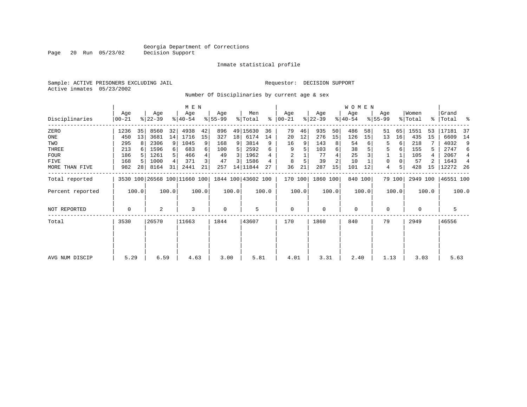Inmate statistical profile

Sample: ACTIVE PRISONERS EXCLUDING JAIL Requestor: DECISION SUPPORT Active inmates 05/23/2002

Page 20 Run 05/23/02

Number Of Disciplinaries by current age & sex

|                     |                   |                 |                  |       | M E N            |       |                 |                 |                                                 |       |                  |       |                  |       | W O M E N        |         |                  |        |                  |       |                    |                |
|---------------------|-------------------|-----------------|------------------|-------|------------------|-------|-----------------|-----------------|-------------------------------------------------|-------|------------------|-------|------------------|-------|------------------|---------|------------------|--------|------------------|-------|--------------------|----------------|
| Disciplinaries      | Age<br>$ 00 - 21$ |                 | Age<br>$ 22-39 $ |       | Age<br>$8 40-54$ |       | Age<br>$ 55-99$ |                 | Men<br>% Total                                  | ႜ     | Age<br>$00 - 21$ |       | Age<br>$ 22-39 $ |       | Age<br>$ 40-54 $ |         | Age<br>$8 55-99$ |        | Women<br>% Total |       | Grand<br>%   Total | ႜ              |
| ZERO                | 1236              | 35              | 8560             | 32    | 4938             | 42    | 896             |                 | 49 15630                                        | 36    | 79               | 46    | 935              | 50    | 486              | 58      | 51               | 65     | 1551             | 53    | 17181              | 37             |
| ONE                 | 450               | 13              | 3681             | 14    | 1716             | 15    | 327             | 18 <sup>1</sup> | 6174                                            | 14    | 20               | 12    | 276              | 15    | 126              | 15      | 13               | 16     | 435              | 15    | 6609               | 14             |
| TWO                 | 295               | 8               | 2306             | 9     | 1045             | 9     | 168             | 9               | 3814                                            | 9     | 16               | 9     | 143              | 8     | 54               | 6       | 5                | 6      | 218              |       | 4032               | 9              |
| THREE               | 213               |                 | 1596             | 6     | 683              | 6     | 100             | 5               | 2592                                            | 6     | 9                | 5     | 103              | 6     | 38               |         | 5                | 6      | 155              | 5     | 2747               | 6              |
| <b>FOUR</b>         | 186               |                 | 1261             |       | 466              |       | 49              | $\overline{3}$  | 1962                                            |       |                  |       | 77               |       | 25               |         |                  |        | 105              |       | 2067               | $\overline{4}$ |
| FIVE                | 168               | .5              | 1000             |       | 371              |       | 47              | 3               | 1586                                            |       | 8                |       | 39               |       | 10               |         | 0                |        | 57               | 2     | 1643               | $\overline{4}$ |
| MORE THAN FIVE      | 982               | 28 <sup>1</sup> | 8164             | 31    | 2441             | 21    | 257             |                 | 14 11844                                        | 27    | 36               | 21    | 287              | 15    | 101              | 12      | 4                | 5      | 428              | 15    | 12272              | - 26           |
| Total reported      |                   |                 |                  |       |                  |       |                 |                 | 3530 100 26568 100 11660 100 1844 100 43602 100 |       | 170 100          |       | 1860 100         |       |                  | 840 100 |                  | 79 100 | 2949 100         |       | 46551 100          |                |
| Percent reported    |                   | 100.0           |                  | 100.0 |                  | 100.0 |                 | 100.0           |                                                 | 100.0 |                  | 100.0 |                  | 100.0 |                  | 100.0   |                  | 100.0  |                  | 100.0 |                    | 100.0          |
| <b>NOT REPORTED</b> | 0                 |                 | 2                |       | 3                |       | 0               |                 | 5                                               |       | 0                |       | $\mathbf 0$      |       | $\mathbf 0$      |         | 0                |        | 0                |       | 5                  |                |
| Total               | 3530              |                 | 26570            |       | 11663            |       | 1844            |                 | 43607                                           |       | 170              |       | 1860             |       | 840              |         | 79               |        | 2949             |       | 46556              |                |
|                     |                   |                 |                  |       |                  |       |                 |                 |                                                 |       |                  |       |                  |       |                  |         |                  |        |                  |       |                    |                |
|                     |                   |                 |                  |       |                  |       |                 |                 |                                                 |       |                  |       |                  |       |                  |         |                  |        |                  |       |                    |                |
| AVG NUM DISCIP      | 5.29              |                 | 6.59             |       | 4.63             |       | 3.00            |                 | 5.81                                            |       | 4.01             |       | 3.31             |       | 2.40             |         | 1.13             |        | 3.03             |       | 5.63               |                |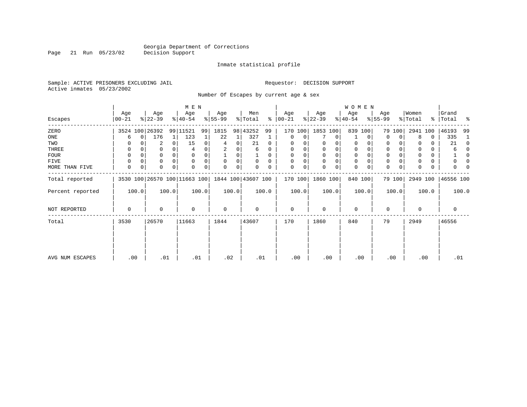Page 21 Run 05/23/02

#### Inmate statistical profile

Sample: ACTIVE PRISONERS EXCLUDING JAIL Requestor: DECISION SUPPORT Active inmates 05/23/2002

Number Of Escapes by current age & sex

|                  |                |                              | M E N            |                 |                      |                  |                      | WOMEN           |                  |                       |                      |
|------------------|----------------|------------------------------|------------------|-----------------|----------------------|------------------|----------------------|-----------------|------------------|-----------------------|----------------------|
| Escapes          | Age<br>  00-21 | Age<br>$ 22-39 $             | Age<br>$ 40-54 $ | Age<br>$ 55-99$ | Men<br>% Total<br>ွေ | Age<br>$00 - 21$ | Age<br>$ 22-39 $     | Age<br>$ 40-54$ | Age<br>$ 55-99 $ | Women<br>% Total<br>ႜ | Grand<br> Total<br>ႜ |
| ZERO             | 3524 100 26392 |                              | 99 11521<br>99   | 1815            | 98 43252<br>99       | 170<br>100       | 1853 100             | 839<br>100      | 79 100           | 2941<br>100           | 46193<br>99          |
| ONE              | 0<br>6         | 176<br>1                     | 123              | 22<br>1         | 327                  | $\mathbf 0$<br>0 | $\mathbf 0$          | $\Omega$        | $\mathbf 0$<br>0 | 8<br>0                | 335<br>-1            |
| TWO              | 0              | 2<br>0                       | 15<br>0          | 0<br>4          | 21<br>$\Omega$       | 0                | $\Omega$             | 0               | 0                | 0                     | 21<br>$\Omega$       |
| THREE            | 0              | 0                            |                  | 2               | 6<br>0               | 0                | 0                    | 0               | $\mathbf 0$      | 0                     | 6<br>$\Omega$        |
| FOUR             | 0              | 0<br>$\Omega$                |                  | 0               | $\Omega$             | 0<br>$\mathbf 0$ | $\Omega$<br>$\Omega$ | $\Omega$        | $\mathbf 0$      | 0                     | $\Omega$             |
| FIVE             | 0<br>0         | 0<br>$\Omega$                | $\Omega$<br>0    | 0<br>$\Omega$   | $\Omega$<br>$\Omega$ | 0<br>$\Omega$    | 0<br>$\Omega$        | 0               | 0                | 0                     | 0                    |
| MORE THAN FIVE   | 0<br>0         | $\Omega$<br>0                | $\Omega$<br>0    | 0<br>0          | 0<br>0               | 0<br>0           | 0<br>$\Omega$        | 0               | $\mathbf 0$<br>0 | 0<br>$\Omega$         | O                    |
| Total reported   |                | 3530 100 26570 100 11663 100 |                  |                 | 1844 100 43607 100   | 170 100          | 1860 100             | 840 100         | 79 100           | 2949 100              | 46556 100            |
| Percent reported | 100.0          | 100.0                        | 100.0            | 100.0           | 100.0                | 100.0            | 100.0                | 100.0           | 100.0            | 100.0                 | 100.0                |
| NOT REPORTED     | $\mathbf 0$    | $\Omega$                     | $\mathbf 0$      | $\mathbf 0$     | 0                    | $\mathbf 0$      | $\Omega$             | 0               | 0                | $\Omega$              | 0                    |
| Total            | 3530           | 26570                        | 11663            | 1844            | 43607                | 170              | 1860                 | 840             | 79               | 2949                  | 46556                |
|                  |                |                              |                  |                 |                      |                  |                      |                 |                  |                       |                      |
| AVG NUM ESCAPES  | .00            | .01                          | .01              | .02             | .01                  | .00              | .00                  | .00             | .00              | .00                   | .01                  |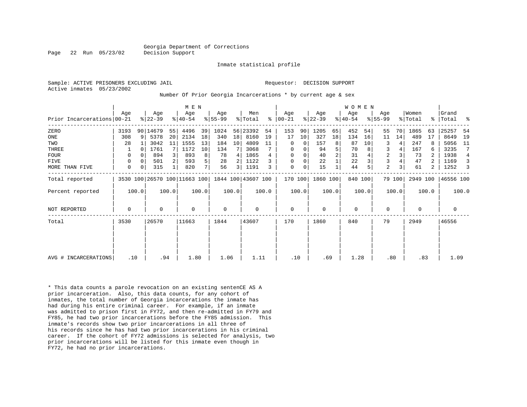Inmate statistical profile

Active inmates 05/23/2002

#### Sample: ACTIVE PRISONERS EXCLUDING JAIL **Requestor: DECISION SUPPORT**

Number Of Prior Georgia Incarcerations \* by current age & sex

|                            |      |       |   |           |       | M E N                                           |       |             |       |          |       |               |       |           |       | WOMEN       |       |                |        |          |       |           |                |
|----------------------------|------|-------|---|-----------|-------|-------------------------------------------------|-------|-------------|-------|----------|-------|---------------|-------|-----------|-------|-------------|-------|----------------|--------|----------|-------|-----------|----------------|
|                            | Age  |       |   | Age       |       | Age                                             |       | Age         |       | Men      |       | Age           |       | Age       |       | Age         |       | Age            |        | Women    |       | Grand     |                |
| Prior Incarcerations 00-21 |      |       |   | $ 22-39 $ |       | $ 40-54 $                                       |       | $8 55-99$   |       | % Total  |       | $8   00 - 21$ |       | $ 22-39 $ |       | $ 40-54$    |       | $ 55-99 $      |        | % Total  | ႜ     | Total     | ႜ              |
| ZERO                       | 3193 |       |   | 90 14679  | 55    | 4496                                            | 39    | 1024        |       | 56 23392 | 54    | 153           | 90    | 1205      | 65    | 452         | 54    | 55             | 70     | 1865     | 63    | 25257     | 54             |
| ONE                        | 308  |       | 9 | 5378      | 20    | 2134                                            | 18    | 340         | 18    | 8160     | 19    | 17            | 10    | 327       | 18    | 134         | 16    | 11             | 14     | 489      | 17    | 8649      | 19             |
| TWO                        |      | 28    |   | 3042      | 11    | 1555                                            | 13    | 184         | 10    | 4809     | 11    | 0             | 0     | 157       | 8     | 87          | 10    | 3              | 4      | 247      |       | 5056      | 11             |
| THREE                      |      |       |   | 1761      |       | 1172                                            | 10    | 134         |       | 3068     |       | 0             | 0     | 94        | 5     | 70          |       | 3              |        | 167      |       | 3235      | 7              |
| <b>FOUR</b>                |      | 0     |   | 894       |       | 893                                             | 8     | 78          | 4     | 1865     | 4     | 0             | 0     | 40        | 2     | 31          |       | $\overline{c}$ | 3      | 73       |       | 1938      | $\overline{4}$ |
| <b>FIVE</b>                |      | 0     |   | 501       |       | 593                                             | 5     | 28          |       | 1122     |       | 0             | 0     | 22        |       | 22          |       | 3              |        | 47       |       | 1169      | 3              |
| MORE THAN FIVE             |      | 0     |   | 315       |       | 820                                             | 7     | 56          | 3     | 1191     | 3     | 0             | 0     | 15        |       | 44          |       | $\overline{2}$ | 3      | 61       | 2     | 1252      |                |
| Total reported             |      |       |   |           |       | 3530 100 26570 100 11663 100 1844 100 43607 100 |       |             |       |          |       | 170 100       |       | 1860 100  |       | 840 100     |       |                | 79 100 | 2949 100 |       | 46556 100 |                |
| Percent reported           |      | 100.0 |   |           | 100.0 |                                                 | 100.0 |             | 100.0 |          | 100.0 |               | 100.0 |           | 100.0 |             | 100.0 |                | 100.0  |          | 100.0 |           | 100.0          |
| NOT REPORTED               |      | 0     |   | 0         |       | $\Omega$                                        |       | $\mathbf 0$ |       | 0        |       | $\mathbf 0$   |       | 0         |       | $\mathbf 0$ |       | $\mathbf 0$    |        | $\Omega$ |       | 0         |                |
| Total                      | 3530 |       |   | 26570     |       | 11663                                           |       | 1844        |       | 43607    |       | 170           |       | 1860      |       | 840         |       | 79             |        | 2949     |       | 46556     |                |
|                            |      |       |   |           |       |                                                 |       |             |       |          |       |               |       |           |       |             |       |                |        |          |       |           |                |
|                            |      |       |   |           |       |                                                 |       |             |       |          |       |               |       |           |       |             |       |                |        |          |       |           |                |
| AVG # INCARCERATIONS       |      | .10   |   | .94       |       | 1.80                                            |       | 1.06        |       | 1.11     |       | .10           |       | .69       |       | 1.28        |       | .80            |        | .83      |       | 1.09      |                |

\* This data counts a parole revocation on an existing sentenCE AS A prior incarceration. Also, this data counts, for any cohort of inmates, the total number of Georgia incarcerations the inmate has had during his entire criminal career. For example, if an inmate was admitted to prison first in FY72, and then re-admitted in FY79 and FY85, he had two prior incarcerations before the FY85 admission. This inmate's records show two prior incarcerations in all three of his records since he has had two prior incarcerations in his criminal career. If the cohort of FY72 admissions is selected for analysis, two prior incarcerations will be listed for this inmate even though in FY72, he had no prior incarcerations.

Page 22 Run 05/23/02 Decision Support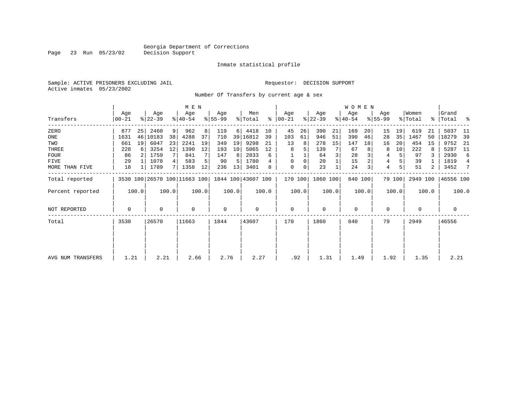Page 23 Run 05/23/02

#### Inmate statistical profile

Sample: ACTIVE PRISONERS EXCLUDING JAIL Requestor: DECISION SUPPORT Active inmates 05/23/2002

Number Of Transfers by current age & sex

|                   |                |       |                  |       | M E N                        |       |                 |          |                            |       |                    |       |                  |       | <b>WOMEN</b>     |         |                 |        |                  |       |                 |       |
|-------------------|----------------|-------|------------------|-------|------------------------------|-------|-----------------|----------|----------------------------|-------|--------------------|-------|------------------|-------|------------------|---------|-----------------|--------|------------------|-------|-----------------|-------|
| Transfers         | Age<br>  00-21 |       | Age<br>$ 22-39 $ |       | Age<br>$ 40-54 $             |       | Age<br>$ 55-99$ |          | Men<br>$\frac{1}{2}$ Total | ႜ     | Age<br>$ 00 - 21 $ |       | Age<br>$ 22-39 $ |       | Age<br>$ 40-54 $ |         | Age<br>$ 55-99$ |        | Women<br>% Total | ႜ     | Grand<br> Total | ႜ     |
| ZERO              | 877            | 25    | 2460             | 9     | 962                          | 8     | 119             | $6 \mid$ | 4418                       | 10    | 45                 | 26    | 390              | 21    | 169              | 20      | 15              | 19     | 619              | 21    | 5037            | -11   |
| ONE               | 1631           | 46    | 10183            | 38    | 4288                         | 37    | 710             |          | 39 16812                   | 39    | 103                | 61    | 946              | 51    | 390              | 46      | 28              | 35     | 1467             | 50    | 18279           | 39    |
| TWO               | 661            | 19    | 6047             | 23    | 2241                         | 19    | 349             | 19       | 9298                       | 21    | 13                 | 8     | 278              | 15    | 147              | 18      | 16              | 20     | 454              | 15    | 9752            | - 21  |
| THREE             | 228            |       | 3254             | 12    | 1390                         | 12    | 193             | 10       | 5065                       | 12    | 8                  | 5     | 139              |       | 67               |         | 8               | 10     | 222              | 8     | 5287            | - 11  |
| <b>FOUR</b>       | 86             |       | 1759             | 7     | 841                          |       | 147             | 8        | 2833                       | 6     |                    |       | 64               |       | 28               |         | 4               | 5      | 97               |       | 2930            | 6     |
| FIVE              | 29             |       | 1078             | 4     | 583                          | 5     | 90              | 5        | 1780                       |       | $\mathbf 0$        | 0     | 20               |       | 15               |         | 4               |        | 39               |       | 1819            | 4     |
| MORE THAN FIVE    | 18             |       | 1789             | 7     | 1358                         | 12    | 236             | 13       | 3401                       | 8     | $\mathbf 0$        | 0     | 23               |       | 24               |         | 4               | 5      | 51               | 2     | 3452            | 7     |
| Total reported    |                |       |                  |       | 3530 100 26570 100 11663 100 |       |                 |          | 1844 100 43607 100         |       | 170 100            |       | 1860 100         |       |                  | 840 100 |                 | 79 100 | 2949 100         |       | 46556 100       |       |
| Percent reported  |                | 100.0 |                  | 100.0 |                              | 100.0 |                 | 100.0    |                            | 100.0 |                    | 100.0 |                  | 100.0 |                  | 100.0   |                 | 100.0  |                  | 100.0 |                 | 100.0 |
| NOT REPORTED      | $\mathbf 0$    |       | $\Omega$         |       | $\Omega$                     |       | $\mathbf 0$     |          | $\Omega$                   |       | $\mathbf 0$        |       | $\Omega$         |       | $\mathbf 0$      |         | $\mathbf 0$     |        | $\Omega$         |       | 0               |       |
| Total             | 3530           |       | 26570            |       | 11663                        |       | 1844            |          | 43607                      |       | 170                |       | 1860             |       | 840              |         | 79              |        | 2949             |       | 46556           |       |
|                   |                |       |                  |       |                              |       |                 |          |                            |       |                    |       |                  |       |                  |         |                 |        |                  |       |                 |       |
| AVG NUM TRANSFERS | 1.21           |       | 2.21             |       | 2.66                         |       | 2.76            |          | 2.27                       |       | .92                |       | 1.31             |       | 1.49             |         | 1.92            |        | 1.35             |       | 2.21            |       |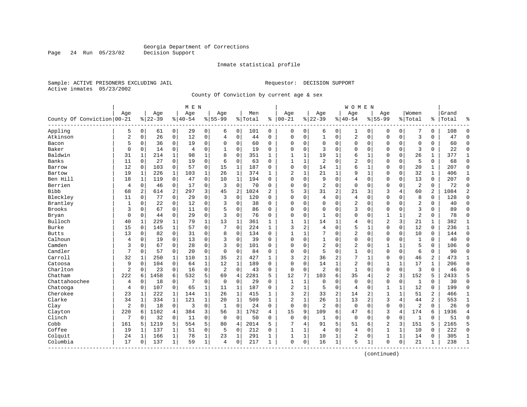Page 24 Run 05/23/02

#### Inmate statistical profile

Sample: ACTIVE PRISONERS EXCLUDING JAIL **Requestor: DECISION SUPPORT** Active inmates 05/23/2002

County Of Conviction by current age & sex

|                            |                |              |           |              | M E N    |              |                |              |         |              |                |              |                |                | W O M E N      |              |                |              |                |              |       |                |
|----------------------------|----------------|--------------|-----------|--------------|----------|--------------|----------------|--------------|---------|--------------|----------------|--------------|----------------|----------------|----------------|--------------|----------------|--------------|----------------|--------------|-------|----------------|
|                            | Age            |              | Age       |              | Age      |              | Age            |              | Men     |              | Age            |              | Age            |                | Age            |              | Aqe            |              | Women          |              | Grand |                |
| County Of Conviction 00-21 |                |              | $8 22-39$ |              | $ 40-54$ |              | $8155 - 99$    |              | % Total | ి            | $ 00-21$       |              | $ 22-39$       |                | $8140 - 54$    |              | $8 55-99$      |              | % Total        | ి            | Total | ٩,             |
| Appling                    | 5              | $\mathbf 0$  | 61        | 0            | 29       | 0            | 6              | $\mathbf 0$  | 101     | 0            | 0              | 0            | 6              | 0              | 1              | 0            | 0              | $\mathbf 0$  | 7              | 0            | 108   | $\Omega$       |
| Atkinson                   | $\overline{c}$ | $\mathbf 0$  | 26        | $\mathsf{O}$ | 12       | $\mathbf 0$  | 4              | $\mathbf 0$  | 44      | $\Omega$     | $\Omega$       | $\mathbf 0$  | $\mathbf{1}$   | 0              | 2              | $\mathbf 0$  | $\Omega$       | 0            | $\overline{3}$ | $\Omega$     | 47    | $\Omega$       |
| Bacon                      | 5              | 0            | 36        | 0            | 19       | $\mathbf 0$  | $\Omega$       | $\mathbf 0$  | 60      | 0            | $\Omega$       | 0            | $\mathbf 0$    | $\Omega$       | 0              | $\mathbf 0$  | $\Omega$       | 0            | $\Omega$       | 0            | 60    | $\Omega$       |
| Baker                      | $\mathbf 0$    | $\mathbf 0$  | 14        | 0            | 4        | $\mathsf 0$  | 1              | $\mathbf 0$  | 19      | 0            | $\Omega$       | 0            | 3              | $\Omega$       | 0              | $\Omega$     | $\Omega$       | 0            | 3              | 0            | 22    | $\Omega$       |
| Baldwin                    | 31             | 1            | 214       | 1            | 98       | $\mathbf{1}$ | 8              | $\mathbf 0$  | 351     | 1            | 1              | 1            | 19             | 1              | 6              | 1            | $\Omega$       | $\Omega$     | 26             | $\mathbf{1}$ | 377   | 1              |
| Banks                      | 11             | 0            | 27        | 0            | 19       | $\mathbf 0$  | 6              | 0            | 63      | 0            | $\mathbf{1}$   | 1            | $\overline{2}$ | 0              | 2              | $\mathbf 0$  | $\Omega$       | 0            | 5              | 0            | 68    | $\mathbf 0$    |
| Barrow                     | 12             | $\mathbf 0$  | 103       | $\mathbf 0$  | 57       | 0            | 15             | $\mathbf{1}$ | 187     | 0            | $\Omega$       | $\mathbf 0$  | 14             | 1              | 6              | $\mathbf{1}$ | $\Omega$       | 0            | 20             | $\mathbf 1$  | 207   | $\Omega$       |
| Bartow                     | 19             | $\mathbf{1}$ | 226       | $\mathbf{1}$ | 103      | $\mathbf{1}$ | 26             | $\mathbf{1}$ | 374     | $\mathbf{1}$ | $\overline{2}$ | $\mathbf{1}$ | 21             | 1              | 9              | $\mathbf{1}$ | $\Omega$       | 0            | 32             | $\mathbf{1}$ | 406   | $\mathbf{1}$   |
| Ben Hill                   | 18             | $\mathbf{1}$ | 119       | $\mathbf 0$  | 47       | $\mathbf 0$  | 10             | $\mathbf{1}$ | 194     | $\Omega$     | $\Omega$       | 0            | 9              | $\Omega$       | $\overline{4}$ | $\mathbf 0$  | $\Omega$       | $\Omega$     | 13             | 0            | 207   | $\mathbf{0}$   |
| Berrien                    | 4              | 0            | 46        | 0            | 17       | 0            | 3              | $\mathbf 0$  | 70      | 0            | $\Omega$       | 0            | $\overline{2}$ | 0              | $\mathbf 0$    | 0            | $\Omega$       | 0            | $\overline{2}$ | 0            | 72    | $\mathbf{0}$   |
| <b>Bibb</b>                | 68             | 2            | 614       | 2            | 297      | 3            | 45             | 2            | 1024    | 2            | 5              | 3            | 31             | 2              | 21             | 3            | 3              | 4            | 60             | 2            | 1084  | $\overline{2}$ |
| Bleckley                   | 11             | 0            | 77        | 0            | 29       | $\mathbf 0$  | 3              | 0            | 120     | 0            | $\Omega$       | 0            | 4              | 0              | 4              | $\mathbf 0$  | $\Omega$       | $\Omega$     | 8              | 0            | 128   | $\Omega$       |
| Brantley                   | 1              | 0            | 22        | 0            | 12       | $\mathbf 0$  | 3              | 0            | 38      | 0            | 0              | 0            | $\Omega$       | 0              | 2              | $\mathbf 0$  | 0              | 0            | 2              | 0            | 40    | $\Omega$       |
| <b>Brooks</b>              | 3              | $\Omega$     | 67        | $\Omega$     | 11       | $\mathbf 0$  | 5              | $\mathbf 0$  | 86      | $\Omega$     | $\Omega$       | 0            | $\Omega$       | $\Omega$       | 3              | $\Omega$     | $\Omega$       | $\Omega$     | 3              | $\Omega$     | 89    | $\Omega$       |
| Bryan                      | $\mathbf 0$    | $\Omega$     | 44        | $\mathbf 0$  | 29       | $\mathbf 0$  | 3              | $\mathbf 0$  | 76      | $\Omega$     | $\Omega$       | 0            | 1              | $\Omega$       | $\Omega$       | $\mathbf 0$  | $\mathbf{1}$   | 1            | $\overline{2}$ | 0            | 78    | $\Omega$       |
| Bulloch                    | 40             | $\mathbf{1}$ | 229       | 1            | 79       | $\mathbf 1$  | 13             | 1            | 361     | 1            | $\mathbf{1}$   | 1            | 14             | 1              | 4              | $\Omega$     | $\overline{2}$ | 3            | 21             | $\mathbf 1$  | 382   | 1              |
| <b>Burke</b>               | 15             | $\Omega$     | 145       | 1            | 57       | $\mathbf 0$  | 7              | $\mathbf 0$  | 224     | $\mathbf{1}$ | 3              | 2            | 4              | $\Omega$       | 5              | 1            | $\Omega$       | $\Omega$     | 12             | $\Omega$     | 236   | $\mathbf 1$    |
| <b>Butts</b>               | 13             | 0            | 82        | 0            | 31       | $\mathbf 0$  | 8              | 0            | 134     | 0            | $\mathbf{1}$   | 1            | 7              | $\Omega$       | 2              | $\mathbf 0$  | $\Omega$       | $\Omega$     | 10             | 0            | 144   | $\Omega$       |
| Calhoun                    | 4              | 0            | 19        | $\mathbf 0$  | 13       | $\mathbf 0$  | 3              | $\mathbf 0$  | 39      | 0            | $\Omega$       | 0            | 1              | 0              | 0              | $\mathbf 0$  | 0              | 0            | $\mathbf{1}$   | 0            | 40    | $\Omega$       |
| Camden                     | 3              | $\Omega$     | 67        | $\Omega$     | 28       | $\mathbf 0$  | 3              | $\mathbf 0$  | 101     | 0            | $\Omega$       | 0            | $\overline{2}$ | $\Omega$       | 2              | $\Omega$     | $\mathbf{1}$   | $\mathbf{1}$ | 5              | $\Omega$     | 106   | $\Omega$       |
| Candler                    | 7              | $\Omega$     | 57        | $\mathbf 0$  | 20       | $\mathbf 0$  | $\mathbf 0$    | $\mathbf 0$  | 84      | $\Omega$     | $\Omega$       | 0            | 5              | $\Omega$       | $\mathbf{1}$   | $\mathbf 0$  | $\Omega$       | $\Omega$     | 6              | 0            | 90    | $\Omega$       |
| Carroll                    | 32             | 1            | 250       | 1            | 110      | $\mathbf{1}$ | 35             | 2            | 427     | $\mathbf{1}$ | 3              | 2            | 36             | 2              | 7              | 1            | $\Omega$       | 0            | 46             | 2            | 473   | 1              |
| Catoosa                    | 9              | 0            | 104       | $\mathbf 0$  | 64       | $\mathbf 1$  | 12             | $\mathbf{1}$ | 189     | $\Omega$     | $\Omega$       | 0            | 14             | 1              | 2              | $\Omega$     | $\mathbf{1}$   | 1            | 17             | $\mathbf{1}$ | 206   | $\Omega$       |
| Charlton                   | $\overline{2}$ | $\mathbf 0$  | 23        | 0            | 16       | 0            | $\overline{c}$ | $\mathbf 0$  | 43      | 0            | $\mathbf 0$    | 0            | $\overline{2}$ | 0              | $\mathbf 1$    | $\mathbf 0$  | $\mathbf 0$    | $\mathbf 0$  | 3              | 0            | 46    | $\Omega$       |
| Chatham                    | 222            | 6            | 1458      | 6            | 532      | 5            | 69             | 4            | 2281    | 5            | 12             | 7            | 103            | 6              | 35             | 4            | $\overline{2}$ | 3            | 152            | 5            | 2433  | 5              |
| Chattahoochee              | 4              | 0            | 18        | 0            | 7        | $\mathbf 0$  | $\mathbf 0$    | 0            | 29      | $\Omega$     | $\mathbf{1}$   | 1            | $\mathbf 0$    | $\Omega$       | $\mathbf{0}$   | $\Omega$     | $\Omega$       | 0            | 1              | 0            | 30    | $\Omega$       |
| Chatooga                   | $\overline{4}$ | 0            | 107       | $\mathbf 0$  | 65       | $\mathbf{1}$ | 11             | $\mathbf{1}$ | 187     | 0            | $\overline{2}$ | $\mathbf{1}$ | 5              | $\Omega$       | $\overline{4}$ | $\mathbf 0$  | $\mathbf{1}$   | 1            | 12             | 0            | 199   | $\Omega$       |
| Cherokee                   | 23             | 1            | 222       | 1            | 144      | $\mathbf{1}$ | 26             | 1            | 415     | $\mathbf{1}$ | 3              | 2            | 33             | $\overline{c}$ | 14             | 2            | $\mathbf{1}$   | 1            | 51             | 2            | 466   | 1              |
| Clarke                     | 34             | 1            | 334       | 1            | 121      | $\mathbf 1$  | 20             | 1            | 509     | 1            | $\overline{2}$ | $\mathbf{1}$ | 26             | $\mathbf 1$    | 13             | 2            | $\overline{3}$ | 4            | 44             | 2            | 553   | 1              |
| Clay                       | $\overline{2}$ | $\Omega$     | 18        | 0            | 3        | 0            | 1              | $\mathbf 0$  | 24      | 0            | $\mathbf 0$    | 0            | $\overline{2}$ | $\Omega$       | $\mathbf 0$    | $\Omega$     | $\mathbf 0$    | $\mathbf 0$  | $\overline{2}$ | 0            | 26    | $\Omega$       |
| Clayton                    | 220            | 6            | 1102      | 4            | 384      | 3            | 56             | 3            | 1762    | 4            | 15             | 9            | 109            | 6              | 47             | 6            | 3              | 4            | 174            | 6            | 1936  | $\overline{4}$ |
| Clinch                     | 7              | 0            | 32        | $\mathbf 0$  | 11       | $\mathbf 0$  | $\mathbf 0$    | $\mathbf 0$  | 50      | $\Omega$     | $\mathbf 0$    | 0            | 1              | 0              | $\mathbf{0}$   | $\Omega$     | $\Omega$       | 0            | $\mathbf{1}$   | $\Omega$     | 51    | $\Omega$       |
| Cobb                       | 161            | 5            | 1219      | 5            | 554      | 5            | 80             | 4            | 2014    | 5            | 7              | 4            | 91             | 5              | 51             | 6            | $\overline{2}$ | 3            | 151            | 5            | 2165  | 5              |
| Coffee                     | 19             | 1            | 137       | 1            | 51       | $\mathsf 0$  | 5              | 0            | 212     | O            | $\mathbf{1}$   | 1            | 4              | 0              | 4              | $\mathbf 0$  | $\mathbf{1}$   | 1            | 10             | 0            | 222   | $\mathbf{0}$   |
| Colquit                    | 24             | 1            | 166       | 1            | 78       | $\mathbf 1$  | 23             | 1            | 291     | 1            | 1              | 1            | 10             | 1              | 2              | $\Omega$     | 1              | 1            | 14             | 0            | 305   | $\mathbf{1}$   |
| Columbia<br>-----------    | 17             | 0            | 137       | 1            | 59       | $\mathbf{1}$ | $\overline{4}$ | 0            | 217     | 1            | $\mathbf 0$    | 0            | 16             | $\mathbf 1$    | 5              | 1            | $\Omega$       | 0            | 21             | 1            | 238   | $\mathbf{1}$   |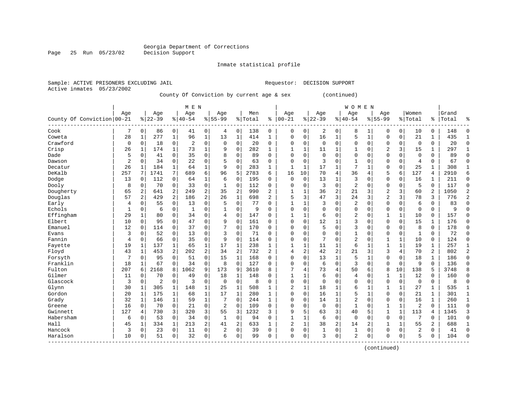Inmate statistical profile

Sample: ACTIVE PRISONERS EXCLUDING JAIL Requestor: DECISION SUPPORT Active inmates 05/23/2002

County Of Conviction by current age & sex (continued)

|                            |                |                |                |              | M E N          |                |                |                |         |                |                |                |           |                | <b>WOMEN</b> |              |                |              |                |                |       |                |
|----------------------------|----------------|----------------|----------------|--------------|----------------|----------------|----------------|----------------|---------|----------------|----------------|----------------|-----------|----------------|--------------|--------------|----------------|--------------|----------------|----------------|-------|----------------|
|                            | Age            |                | Age            |              | Age            |                | Age            |                | Men     |                | Age            |                | Age       |                | Age          |              | Age            |              | Women          |                | Grand |                |
| County Of Conviction 00-21 |                |                | $8 22-39$      |              | $8 40-54$      |                | $8155 - 99$    |                | % Total | ి              | $00 - 21$      | %              | $22 - 39$ |                | $8140 - 54$  |              | $8 55-99$      |              | % Total        | $\frac{1}{6}$  | Total | န္             |
| Cook                       |                | 0              | 86             | 0            | 41             | 0              | 4              | $\mathbf 0$    | 138     | 0              | 0              | 0              | 2         | 0              | 8            |              | $\Omega$       | 0            | 10             | 0              | 148   | $\Omega$       |
| Coweta                     | 28             | 1              | 277            | $\mathbf 1$  | 96             | $\mathbf 1$    | 13             | $\mathbf 1$    | 414     | $\mathbf{1}$   | $\Omega$       | $\Omega$       | 16        | 1              | 5            | $\mathbf{1}$ | $\Omega$       | $\Omega$     | 21             | $\mathbf{1}$   | 435   | 1              |
| Crawford                   | $\mathbf 0$    | $\Omega$       | 18             | 0            | $\overline{2}$ | $\mathbf 0$    | $\Omega$       | $\mathbf 0$    | 20      | $\Omega$       | 0              | $\Omega$       | $\Omega$  | $\Omega$       | 0            | $\Omega$     | $\Omega$       | 0            | $\mathbf 0$    | 0              | 20    | $\Omega$       |
| Crisp                      | 26             | 1              | 174            | 1            | 73             | 1              | 9              | $\mathbf 0$    | 282     | $\mathbf{1}$   | -1             | 1              | 11        | 1              | $\mathbf{1}$ | $\mathbf 0$  | 2              | 3            | 15             | 1              | 297   | $\mathbf{1}$   |
| Dade                       | 5              | $\mathbf 0$    | 41             | $\mathbf 0$  | 35             | $\mathbf 0$    | 8              | $\mathbf 0$    | 89      | $\Omega$       | $\Omega$       | 0              | $\Omega$  | $\Omega$       | $\Omega$     | $\Omega$     | $\Omega$       | 0            | $\mathbf 0$    | 0              | 89    | $\Omega$       |
| Dawson                     | $\overline{c}$ | $\Omega$       | 34             | 0            | 22             | $\mathbf 0$    | 5              | $\mathbf 0$    | 63      | $\Omega$       | $\Omega$       | 0              | 3         | $\Omega$       | $\mathbf{1}$ | $\Omega$     | $\Omega$       | 0            | $\overline{4}$ | $\Omega$       | 67    | $\Omega$       |
| Decatur                    | 26             | 1              | 184            | $\mathbf{1}$ | 64             | $\mathbf 1$    | 9              | $\mathbf 0$    | 283     | $\mathbf 1$    | $\mathbf{1}$   | $\mathbf{1}$   | 17        | $\mathbf{1}$   | 7            | 1            | $\Omega$       | 0            | 25             | $\mathbf{1}$   | 308   | $\mathbf{1}$   |
| DeKalb                     | 257            | 7              | 1741           | 7            | 689            | 6              | 96             | 5              | 2783    | 6              | 16             | 10             | 70        | $\overline{4}$ | 36           | 4            | 5              | 6            | 127            | 4              | 2910  | 6              |
| Dodge                      | 13             | $\Omega$       | 112            | $\mathbf 0$  | 64             | 1              | 6              | $\mathbf 0$    | 195     | $\Omega$       | $\mathbf 0$    | $\Omega$       | 13        | 1              | 3            | 0            | $\Omega$       | $\Omega$     | 16             | 1              | 211   | $\Omega$       |
| Dooly                      | 8              | 0              | 70             | 0            | 33             | $\mathbf 0$    | 1              | $\mathbf 0$    | 112     | $\Omega$       | 0              | $\Omega$       | 3         | $\Omega$       | 2            | 0            | $\Omega$       | $\Omega$     | 5              | $\Omega$       | 117   | $\Omega$       |
| Dougherty                  | 65             | 2              | 641            | 2            | 249            | 2              | 35             | $\overline{2}$ | 990     | $\overline{a}$ | $\mathbf{1}$   | 1              | 36        | $\overline{2}$ | 21           | 3            | $\overline{c}$ | 3            | 60             | $\overline{2}$ | 1050  | $\overline{a}$ |
| Douglas                    | 57             | $\overline{2}$ | 429            | 2            | 186            | $\overline{c}$ | 26             | 1              | 698     | $\overline{a}$ | 5              | 3              | 47        | 3              | 24           | 3            | $\overline{2}$ | 3            | 78             | 3              | 776   | $\overline{2}$ |
| Early                      | $\overline{4}$ | $\Omega$       | 55             | $\mathbf 0$  | 13             | $\mathbf 0$    | 5              | $\Omega$       | 77      | $\Omega$       |                | 1              | 3         | $\Omega$       | 2            | $\Omega$     | $\Omega$       | $\Omega$     | 6              | 0              | 83    | $\Omega$       |
| Echols                     | 1              | 0              | 6              | 0            | 1              | 0              | 1              | 0              | 9       | $\Omega$       | $\Omega$       | 0              | $\Omega$  | 0              | 0            | $\Omega$     | $\Omega$       | 0            | $\Omega$       | 0              | 9     |                |
| Effingham                  | 29             | 1              | 80             | 0            | 34             | $\mathbf 0$    | 4              | 0              | 147     | $\Omega$       | $\mathbf{1}$   | 1              | 6         | $\Omega$       | 2            | $\Omega$     | $\mathbf{1}$   | 1            | 10             | 0              | 157   | $\Omega$       |
| Elbert                     | 10             | $\Omega$       | 95             | $\mathbf 0$  | 47             | $\mathbf 0$    | 9              | $\mathbf 0$    | 161     | $\Omega$       | $\cap$         | 0              | 12        | 1              | 3            | $\Omega$     | $\Omega$       | 0            | 15             | $\mathbf{1}$   | 176   | $\Omega$       |
| Emanuel                    | 12             | 0              | 114            | 0            | 37             | $\mathbf 0$    | 7              | $\mathbf 0$    | 170     | 0              | $\Omega$       | 0              | 5         | $\mathbf 0$    | 3            | $\Omega$     | $\Omega$       | 0            | 8              | $\mathbf 0$    | 178   | $\Omega$       |
| Evans                      | 3              | 0              | 52             | 0            | 13             | $\mathbf 0$    | 3              | $\mathbf 0$    | 71      | $\Omega$       | 0              | 0              | $\Omega$  | $\Omega$       |              | 0            | $\Omega$       | 0            |                | 0              | 72    | $\Omega$       |
| Fannin                     | $\overline{4}$ | 0              | 66             | 0            | 35             | $\mathbf 0$    | 9              | $\mathbf 0$    | 114     | $\Omega$       | $\Omega$       | 0              |           | $\Omega$       | 2            | $\Omega$     | 1              | $\mathbf{1}$ | 10             | 0              | 124   | $\Omega$       |
| Fayette                    | 19             | 1              | 137            | 1            | 65             | 1              | 17             | 1              | 238     | 1              | $\mathbf{1}$   | 1              | 11        | 1              | 6            | $\mathbf{1}$ | $\mathbf{1}$   | 1            | 19             | 1              | 257   | 1              |
| Floyd                      | 43             | 1              | 453            | 2            | 202            | $\overline{2}$ | 34             | 2              | 732     | $\overline{a}$ | 4              | $\overline{2}$ | 42        | $\overline{2}$ | 21           | 3            | 3              | 4            | 70             | 2              | 802   | $\overline{2}$ |
| Forsyth                    | 7              | $\Omega$       | 95             | 0            | 51             | $\mathbf 0$    | 15             | 1              | 168     | $\Omega$       | $\Omega$       | $\Omega$       | 13        | 1              | 5            | $\mathbf{1}$ | $\Omega$       | $\Omega$     | 18             | 1              | 186   | $\Omega$       |
| Franklin                   | 18             |                | 67             | 0            | 34             | $\mathbf 0$    | 8              | $\mathbf 0$    | 127     | $\Omega$       | $\Omega$       | 0              | 6         | $\mathbf 0$    | 3            | $\mathbf 0$  | $\Omega$       | $\mathbf 0$  | 9              | 0              | 136   | $\Omega$       |
| Fulton                     | 207            | 6              | 2168           | 8            | 1062           | 9              | 173            | 9              | 3610    | 8              |                | 4              | 73        | 4              | 50           | 6            | 8              | 10           | 138            | 5              | 3748  |                |
| Gilmer                     | 11             | $\Omega$       | 70             | 0            | 49             | $\mathbf 0$    | 18             | $\mathbf 1$    | 148     | $\Omega$       | $\mathbf{1}$   | 1              | 6         | $\Omega$       | 4            | $\Omega$     | $\mathbf{1}$   | $\mathbf{1}$ | 12             | 0              | 160   | $\Omega$       |
| Glascock                   | 3              | 0              | $\overline{2}$ | 0            | 3              | 0              | $\mathbf 0$    | $\mathbf 0$    | 8       | $\Omega$       | $\Omega$       | 0              | $\Omega$  | $\Omega$       | 0            | $\Omega$     | $\Omega$       | 0            | $\mathbf 0$    | $\mathbf 0$    | 8     | $\Omega$       |
| Glynn                      | 30             |                | 305            | 1            | 148            | 1              | 25             | 1              | 508     | 1              | $\overline{2}$ | 1              | 18        |                | б            |              | 1              |              | 27             | 1              | 535   | $\mathbf{1}$   |
| Gordon                     | 20             |                | 175            | 1            | 68             | 1              | 17             | 1              | 280     | 1              | $\Omega$       | $\Omega$       | 16        | 1              | 5            | 1            | $\Omega$       | $\Omega$     | 21             | 1              | 301   | 1              |
| Grady                      | 32             |                | 146            | 1            | 59             | $\mathbf 1$    | 7              | $\Omega$       | 244     | $\mathbf{1}$   | U              | $\Omega$       | 14        | 1              | 2            | $\Omega$     | $\Omega$       | $\Omega$     | 16             | 1              | 260   | $\mathbf{1}$   |
| Greene                     | 16             | $\Omega$       | 70             | 0            | 21             | $\mathbf 0$    | 2              | $\Omega$       | 109     | $\Omega$       | $\Omega$       | $\Omega$       | $\Omega$  | $\Omega$       | 1            | $\Omega$     | 1              | 1            | $\overline{2}$ | $\Omega$       | 111   | $\Omega$       |
| Gwinnett                   | 127            | 4              | 730            | 3            | 320            | 3              | 55             | 3              | 1232    | 3              | 9              | 5              | 63        | 3              | 40           | 5            | 1              | $\mathbf{1}$ | 113            | 4              | 1345  | 3              |
| Habersham                  | 6              | $\Omega$       | 53             | $\mathbf 0$  | 34             | $\mathbf 0$    | 1              | $\mathbf 0$    | 94      | $\Omega$       | -1             | 1              | 6         | $\mathbf 0$    | $\mathbf 0$  | $\Omega$     | $\Omega$       | 0            | 7              | 0              | 101   | $\Omega$       |
| Hall                       | 45             |                | 334            | $\mathbf 1$  | 213            | 2              | 41             | $\overline{2}$ | 633     | $\mathbf{1}$   | 2              | $\mathbf 1$    | 38        | $\overline{2}$ | 14           | 2            |                | 1            | 55             | 2              | 688   |                |
| Hancock                    | 3              | 0              | 23             | 0            | 11             | 0              | $\overline{a}$ | $\mathbf 0$    | 39      | $\mathbf 0$    | $\Omega$       | 0              |           | $\mathsf 0$    | $\mathbf{1}$ | 0            | $\Omega$       | 0            | 2              | 0              | 41    | $\Omega$       |
| Haralson<br>$- - - - -$    | 10             | 0              | 51             | 0            | 32             | 0              | 6              | $\mathbf 0$    | 99      | $\Omega$       | $\Omega$       | 0              | 3         | $\mathbf 0$    | 2            | $\Omega$     | $\Omega$       | 0            | 5              | 0              | 104   | $\Omega$       |

(continued)

Page 25 Run 05/23/02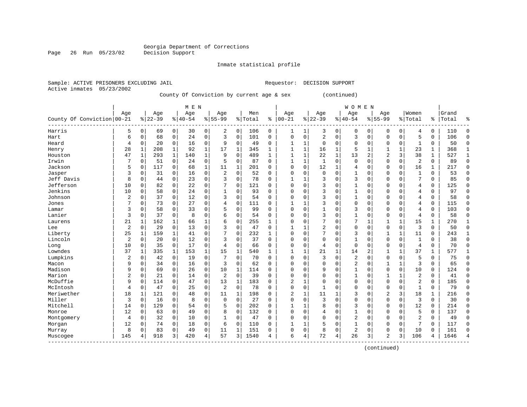Inmate statistical profile

Active inmates 05/23/2002

Sample: ACTIVE PRISONERS EXCLUDING JAIL Requestor: DECISION SUPPORT

County Of Conviction by current age & sex (continued)

|                            |                |              |           |              | M E N    |             |                |             |         |              |              |              |                |              | <b>WOMEN</b>   |             |                |              |                |              |       |              |
|----------------------------|----------------|--------------|-----------|--------------|----------|-------------|----------------|-------------|---------|--------------|--------------|--------------|----------------|--------------|----------------|-------------|----------------|--------------|----------------|--------------|-------|--------------|
|                            | Age            |              | Age       |              | Age      |             | Age            |             | Men     |              | Age          |              | Age            |              | Age            |             | Age            |              | Women          |              | Grand |              |
| County Of Conviction 00-21 |                |              | $8 22-39$ |              | $ 40-54$ |             | $8155 - 99$    |             | % Total | နွ           | $ 00 - 21$   |              | $8 22-39$      |              | $8 40-54$      |             | $8155 - 99$    |              | % Total        | ႜ            | Total | 욲            |
| Harris                     | 5              | 0            | 69        | $\mathbf 0$  | 30       | 0           | 2              | $\mathbf 0$ | 106     | 0            | 1            | 1            | 3              | 0            | 0              | 0           | 0              | 0            | 4              | 0            | 110   | $\Omega$     |
| Hart                       | 6              | $\mathbf 0$  | 68        | $\mathbf 0$  | 24       | $\mathbf 0$ | 3              | $\mathbf 0$ | 101     | $\mathbf 0$  | 0            | 0            | $\overline{2}$ | $\mathbf 0$  | 3              | $\mathbf 0$ | $\Omega$       | $\mathbf 0$  | 5              | 0            | 106   | $\mathbf 0$  |
| Heard                      | 4              | $\Omega$     | 20        | $\mathbf 0$  | 16       | $\mathbf 0$ | 9              | $\mathbf 0$ | 49      | $\Omega$     | 1            | $\mathbf{1}$ | $\Omega$       | $\Omega$     | $\Omega$       | $\Omega$    | 0              | $\Omega$     | 1              | 0            | 50    | $\mathbf 0$  |
| Henry                      | 28             | $\mathbf{1}$ | 208       | $\mathbf{1}$ | 92       | $\mathbf 1$ | 17             | 1           | 345     | $\mathbf{1}$ | -1           | $\mathbf{1}$ | 16             | 1            | 5              | 1           |                | $\mathbf{1}$ | 23             | $\mathbf{1}$ | 368   | $\mathbf{1}$ |
| Houston                    | 47             | $\mathbf{1}$ | 293       | $\mathbf{1}$ | 140      | $\mathbf 1$ | 9              | $\mathbf 0$ | 489     | $\mathbf{1}$ | $\mathbf{1}$ | $\mathbf{1}$ | 22             | $\mathbf{1}$ | 13             | 2           | $\overline{c}$ | 3            | 38             | $\mathbf{1}$ | 527   | $\mathbf{1}$ |
| Irwin                      | 7              | 0            | 51        | $\mathbf 0$  | 24       | 0           | 5              | 0           | 87      | $\Omega$     | $\mathbf{1}$ | 1            | 1              | $\Omega$     | 0              | $\Omega$    | $\Omega$       | $\mathbf 0$  | 2              | 0            | 89    | $\mathbf 0$  |
| Jackson                    | 5              | 0            | 117       | 0            | 68       | 1           | 11             | 1           | 201     | $\Omega$     | $\Omega$     | 0            | 12             | 1            | 4              | $\Omega$    | $\Omega$       | 0            | 16             | 1            | 217   | $\mathbf 0$  |
| Jasper                     | 3              | 0            | 31        | 0            | 16       | $\mathbf 0$ | $\overline{2}$ | $\mathbf 0$ | 52      | $\Omega$     | 0            | 0            | 0              | $\Omega$     |                | 0           | 0              | 0            | 1              | 0            | 53    | $\mathbf 0$  |
| Jeff Davis                 | 8              | 0            | 44        | 0            | 23       | $\mathbf 0$ | 3              | $\mathbf 0$ | 78      | 0            | -1           | 1            | 3              | $\Omega$     | 3              | C           | $\Omega$       | 0            | 7              | 0            | 85    | $\mathbf 0$  |
| Jefferson                  | 10             | $\Omega$     | 82        | $\Omega$     | 22       | $\Omega$    | 7              | $\Omega$    | 121     | $\Omega$     | O            | $\Omega$     | 3              | $\Omega$     | $\mathbf{1}$   | C           | $\Omega$       | $\Omega$     | 4              | 0            | 125   | $\Omega$     |
| Jenkins                    | 10             | $\Omega$     | 58        | 0            | 24       | $\mathbf 0$ | 1              | $\Omega$    | 93      | $\Omega$     | 0            | $\Omega$     | 3              | $\Omega$     | 1              | O           | $\Omega$       | $\Omega$     | $\overline{4}$ | $\Omega$     | 97    | $\Omega$     |
| Johnson                    | 2              | $\Omega$     | 37        | 0            | 12       | $\mathbf 0$ | 3              | 0           | 54      | $\Omega$     | 0            | $\Omega$     | 3              | $\Omega$     | 1              | 0           | 0              | $\Omega$     | 4              | 0            | 58    | $\Omega$     |
| Jones                      |                | 0            | 73        | 0            | 27       | $\mathbf 0$ | 4              | $\mathbf 0$ | 111     | $\Omega$     |              | 1            | 3              | $\Omega$     | $\Omega$       | $\Omega$    | $\Omega$       | $\Omega$     | 4              | 0            | 115   | $\Omega$     |
| Lamar                      | 3              | 0            | 58        | 0            | 33       | 0           | 5              | 0           | 99      | $\Omega$     | $\Omega$     | 0            |                | $\Omega$     | 3              | $\Omega$    | $\Omega$       | $\Omega$     | 4              | 0            | 103   | $\Omega$     |
| Lanier                     | 3              | 0            | 37        | $\mathbf 0$  | 8        | 0           | б              | $\mathbf 0$ | 54      | 0            | $\cap$       | $\Omega$     | 3              | $\Omega$     | 1              | $\Omega$    | $\Omega$       | 0            | 4              | 0            | 58    | $\mathbf 0$  |
| Laurens                    | 21             | 1            | 162       | 1            | 66       | $\mathbf 1$ | б              | $\mathbf 0$ | 255     | 1            | C            | 0            |                | $\Omega$     | 7              | -1          | $\mathbf{1}$   | $\mathbf{1}$ | 15             | 1            | 270   | $\mathbf{1}$ |
| Lee                        | $\overline{2}$ | 0            | 29        | $\mathbf 0$  | 13       | $\mathbf 0$ | 3              | $\mathbf 0$ | 47      | 0            |              |              | 2              | $\Omega$     | 0              | 0           | $\Omega$       | $\mathbf 0$  | 3              | 0            | 50    | $\mathbf 0$  |
| Liberty                    | 25             | 1            | 159       | 1            | 41       | 0           |                | $\mathbf 0$ | 232     | $\mathbf{1}$ | O            | $\Omega$     |                | $\Omega$     | 3              | 0           |                | $\mathbf{1}$ | 11             | 0            | 243   | $\mathbf{1}$ |
| Lincoln                    | 2              | $\Omega$     | 20        | 0            | 12       | $\mathbf 0$ | 3              | $\Omega$    | 37      | $\Omega$     | O            | $\Omega$     | <sup>0</sup>   | $\Omega$     | 1              | O           | $\Omega$       | $\Omega$     | $\mathbf{1}$   | 0            | 38    | $\Omega$     |
| Long                       | 10             | $\Omega$     | 35        | $\mathbf 0$  | 17       | $\mathbf 0$ | 4              | $\mathbf 0$ | 66      | $\Omega$     | 0            | $\Omega$     | 4              | $\Omega$     | 0              | O           | $\Omega$       | $\Omega$     | 4              | 0            | 70    | $\cap$       |
| Lowndes                    | 37             | 1            | 335       | 1            | 153      | 1           | 15             | 1           | 540     | $\mathbf{1}$ |              | 1            | 21             | 1            | 14             | 2           |                | $\mathbf{1}$ | 37             | 1            | 577   | -1           |
| Lumpkins                   | $\overline{a}$ | $\mathbf 0$  | 42        | $\mathbf 0$  | 19       | 0           |                | $\mathbf 0$ | 70      | $\mathbf 0$  | 0            | 0            | 3              | $\mathbf 0$  | 2              | $\Omega$    | 0              | $\mathbf 0$  | 5              | 0            | 75    | $\mathbf 0$  |
| Macon                      | 9              | $\mathbf 0$  | 34        | $\mathbf 0$  | 16       | $\mathbf 0$ | 3              | $\mathbf 0$ | 62      | $\mathbf 0$  | C            | 0            |                | $\Omega$     | $\overline{2}$ | $\Omega$    |                | $\mathbf{1}$ | 3              | 0            | 65    | $\Omega$     |
| Madison                    | 9              | 0            | 69        | $\mathbf 0$  | 26       | $\mathbf 0$ | 10             | 1           | 114     | $\Omega$     |              | 0            | 9              | $\Omega$     | 1              | 0           | $\Omega$       | $\mathbf 0$  | 10             | 0            | 124   | $\mathbf 0$  |
| Marion                     | $\overline{2}$ | 0            | 21        | 0            | 14       | 0           | $\overline{2}$ | $\mathbf 0$ | 39      | 0            | $\cap$       | 0            | <sup>0</sup>   | $\Omega$     | 1              | O           |                |              | $\overline{2}$ | 0            | 41    | $\mathbf 0$  |
| McDuffie                   | 9              | 0            | 114       | 0            | 47       | $\mathbf 0$ | 13             | 1           | 183     | 0            | 2            | 1            |                | $\Omega$     | 0              | 0           | $\Omega$       | $\Omega$     | 2              | 0            | 185   | $\mathbf 0$  |
| McIntosh                   | 4              | 0            | 47        | 0            | 25       | 0           | $\overline{2}$ | $\mathbf 0$ | 78      | 0            | $\Omega$     | 0            |                | $\Omega$     | $\Omega$       | 0           | $\Omega$       | $\Omega$     | $\mathbf{1}$   | $\Omega$     | 79    | $\mathbf 0$  |
| Meriwether                 | 18             | 1            | 121       | 0            | 48       | 0           | 11             | 1           | 198     | $\Omega$     | 2            | 1            | 11             |              | 3              | $\sqrt{ }$  | 2              | 3            | 18             | 1            | 216   | $\Omega$     |
| Miller                     | 3              | $\Omega$     | 16        | 0            | 8        | $\mathbf 0$ | $\mathbf 0$    | $\mathbf 0$ | 27      | $\Omega$     | U            | $\Omega$     | 3              | $\Omega$     | $\Omega$       | C           | $\Omega$       | $\Omega$     | 3              | 0            | 30    | $\Omega$     |
| Mitchell                   | 14             | 0            | 129       | $\mathbf 0$  | 54       | $\mathbf 0$ | 5              | $\mathbf 0$ | 202     | 0            |              | 1            | 8              | $\Omega$     | 3              | $\Omega$    | $\Omega$       | $\mathbf 0$  | 12             | 0            | 214   | $\Omega$     |
| Monroe                     | 12             | 0            | 63        | $\mathbf 0$  | 49       | $\mathbf 0$ | 8              | $\mathbf 0$ | 132     | 0            | 0            | 0            | 4              | $\Omega$     |                | 0           | 0              | $\Omega$     | 5              | 0            | 137   | $\mathbf 0$  |
| Montgomery                 | 4              | 0            | 32        | $\mathbf 0$  | 10       | $\mathbf 0$ | 1              | $\mathbf 0$ | 47      | $\mathbf 0$  | $\Omega$     | 0            | $\Omega$       | $\Omega$     | $\overline{2}$ | $\Omega$    | $\Omega$       | $\mathbf 0$  | $\overline{2}$ | 0            | 49    | $\mathbf 0$  |
| Morgan                     | 12             | 0            | 74        | 0            | 18       | 0           | 6              | $\mathbf 0$ | 110     | $\Omega$     |              | 1            |                | $\Omega$     | $\mathbf{1}$   | 0           | $\Omega$       | $\Omega$     | 7              | $\Omega$     | 117   | $\Omega$     |
| Murray                     | 8              | $\Omega$     | 83        | 0            | 49       | $\mathbf 0$ | 11             | 1           | 151     | $\Omega$     | $\Omega$     | 0            | 8              | $\Omega$     | 2              | $\Omega$    | $\Omega$       | $\Omega$     | 10             | $\Omega$     | 161   | $\bigcap$    |
| Muscogee                   | 145            | 4            | 918       | 3            | 420      | 4           | 57             | 3           | 1540    | 4            | 6            | 4            | 72             | 4            | 26             | 3           | $\mathfrak{D}$ | 3            | 106            | 4            | 1646  | 4            |

(continued)

Page 26 Run 05/23/02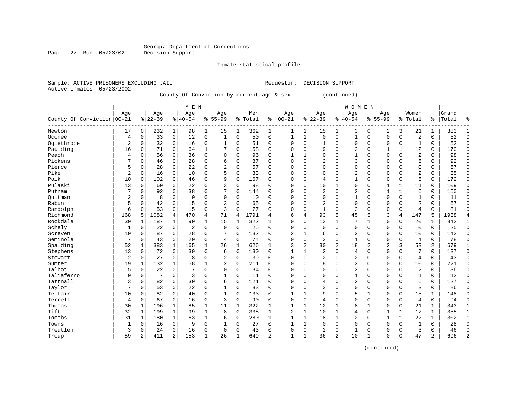Inmate statistical profile

Sample: ACTIVE PRISONERS EXCLUDING JAIL Requestor: DECISION SUPPORT

Active inmates 05/23/2002

Page 27 Run 05/23/02

#### County Of Conviction by current age & sex (continued)

|                            |                |                |           |                | M E N       |              |                |             |         |                |                |              |                |              | W O M E N      |              |                |                |                |          |       |              |
|----------------------------|----------------|----------------|-----------|----------------|-------------|--------------|----------------|-------------|---------|----------------|----------------|--------------|----------------|--------------|----------------|--------------|----------------|----------------|----------------|----------|-------|--------------|
|                            | Age            |                | Age       |                | Age         |              | Age            |             | Men     |                | Age            |              | Age            |              | Age            |              | Age            |                | Women          |          | Grand |              |
| County Of Conviction 00-21 |                |                | $8 22-39$ |                | $ 40-54$    |              | $8155 - 99$    |             | % Total | ి              | $ 00 - 21$     |              | $ 22-39$       |              | $8 40-54$      |              | $8155 - 99$    |                | % Total        | ႜ        | Total | ⊱            |
| Newton                     | 17             | $\overline{0}$ | 232       | 1              | 98          | $\mathbf 1$  | 15             | 1           | 362     | $\mathbf 1$    | 1              | 1            | 15             | 1            | 3              | 0            | 2              | 3              | 21             | 1        | 383   | 1            |
| Oconee                     | 4              | $\Omega$       | 33        | $\mathbf 0$    | 12          | $\mathbf 0$  | 1              | $\Omega$    | 50      | $\Omega$       | $\mathbf{1}$   | $\mathbf{1}$ | $\Omega$       | $\Omega$     | 1              | $\Omega$     | $\Omega$       | $\Omega$       | $\overline{2}$ | $\Omega$ | 52    | $\Omega$     |
| Oglethrope                 | $\overline{2}$ | $\Omega$       | 32        | $\Omega$       | 16          | 0            |                | 0           | 51      | 0              | $\Omega$       | $\Omega$     | $\mathbf{1}$   | $\Omega$     | $\Omega$       | 0            | $\Omega$       | $\Omega$       | 1              | 0        | 52    | $\Omega$     |
| Paulding                   | 16             | $\Omega$       | 71        | $\Omega$       | 64          | 1            |                | $\mathbf 0$ | 158     | 0              | $\Omega$       | $\Omega$     | 9              | $\Omega$     | 2              | $\mathbf 0$  |                | $\mathbf 1$    | 12             | 0        | 170   | $\Omega$     |
| Peach                      | 4              | 0              | 56        | $\Omega$       | 36          | 0            | $\Omega$       | $\mathbf 0$ | 96      | 0              |                | $\mathbf{1}$ | $\Omega$       | U            |                | $\mathbf 0$  | $\Omega$       | $\mathbf 0$    | $\overline{2}$ | 0        | 98    | $\Omega$     |
| Pickens                    | 7              | 0              | 46        | $\Omega$       | 28          | $\mathbf 0$  | 6              | $\mathbf 0$ | 87      | $\Omega$       | $\Omega$       | $\Omega$     | 2              | 0            | 3              | $\Omega$     | 0              | $\mathbf 0$    | 5              | 0        | 92    | 0            |
| Pierce                     | 5              | 0              | 28        | 0              | 22          | 0            | $\overline{2}$ | $\mathbf 0$ | 57      | 0              | $\Omega$       | $\Omega$     | $\Omega$       | $\Omega$     | $\Omega$       | $\Omega$     | $\Omega$       | 0              | $\Omega$       | 0        | 57    | $\mathbf 0$  |
| Pike                       | 2              | $\Omega$       | 16        | $\Omega$       | 10          | 0            |                | $\Omega$    | 33      | 0              | $\Omega$       | 0            | 0              | 0            | 2              | 0            | $\Omega$       | $\Omega$       | $\overline{2}$ | $\Omega$ | 35    | 0            |
| Polk                       | 10             | 0              | 102       | $\Omega$       | 46          | 0            | 9              | $\Omega$    | 167     | 0              | <sup>0</sup>   | O            | 4              | 0            |                | $\Omega$     | $\Omega$       | 0              | 5              | $\Omega$ | 172   | 0            |
| Pulaski                    | 13             | 0              | 60        | $\Omega$       | 22          | 0            | ζ              | $\Omega$    | 98      | 0              | $\Omega$       | $\Omega$     | 10             | 1            | $\Omega$       | $\Omega$     |                | $\mathbf{1}$   | 11             | $\Omega$ | 109   | $\Omega$     |
| Putnam                     | 7              | $\Omega$       | 92        | $\Omega$       | 38          | $\Omega$     | 7              | $\Omega$    | 144     | $\Omega$       | $\Omega$       | $\Omega$     | 3              | $\Omega$     | 2              | $\Omega$     | 1              | $\mathbf{1}$   | 6              | $\Omega$ | 150   | $\Omega$     |
| Ouitman                    | 2              | $\Omega$       | 8         | $\Omega$       | $\mathbf 0$ | 0            | $\Omega$       | $\Omega$    | 10      | $\Omega$       | $\Omega$       | $\Omega$     | $\mathbf 0$    | $\Omega$     |                | $\Omega$     | $\Omega$       | $\Omega$       | $\mathbf{1}$   | 0        | 11    | $\Omega$     |
| Rabun                      | 5              | 0              | 42        | 0              | 15          | 0            | 3              | $\mathbf 0$ | 65      | 0              | <sup>0</sup>   | $\Omega$     | $\overline{2}$ | U            | $\Omega$       | $\Omega$     | 0              | $\mathbf 0$    | $\overline{2}$ | 0        | 67    | $\Omega$     |
| Randolph                   | 6              | 0              | 53        | 0              | 15          | 0            | 3              | $\mathbf 0$ | 77      | 0              | $\cap$         | $\Omega$     | $\mathbf{1}$   | 0            | 3              | $\mathbf 0$  | $\Omega$       | $\mathbf 0$    | $\overline{4}$ | 0        | 81    | $\Omega$     |
| Richmond                   | 168            | 5              | 1082      | $\overline{4}$ | 470         | 4            | 71             | 4           | 1791    | 4              | 6              | 4            | 93             | 5            | 45             | 5            | 3              | $\overline{4}$ | 147            | 5        | 1938  | 4            |
| Rockdale                   | 30             | 1              | 187       | 1              | 90          | 1            | 15             | 1           | 322     | 1              | $\Omega$       | $\Omega$     | 13             | 1            | 7              | 1            | $\Omega$       | 0              | 20             | 1        | 342   | 1            |
| Schely                     | 1              | 0              | 22        | 0              | 2           | 0            | $\Omega$       | $\Omega$    | 25      | 0              | $\Omega$       | 0            | $\mathbf 0$    | $\Omega$     | $\Omega$       | 0            | 0              | $\mathbf 0$    | $\mathbf 0$    | 0        | 25    | $\mathbf 0$  |
| Screven                    | 10             | $\Omega$       | 87        | 0              | 28          | 0            |                | $\Omega$    | 132     | 0              | $\overline{2}$ |              | 6              | $\Omega$     | 2              | $\Omega$     | $\Omega$       | $\mathbf 0$    | 10             | 0        | 142   | $\Omega$     |
| Seminole                   | 7              | 0              | 43        | 0              | 20          | 0            | 4              | $\Omega$    | 74      | $\Omega$       | $\Omega$       | $\Omega$     | 3              | $\Omega$     | 1              | $\Omega$     | $\Omega$       | $\Omega$       | 4              | 0        | 78    | $\Omega$     |
| Spalding                   | 52             | 1              | 383       | 1              | 165         | 1            | 26             | $\mathbf 1$ | 626     | 1              | 3              | 2            | 30             | 2            | 18             | 2            | $\overline{2}$ | 3              | 53             | 2        | 679   | 1            |
| Stephens                   | 13             | 0              | 72        | $\mathbf 0$    | 39          | 0            | 6              | $\mathbf 0$ | 130     | 0              |                |              | $\overline{2}$ | $\Omega$     | 4              | $\mathbf 0$  | $\Omega$       | $\mathbf 0$    | 7              | 0        | 137   | 0            |
| Stewart                    | $\overline{2}$ | $\Omega$       | 27        | $\Omega$       | 8           | 0            | 2              | $\mathbf 0$ | 39      | 0              | $\Omega$       | $\Omega$     | $\overline{2}$ | 0            | $\overline{2}$ | $\mathbf 0$  | 0              | $\mathbf 0$    | $\overline{4}$ | 0        | 43    | $\Omega$     |
| Sumter                     | 19             | 1              | 132       | $\mathbf{1}$   | 58          | 1            | $\overline{2}$ | $\mathbf 0$ | 211     | 0              | <sup>0</sup>   | $\Omega$     | 8              | 0            | $\overline{2}$ | $\mathbf 0$  | $\Omega$       | $\mathbf 0$    | 10             | $\Omega$ | 221   | $\Omega$     |
| Talbot                     | 5              | 0              | 22        | $\Omega$       | 7           | $\Omega$     | $\Omega$       | $\mathbf 0$ | 34      | $\Omega$       | $\Omega$       | $\Omega$     | $\Omega$       | $\Omega$     | $\overline{2}$ | $\mathbf 0$  | $\Omega$       | 0              | $\overline{2}$ | $\Omega$ | 36    | $\Omega$     |
| Taliaferro                 | 0              | 0              | 7         | $\Omega$       | 3           | 0            | 1              | $\Omega$    | 11      | $\Omega$       | $\Omega$       | O            | $\Omega$       | $\Omega$     |                | $\Omega$     | $\Omega$       | $\Omega$       | 1              | $\Omega$ | 12    | $\Omega$     |
| Tattnall                   | 3              | 0              | 82        | $\Omega$       | 30          | 0            | 6              | 0           | 121     | $\Omega$       | $\Omega$       | $\Omega$     | 4              | $\Omega$     | 2              | 0            | $\Omega$       | 0              | 6              | 0        | 127   | 0            |
| Taylor                     | 7              | $\Omega$       | 53        | 0              | 22          | 0            |                | 0           | 83      | 0              | $\Omega$       | O            | 3              | O            | $\Omega$       | $\Omega$     | 0              | $\mathbf 0$    | 3              | 0        | 86    | 0            |
| Telfair                    | 10             | 0              | 82        | 0              | 40          | 0            |                | $\Omega$    | 133     | 0              |                |              | 9              | U            |                | 1            | $\Omega$       | $\mathbf 0$    | 15             | 1        | 148   | 0            |
| Terrell                    | 4              | 0              | 67        | 0              | 16          | 0            | 3              | $\mathbf 0$ | 90      | 0              | $\Omega$       | $\Omega$     | $\overline{4}$ | $\Omega$     | $\Omega$       | $\Omega$     | $\Omega$       | $\mathbf 0$    | $\overline{4}$ | 0        | 94    | 0            |
| Thomas                     | 30             | 1              | 196       | 1              | 85          | $\mathbf 1$  | 11             | 1           | 322     | 1              | $\mathbf{1}$   | 1            | 12             | 1            | 8              | $\mathbf{1}$ | $\Omega$       | $\mathbf 0$    | 21             | 1        | 343   | $\mathbf{1}$ |
| Tift                       | 32             | $\mathbf{1}$   | 199       | $\mathbf{1}$   | 99          | $\mathbf{1}$ | 8              | $\Omega$    | 338     | 1              | $\overline{2}$ | $\mathbf{1}$ | 10             | 1            | 4              | $\Omega$     |                | $\mathbf{1}$   | 17             | 1        | 355   | 1            |
| Toombs                     | 31             | 1              | 180       | 1              | 63          | $\mathbf 1$  | 6              | $\mathbf 0$ | 280     | $\mathbf{1}$   | $\mathbf{1}$   | $\mathbf{1}$ | 18             | $\mathbf{1}$ | $\overline{2}$ | $\mathbf 0$  | 1              | $\mathbf{1}$   | 22             | 1        | 302   | 1            |
| Towns                      | 1              | 0              | 16        | 0              | 9           | 0            |                | 0           | 27      | 0              |                | 1            | $\mathbf 0$    | 0            | $\Omega$       | $\mathbf 0$  | $\Omega$       | $\mathbf 0$    | 1              | $\Omega$ | 28    | $\Omega$     |
| Treutlen                   | 3              | 0              | 24        | $\mathbf 0$    | 16          | 0            | $\Omega$       | $\mathbf 0$ | 43      | $\Omega$       | $\Omega$       | 0            | $\overline{2}$ | 0            | $\mathbf{1}$   | $\mathbf 0$  | $\Omega$       | $\mathbf 0$    | 3              | 0        | 46    | $\Omega$     |
| Troup                      | 59             | $\overline{a}$ | 411       | $\overline{2}$ | 153         | 1            | 26             | 1           | 649     | $\overline{2}$ | $\mathbf{1}$   | 1            | 36             | 2            | 10             | 1            | $\Omega$       | 0              | 47             | 2        | 696   | 2            |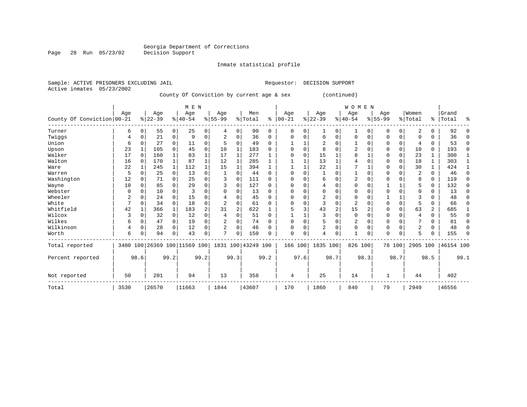#### Inmate statistical profile

| Active inmates 05/23/2002 |  | Sample: ACTIVE PRISONERS EXCLUDING JAIL |  |  |
|---------------------------|--|-----------------------------------------|--|--|
|                           |  |                                         |  |  |

Page 28 Run 05/23/02

Requestor: DECISION SUPPORT

County Of Conviction by current age & sex (continued)

|                            |      |          |           |                | M E N                        |                |                |                |                    |          |          |          |                |                | <b>WOMEN</b>   |          |             |          |                |                |           |          |
|----------------------------|------|----------|-----------|----------------|------------------------------|----------------|----------------|----------------|--------------------|----------|----------|----------|----------------|----------------|----------------|----------|-------------|----------|----------------|----------------|-----------|----------|
|                            | Age  |          | Age       |                | Age                          |                | Age            |                | Men                |          | Age      |          | Age            |                | Age            |          | Age         |          | Women          |                | Grand     |          |
| County Of Conviction 00-21 |      |          | $8 22-39$ |                | $8 40-54$                    |                | $8155 - 99$    |                | % Total            | ႜ        | $ 00-21$ |          | $ 22-39 $      |                | $8 40-54$      |          | $8155 - 99$ |          | % Total        |                | %   Total | ႜ        |
| Turner                     | 6    | 0        | 55        | $\overline{0}$ | 25                           | $\overline{0}$ | 4              | $\Omega$       | 90                 | 0        | 0        | 0        | 1              | 0              | 1              | $\Omega$ | 0           | 0        | 2              | 0              | 92        |          |
| Twiggs                     | 4    |          | 21        | 0              | 9                            | 0              | 2              | $\Omega$       | 36                 | 0        | $\Omega$ | O        | $\Omega$       | $\Omega$       | $\Omega$       | $\Omega$ | $\Omega$    | 0        | $\Omega$       | U              | 36        | ∩        |
| Union                      | 6    |          | 27        | 0              | 11                           | 0              |                | 0              | 49                 | U        |          |          |                | O              |                | $\Omega$ | U           | 0        | 4              | 0              | 53        | $\Omega$ |
| Upson                      | 23   |          | 105       | 0              | 45                           | 0              | 10             |                | 183                |          | 0        | O        | 8              | $\Omega$       | 2              | $\Omega$ | $\Omega$    | 0        | 10             | 0              | 193       | $\Omega$ |
| Walker                     | 17   |          | 160       |                | 83                           | 1              | 17             |                | 277                |          | $\Omega$ | O        | 15             |                | 8              |          | $\Omega$    | 0        | 23             | 1              | 300       |          |
| Walton                     | 16   |          | 170       | $\mathbf 1$    | 87                           | $\mathbf{1}$   | 12             | 1              | 285                |          |          |          | 13             | 1              |                | $\Omega$ | 0           | 0        | 18             | 1              | 303       |          |
| Ware                       | 22   |          | 245       | $\mathbf{1}$   | 112                          | 1              | 15             | 1              | 394                |          |          |          | 22             |                |                |          | $\Omega$    | $\Omega$ | 30             | 1              | 424       |          |
| Warren                     | 5    |          | 25        | $\Omega$       | 13                           | 0              |                | O              | 44                 | U        | $\Omega$ | O        |                | $\Omega$       |                | $\Omega$ | $\Omega$    |          | $\overline{c}$ | 0              | 46        | ∩        |
| Washington                 | 12   |          | 71        | $\Omega$       | 25                           | 0              | 3              | $\Omega$       | 111                | U        | O        | O        | 6              | $\Omega$       | 2              | $\Omega$ | U           |          | 8              | 0              | 119       | ∩        |
| Wayne                      | 10   | 0        | 85        |                | 29                           | 0              | 3              | $\Omega$       | 127                | U        | $\Omega$ | U        | 4              | $\Omega$       | $\Omega$       | $\cap$   |             |          | 5              | 0              | 132       | ∩        |
| Webster                    |      |          | 10        |                |                              | U              |                |                | 13                 | U        |          |          | U              | O              | U              | $\Omega$ | U           |          | O              | U              | 13        |          |
| Wheeler                    | 2    |          | 24        |                | 15                           | 0              |                | ∩              | 45                 | 0        | n        | U        |                | $\Omega$       | $\Omega$       | $\cap$   |             |          | κ              | U              | 48        |          |
| White                      | 7    |          | 34        | $\Omega$       | 18                           | 0              | 2              |                | 61                 | U        | U        | O        |                | $\Omega$       | $\overline{2}$ | C        | $\Omega$    | $\Omega$ | 5              | 0              | 66        |          |
| Whitfield                  | 42   |          | 366       | $\mathbf{1}$   | 183                          | $\overline{a}$ | 31             | $\overline{2}$ | 622                |          |          | 3        | 43             | $\overline{2}$ | 15             |          | $\Omega$    | $\Omega$ | 63             | $\overline{a}$ | 685       |          |
| Wilcox                     | ζ    |          | 32        | $\Omega$       | 12                           | 0              | 4              | $\Omega$       | 51                 | $\Omega$ |          |          |                | $\Omega$       | $\mathbf 0$    | $\Omega$ | $\Omega$    | $\Omega$ | 4              | 0              | 55        | U        |
| Wilkes                     | 6    |          | 47        | $\Omega$       | 19                           | 0              | 2              | O              | 74                 | U        | 0        | $\Omega$ | 5              | $\Omega$       | 2              | $\Omega$ | $\Omega$    | $\Omega$ |                | 0              | 81        |          |
| Wilkinson                  | 4    | $\Omega$ | 28        | $\Omega$       | 12                           | 0              | $\overline{c}$ | $\Omega$       | 46                 | 0        | $\Omega$ | 0        | $\overline{2}$ | $\Omega$       | $\Omega$       | $\Omega$ | $\Omega$    | $\Omega$ | $\overline{2}$ | 0              | 48        |          |
| Worth                      | 6    |          | 94        |                | 43                           | 0              | π              |                | 150                | U        | $\Omega$ | 0        | 4              | 0              | $\mathbf{1}$   | $\Omega$ | $\Omega$    | 0        | 5              | U              | 155       | ∩        |
| Total reported             |      |          |           |                | 3480 100 26369 100 11569 100 |                |                |                | 1831 100 43249 100 |          | 166 100  |          | 1835 100       |                | 826 100        |          |             | 78 100   | 2905 100       |                | 46154 100 |          |
| Percent reported           |      | 98.6     |           | 99.2           |                              | 99.2           |                | 99.3           |                    | 99.2     |          | 97.6     |                | 98.7           |                | 98.3     |             | 98.7     |                | 98.5           |           | 99.1     |
| Not reported               | 50   |          | 201       |                | 94                           |                | 13             |                | 358                |          | 4        |          | 25             |                | 14             |          | 1           |          | 44             |                | 402       |          |
| Total                      | 3530 |          | 26570     |                | 11663                        |                | 1844           |                | 43607              |          | 170      |          | 1860           |                | 840            |          | 79          |          | 2949           |                | 46556     |          |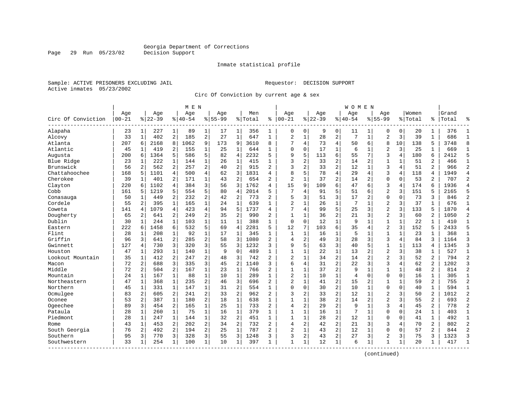Inmate statistical profile

Sample: ACTIVE PRISONERS EXCLUDING JAIL Requestor: DECISION SUPPORT Active inmates 05/23/2002

Page 29 Run 05/23/02

Circ Of Conviction by current age & sex

|                    |                  |                |                  |                | M E N           |                |                    |                |                |                |                   |              |                  |                | W O M E N          |                |                    |                |                  |                |                |                |
|--------------------|------------------|----------------|------------------|----------------|-----------------|----------------|--------------------|----------------|----------------|----------------|-------------------|--------------|------------------|----------------|--------------------|----------------|--------------------|----------------|------------------|----------------|----------------|----------------|
| Circ Of Conviction | Age<br>$00 - 21$ |                | Age<br>$8 22-39$ |                | Age<br>$ 40-54$ |                | Aqe<br>$8155 - 99$ |                | Men<br>% Total | ႜ              | Aqe<br>$100 - 21$ |              | Aqe<br>$8 22-39$ |                | Aqe<br>$8140 - 54$ |                | Aqe<br>$8155 - 99$ |                | Women<br>% Total | ႜ              | Grand<br>Total | °              |
| Alapaha            | 23               | 1 <sup>1</sup> | 227              | $\mathbf 1$    | 89              | $\mathbf{1}$   | 17                 | 1              | 356            | 1              | $\Omega$          | 0            | 9                | 0              | 11                 | 1              | 0                  | 0              | 20               | $\mathbf 1$    | 376            |                |
| Alcovy             | 33               | $\mathbf{1}$   | 402              | 2              | 185             | $\overline{a}$ | 27                 | $\mathbf{1}$   | 647            | $\mathbf{1}$   | $\overline{2}$    | $\mathbf{1}$ | 28               | 2              | 7                  | $\mathbf{1}$   | $\overline{a}$     | 3              | 39               | $\mathbf{1}$   | 686            | $\mathbf{1}$   |
| Atlanta            | 207              | 6              | 2168             | 8              | 1062            | 9              | 173                | 9              | 3610           | 8              |                   | 4            | 73               | 4              | 50                 | 6              | 8                  | 10             | 138              | 5              | 3748           | 8              |
| Atlantic           | 45               | 1              | 419              | 2              | 155             | 1              | 25                 | 1              | 644            | $\mathbf{1}$   | $\mathbf{0}$      | 0            | 17               | 1              | 6                  | 1              | $\overline{2}$     | 3              | 25               | 1              | 669            | 1              |
| Augusta            | 200              | 6              | 1364             | 5              | 586             | 5              | 82                 | $\overline{4}$ | 2232           | 5              | 9                 | 5.           | 113              | 6              | 55                 | 7              | 3                  | 4              | 180              | 6              | 2412           | 5              |
| Blue Ridge         | 23               | $\mathbf{1}$   | 222              | $\mathbf{1}$   | 144             | $\mathbf{1}$   | 26                 | $\mathbf{1}$   | 415            | $\mathbf{1}$   | 3                 | 2            | 33               | $\overline{2}$ | 14                 | 2              | $\mathbf{1}$       | $\mathbf{1}$   | 51               | $\overline{a}$ | 466            | $\mathbf{1}$   |
| Brunswick          | 56               | $\overline{a}$ | 562              | 2              | 257             | 2              | 40                 | 2              | 915            | $\overline{a}$ | 3                 | 2            | 33               | $\overline{c}$ | 12                 | $\mathbf{1}$   | 3                  | 4              | 51               | $\overline{2}$ | 966            | $\overline{2}$ |
| Chattahoochee      | 168              | 5              | 1101             | 4              | 500             | 4              | 62                 | 3              | 1831           | 4              | 8                 | 5            | 78               | 4              | 29                 | 4              | 3                  | 4              | 118              | 4              | 1949           | $\overline{4}$ |
| Cherokee           | 39               | $\mathbf{1}$   | 401              | 2              | 171             | $\mathbf{1}$   | 43                 | 2              | 654            | 2              | $\overline{2}$    | $\mathbf{1}$ | 37               | $\overline{2}$ | 14                 | 2              | $\Omega$           | $\Omega$       | 53               | $\overline{a}$ | 707            | $\overline{2}$ |
| Clayton            | 220              | 6              | 1102             | 4              | 384             | 3              | 56                 | 3              | 1762           | 4              | 15                | 9            | 109              | 6              | 47                 | 6              | 3                  | 4              | 174              | 6              | 1936           |                |
| Cobb               | 161              | 5              | 1219             | 5              | 554             | 5              | 80                 | $\overline{4}$ | 2014           | 5              | 7                 | 4            | 91               | 5              | 51                 | 6              | $\overline{a}$     | 3              | 151              | 5              | 2165           | 5              |
| Conasauga          | 50               | 1              | 449              | $\overline{a}$ | 232             | $\overline{2}$ | 42                 | $\overline{a}$ | 773            | 2              | 5                 | 3            | 51               | 3              | 17                 | $\overline{2}$ | $\Omega$           | $\Omega$       | 73               | 3              | 846            | $\overline{2}$ |
| Cordele            | 55               | 2              | 395              | $\mathbf{1}$   | 165             | $\mathbf{1}$   | 24                 | $\mathbf{1}$   | 639            | $\mathbf{1}$   | $\overline{2}$    | 1            | 26               | $\mathbf 1$    | 7                  | $\mathbf{1}$   | $\overline{2}$     | 3              | 37               | $\mathbf{1}$   | 676            | $\mathbf{1}$   |
| Coweta             | 141              | 4              | 1079             | 4              | 423             | 4              | 94                 | 5              | 1737           | 4              | 7                 | 4            | 99               | 5              | 25                 | 3              | $\overline{2}$     | 3              | 133              | 5              | 1870           | $\overline{4}$ |
| Dougherty          | 65               | 2              | 641              | 2              | 249             | 2              | 35                 | 2              | 990            | 2              | $\mathbf{1}$      | $\mathbf{1}$ | 36               | 2              | 21                 | 3              | $\overline{2}$     | 3              | 60               | 2              | 1050           | $\overline{c}$ |
| Dublin             | 30               | $\mathbf{1}$   | 244              | 1              | 103             | $\mathbf{1}$   | 11                 | $\mathbf{1}$   | 388            | $\mathbf{1}$   | $\Omega$          | $\Omega$     | 12               | $\mathbf{1}$   | 9                  | $\mathbf{1}$   | $\mathbf{1}$       | $\mathbf{1}$   | 22               | 1              | 410            | $\mathbf{1}$   |
| Eastern            | 222              | 6              | 1458             | 6              | 532             | 5              | 69                 | 4              | 2281           | 5              | 12                | 7            | 103              | 6              | 35                 | $\overline{4}$ | $\overline{2}$     | 3              | 152              | 5              | 2433           | 5              |
| Flint              | 28               | 1              | 208              | $\mathbf{1}$   | 92              | $\mathbf{1}$   | 17                 | 1              | 345            | 1              | 1                 | $\mathbf{1}$ | 16               | 1              | 5                  | 1              | $\mathbf{1}$       | 1              | 23               | 1              | 368            | $\mathbf{1}$   |
| Griffin            | 96               | 3              | 641              | 2              | 285             | $\overline{a}$ | 58                 | 3              | 1080           | $\overline{2}$ | $\overline{4}$    | 2            | 49               | 3              | 28                 | 3              | 3                  | 4              | 84               | 3              | 1164           | 3              |
| Gwinnett           | 127              | 4              | 730              | 3              | 320             | 3              | 55                 | 3              | 1232           | 3              | 9                 | 5            | 63               | 3              | 40                 | 5              | $\mathbf{1}$       | $\mathbf{1}$   | 113              | 4              | 1345           | 3              |
| Houston            | 47               | 1              | 293              | $\mathbf{1}$   | 140             | $\mathbf 1$    | 9                  | $\Omega$       | 489            | 1              | $\mathbf{1}$      | 1            | 22               | 1              | 13                 | $\overline{2}$ | $\overline{2}$     | 3              | 38               | 1              | 527            | $\mathbf{1}$   |
| Lookout Mountain   | 35               | 1              | 412              | 2              | 247             | $\overline{a}$ | 48                 | 3              | 742            | $\overline{2}$ | $\overline{c}$    | $\mathbf{1}$ | 34               | $\overline{a}$ | 14                 | $\overline{2}$ | $\overline{2}$     | 3              | 52               | $\overline{2}$ | 794            | $\overline{c}$ |
| Macon              | 72               | 2              | 688              | 3              | 335             | 3              | 45                 | 2              | 1140           | ς              | 6                 | 4            | 31               | $\overline{a}$ | 22                 | 3              | 3                  | 4              | 62               | 2              | 1202           | 3              |
| Middle             | 72               | $\overline{2}$ | 504              | 2              | 167             | $\mathbf{1}$   | 23                 | $\mathbf{1}$   | 766            | $\overline{2}$ | $\mathbf{1}$      | 1            | 37               | $\overline{2}$ | 9                  | $\mathbf{1}$   | $\mathbf{1}$       | $\mathbf{1}$   | 48               | 2              | 814            | $\overline{2}$ |
| Mountain           | 24               | $\mathbf{1}$   | 167              | $\mathbf{1}$   | 88              | $\mathbf{1}$   | 10                 | $\mathbf{1}$   | 289            | $\mathbf{1}$   | $\overline{2}$    | $\mathbf 1$  | 10               | $\mathbf 1$    | $\overline{4}$     | $\Omega$       | $\Omega$           | $\mathbf 0$    | 16               | $\mathbf{1}$   | 305            | $\mathbf{1}$   |
| Northeastern       | 47               | $\mathbf{1}$   | 368              | $\mathbf{1}$   | 235             | $\overline{a}$ | 46                 | 3              | 696            | $\overline{2}$ | $\overline{2}$    | $\mathbf{1}$ | 41               | $\overline{2}$ | 15                 | 2              | 1                  | 1              | 59               | 2              | 755            | $\overline{c}$ |
| Northern           | 45               | 1              | 331              | $\mathbf{1}$   | 147             | $\mathbf 1$    | 31                 | 2              | 554            | 1              | $\Omega$          | 0            | 30               | $\overline{c}$ | 10                 | 1              | $\Omega$           | 0              | 40               | 1              | 594            | $\mathbf{1}$   |
| Ocmulgee           | 83               | 2              | 605              | 2              | 241             | $\overline{a}$ | 33                 | 2              | 962            | $\overline{2}$ | 3                 | 2            | 33               | $\overline{a}$ | 12                 | $\mathbf{1}$   | $\overline{2}$     | 3              | 50               | 2              | 1012           | $\overline{2}$ |
| Oconee             | 53               | 2              | 387              | $\mathbf{1}$   | 180             | $\overline{a}$ | 18                 | $\mathbf{1}$   | 638            | $\mathbf{1}$   | $\overline{1}$    | $\mathbf{1}$ | 38               | $\overline{2}$ | 14                 | $\overline{c}$ | $\overline{a}$     | 3              | 55               | $\overline{2}$ | 693            | $\overline{2}$ |
| Ogeechee           | 89               | 3              | 454              | 2              | 165             | $\mathbf{1}$   | 25                 | $\mathbf{1}$   | 733            | $\overline{a}$ | $\overline{4}$    | 2            | 29               | $\overline{2}$ | 9                  | 1              | 3                  | $\overline{4}$ | 45               | $\overline{2}$ | 778            | $\overline{2}$ |
| Pataula            | 28               | $\mathbf{1}$   | 260              | $\mathbf{1}$   | 75              | $\mathbf 1$    | 16                 | $\mathbf 1$    | 379            | $\mathbf{1}$   | $\mathbf{1}$      | $\mathbf 1$  | 16               | $\mathbf 1$    | 7                  | $\mathbf 1$    | $\Omega$           | 0              | 24               | 1              | 403            | $\mathbf{1}$   |
| Piedmont           | 28               | 1              | 247              | $\mathbf{1}$   | 144             | 1              | 32                 | $\overline{2}$ | 451            | $\mathbf{1}$   | $\mathbf{1}$      | 1            | 28               | $\overline{a}$ | 12                 | 1              | $\Omega$           | 0              | 41               | $\mathbf{1}$   | 492            | $\mathbf{1}$   |
| Rome               | 43               | 1              | 453              | 2              | 202             | $\overline{a}$ | 34                 | 2              | 732            | $\overline{2}$ | 4                 | 2            | 42               | $\overline{a}$ | 21                 | 3              | 3                  | 4              | 70               | 2              | 802            | $\overline{2}$ |
| South Georgia      | 76               | 2              | 492              | 2              | 194             | $2^{\circ}$    | 25                 | $\mathbf 1$    | 787            | $\overline{2}$ | $\overline{a}$    | $\mathbf{1}$ | 43               | $\overline{a}$ | 12                 | 1              | $\Omega$           | $\Omega$       | 57               | $\overline{a}$ | 844            | $\overline{2}$ |
| Southern           | 95               | 3              | 770              | 3              | 328             | $\overline{3}$ | 55                 | 3              | 1248           | 3              | 3                 | 2            | 43               | $\overline{2}$ | 27                 | 3              | $\overline{2}$     | 3              | 75               | 3              | 1323           | 3              |
| Southwestern       | 33               | 1              | 254              | 1              | 100             | 1              | 10                 | 1              | 397            | 1              | $\mathbf{1}$      | 1            | 12               | $\mathbf 1$    | 6                  | $\mathbf{1}$   | 1                  | 1              | 20               | 1              | 417            | $\mathbf{1}$   |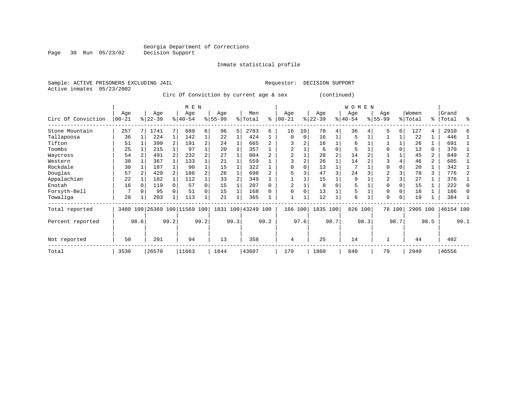Inmate statistical profile

Sample: ACTIVE PRISONERS EXCLUDING JAIL Requestor: DECISION SUPPORT Active inmates 05/23/2002

Circ Of Conviction by current age & sex (continued)

|                    |            |              |           |  | M E N                        |          |           |      |                    |      |          |      |           |                | WOMEN     |      |                |        |          |                |           |              |
|--------------------|------------|--------------|-----------|--|------------------------------|----------|-----------|------|--------------------|------|----------|------|-----------|----------------|-----------|------|----------------|--------|----------|----------------|-----------|--------------|
|                    | Age<br>Age |              |           |  |                              |          | Age       |      | Men                |      | Age      |      | Age       |                | Age       |      | Age            |        | Women    |                | Grand     |              |
| Circ Of Conviction | $ 00 - 21$ |              | $8 22-39$ |  | $8 40-54$                    |          | $8 55-99$ |      | % Total            | ి    | $ 00-21$ | %    | $22 - 39$ |                | $ 40-54 $ |      | $8155 - 99$    |        | % Total  | ႜႂ             | Total     | ႜ            |
| Stone Mountain     | 257        |              | 1741      |  | 689                          | 6        | 96        | 5    | 2783               | 6    | 16       | 10   | 70        | 4              | 36        |      | 5              | 6      | 127      | 4              | 2910      |              |
| Tallapoosa         | 36         |              | 224       |  | 142                          |          | 22        |      | 424                |      | $\Omega$ | 0    | 16        |                | 5         |      |                |        | 22       |                | 446       |              |
| Tifton             | 51         |              | 399       |  | 191                          | 2        | 24        |      | 665                |      |          | 2    | 16        |                | 6         |      |                |        | 26       |                | 691       |              |
| Toombs             | 25         |              | 215       |  | 97                           |          | 20        |      | 357                |      |          |      | 6         | $\Omega$       | 5         |      |                |        | 13       | 0              | 370       |              |
| Waycross           | 54         |              | 491       |  | 232                          | 2        | 27        |      | 804                |      |          |      | 28        | $\overline{2}$ | 14        |      |                |        | 45       | $\overline{a}$ | 849       |              |
| Western            | 38         |              | 367       |  | 133                          |          | 21        |      | 559                |      |          | 2    | 26        |                | 14        |      |                |        | 46       | $\overline{a}$ | 605       |              |
| Rockdale           | 30         |              | 187       |  | 90                           |          | 15        |      | 322                |      | ∩        |      | 13        |                |           |      |                |        | 20       |                | 342       |              |
| Douglas            | 57         |              | 429       |  | 186                          | 2        | 26        |      | 698                |      |          |      | 47        |                | 24        |      | $\overline{a}$ |        | 78       | 3              | 776       |              |
| Appalachian        | 22         |              | 182       |  | 112                          |          | 33        |      | 349                |      |          |      | 15        |                | 9         |      | $\overline{2}$ |        | 27       |                | 376       |              |
| Enotah             | 16         |              | 119       |  | 57                           | $\Omega$ | 15        |      | 207                |      |          |      | 8         |                | 5         |      | $\Omega$       |        | 15       |                | 222       |              |
| Forsyth-Bell       |            |              | 95        |  | 51                           | 0        | 15        |      | 168                |      | $\Omega$ | 0    | 13        |                | 5         |      | $\Omega$       |        | 18       |                | 186       | <sup>0</sup> |
| Towaliga           | 28         |              | 203       |  | 113                          |          | 21        |      | 365                |      |          |      | 12        |                | 6         |      | $\Omega$       | 0      | 19       |                | 384       |              |
| Total reported     |            |              |           |  | 3480 100 26369 100 11569 100 |          |           |      | 1831 100 43249 100 |      | 166      | 100  | 1835 100  |                | 826 100   |      |                | 78 100 | 2905 100 |                | 46154 100 |              |
| Percent reported   |            | 98.6<br>99.2 |           |  |                              | 99.2     |           | 99.3 |                    | 99.2 |          | 97.6 |           | 98.7           |           | 98.3 |                | 98.7   |          | 98.5           |           | 99.1         |
| Not reported       | 50         | 201          |           |  | 94                           |          | 13        |      | 358                |      | 4        |      | 25        |                | 14        |      |                |        | 44       |                | 402       |              |
| Total              | 3530       |              | 26570     |  | 11663                        |          | 1844      |      | 43607              |      | 170      |      | 1860      |                | 840       |      | 79             |        | 2949     |                | 46556     |              |

Page 30 Run 05/23/02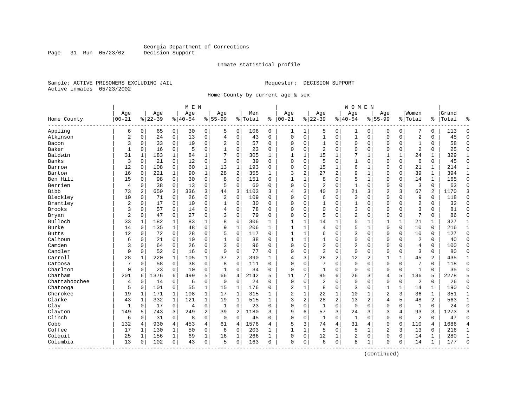Inmate statistical profile

Sample: ACTIVE PRISONERS EXCLUDING JAIL Requestor: DECISION SUPPORT Active inmates 05/23/2002

Page 31 Run 05/23/02

Home County by current age & sex

|               |                |             |           |              | M E N     |                |                |                |         |              |                |              |                |                | <b>WOMEN</b>   |              |                |              |                |              |       |                |
|---------------|----------------|-------------|-----------|--------------|-----------|----------------|----------------|----------------|---------|--------------|----------------|--------------|----------------|----------------|----------------|--------------|----------------|--------------|----------------|--------------|-------|----------------|
|               | Age            |             | Age       |              | Age       |                | Age            |                | Men     |              | Age            |              | Age            |                | Age            |              | Aqe            |              | Women          |              | Grand |                |
| Home County   | $00 - 21$      |             | $8 22-39$ |              | $8 40-54$ |                | $8 55-99$      |                | % Total | ి            | $ 00-21$       |              | $ 22-39$       |                | $8140 - 54$    |              | $8155 - 99$    |              | % Total        | ి            | Total | န္             |
| Appling       | 6              | $\mathbf 0$ | 65        | 0            | 30        | 0              | 5              | 0              | 106     | 0            | 1              | 1            | 5              | 0              | 1              | 0            | 0              | 0            | 7              | 0            | 113   | $\Omega$       |
| Atkinson      | $\overline{2}$ | $\mathbf 0$ | 24        | 0            | 13        | $\mathbf 0$    | $\overline{4}$ | $\mathbf 0$    | 43      | $\Omega$     | $\Omega$       | $\mathbf 0$  | $\mathbf{1}$   | $\mathbf 0$    | $\mathbf{1}$   | $\mathbf 0$  | $\Omega$       | 0            | $\sqrt{2}$     | 0            | 45    | $\Omega$       |
| Bacon         | 3              | 0           | 33        | 0            | 19        | $\mathbf 0$    | 2              | 0              | 57      | 0            | $\Omega$       | 0            | 1              | 0              | 0              | $\mathbf 0$  | $\Omega$       | 0            | 1              | 0            | 58    | $\mathbf{0}$   |
| Baker         | $\mathbf{1}$   | $\Omega$    | 16        | 0            | 5         | $\mathbf 0$    | 1              | $\mathbf 0$    | 23      | 0            | $\Omega$       | 0            | $\overline{2}$ | $\mathbf 0$    | 0              | $\mathbf 0$  | $\Omega$       | 0            | $\overline{2}$ | 0            | 25    | $\mathbf 0$    |
| Baldwin       | 31             | 1           | 183       | $\mathbf 1$  | 84        | $\mathbf{1}$   | 7              | $\Omega$       | 305     | $\mathbf{1}$ | $\mathbf{1}$   | $\mathbf{1}$ | 15             | 1              | 7              | $\mathbf{1}$ | $\mathbf{1}$   | $\mathbf{1}$ | 24             | $\mathbf 1$  | 329   | $\mathbf{1}$   |
| Banks         | 3              | $\Omega$    | 21        | $\mathbf 0$  | 12        | $\mathbf 0$    | 3              | $\mathbf 0$    | 39      | $\Omega$     | $\mathbf 0$    | $\Omega$     | 5              | $\Omega$       | $\mathbf{1}$   | $\Omega$     | $\Omega$       | 0            | 6              | 0            | 45    | $\Omega$       |
| Barrow        | 12             | 0           | 108       | 0            | 60        | $\mathbf{1}$   | 13             | $\mathbf{1}$   | 193     | $\Omega$     | $\Omega$       | 0            | 15             | 1              | 6              | 1            | $\Omega$       | 0            | 21             | 1            | 214   | $\mathbf{1}$   |
| Bartow        | 16             | 0           | 221       | $\mathbf 1$  | 90        | $\mathbf 1$    | 28             | $\overline{2}$ | 355     | $\mathbf{1}$ | 3              | 2            | 27             | $\overline{2}$ | 9              | $\mathbf{1}$ | $\Omega$       | 0            | 39             | $\mathbf{1}$ | 394   | $\mathbf{1}$   |
| Ben Hill      | 15             | 0           | 98        | $\mathbf 0$  | 30        | $\mathbf 0$    | 8              | $\mathbf 0$    | 151     | 0            | $\mathbf{1}$   | 1            | 8              | $\mathbf 0$    | 5              | 1            | $\Omega$       | 0            | 14             | 1            | 165   | $\mathbf 0$    |
| Berrien       | $\overline{4}$ | $\Omega$    | 38        | $\mathbf 0$  | 13        | $\mathbf 0$    | 5              | $\mathbf 0$    | 60      | $\Omega$     | $\Omega$       | $\Omega$     | 2              | $\Omega$       | $\mathbf{1}$   | $\mathbf 0$  | $\Omega$       | $\Omega$     | 3              | 0            | 63    | $\Omega$       |
| Bibb          | 73             | 2           | 650       | 3            | 336       | 3              | 44             | 3              | 1103    | 3            | 4              | 3            | 40             | $\overline{2}$ | 21             | 3            | $\overline{2}$ | 3            | 67             | 2            | 1170  | 3              |
| Bleckley      | 10             | $\Omega$    | 71        | 0            | 26        | $\mathbf 0$    | $\overline{2}$ | $\mathbf 0$    | 109     | $\Omega$     | $\Omega$       | $\Omega$     | 6              | $\Omega$       | 3              | $\Omega$     | $\Omega$       | $\Omega$     | 9              | 0            | 118   | $\Omega$       |
| Brantley      | $\overline{c}$ | $\mathbf 0$ | 17        | $\mathbf 0$  | 10        | $\mathbf 0$    | 1              | $\mathbf 0$    | 30      | $\Omega$     | $\Omega$       | 0            |                | $\mathbf 0$    | 1              | $\Omega$     | $\Omega$       | 0            | $\overline{2}$ | 0            | 32    | $\Omega$       |
| <b>Brooks</b> | 3              | $\Omega$    | 57        | 0            | 14        | $\mathbf 0$    | 4              | $\mathbf 0$    | 78      | $\Omega$     | $\Omega$       | $\Omega$     | $\Omega$       | $\Omega$       | 3              | $\Omega$     | $\Omega$       | $\Omega$     | 3              | $\Omega$     | 81    | $\Omega$       |
| Bryan         | $\overline{c}$ | $\Omega$    | 47        | 0            | 27        | $\mathbf 0$    | 3              | $\mathbf 0$    | 79      | 0            | $\Omega$       | 0            | 5              | 0              | 2              | $\Omega$     | $\Omega$       | 0            | 7              | 0            | 86    | $\Omega$       |
| Bulloch       | 33             |             | 182       | 1            | 83        | 1              | 8              | $\mathbf 0$    | 306     | $\mathbf{1}$ |                | 1            | 14             | 1              | 5              | $\mathbf{1}$ | 1              |              | 21             | 1            | 327   | 1              |
| Burke         | 14             | $\Omega$    | 135       | 1            | 48        | $\mathbf 0$    | 9              | $\mathbf{1}$   | 206     | $\mathbf{1}$ | $\overline{1}$ | $\mathbf{1}$ | 4              | $\Omega$       | 5              | $\mathbf{1}$ | $\Omega$       | $\Omega$     | 10             | $\Omega$     | 216   | $\mathbf 1$    |
| <b>Butts</b>  | 12             | $\Omega$    | 72        | 0            | 28        | $\mathbf 0$    | 5              | $\mathbf 0$    | 117     | $\Omega$     | $\mathbf{1}$   | $\mathbf{1}$ | 6              | $\Omega$       | 3              | $\Omega$     | $\Omega$       | $\Omega$     | 10             | 0            | 127   | $\Omega$       |
| Calhoun       | 6              | 0           | 21        | $\mathbf 0$  | 10        | $\mathbf 0$    | $\mathbf{1}$   | $\mathbf 0$    | 38      | $\Omega$     | -1             | $\mathbf{1}$ |                | $\mathbf 0$    | $\Omega$       | $\mathbf 0$  | $\Omega$       | 0            | $\overline{2}$ | 0            | 40    | $\Omega$       |
| Camden        | 3              | 0           | 64        | $\mathbf 0$  | 26        | $\mathbf 0$    | 3              | $\mathbf 0$    | 96      | $\Omega$     | $\Omega$       | $\Omega$     | $\overline{2}$ | $\mathbf 0$    | $\overline{2}$ | $\Omega$     | $\Omega$       | $\Omega$     | $\overline{4}$ | 0            | 100   | $\Omega$       |
| Candler       | 9              | 0           | 52        | 0            | 16        | 0              | 0              | $\mathbf 0$    | 77      | 0            | $\Omega$       | 0            | 3              | $\mathbf 0$    | 0              | $\mathbf 0$  | $\Omega$       | 0            | 3              | 0            | 80    | $\Omega$       |
| Carroll       | 28             |             | 220       | 1            | 105       | $\mathbf 1$    | 37             | $\overline{2}$ | 390     | $\mathbf{1}$ | 4              | 3            | 28             | $\overline{2}$ | 12             | 2            | 1              |              | 45             | 2            | 435   | 1              |
| Catoosa       | 7              | $\Omega$    | 58        | 0            | 38        | $\mathbf 0$    | 8              | $\Omega$       | 111     | $\Omega$     | $\Omega$       | $\Omega$     |                | $\Omega$       | $\Omega$       | $\Omega$     | $\Omega$       | $\Omega$     | 7              | $\Omega$     | 118   | $\Omega$       |
| Charlton      | $\Omega$       | $\Omega$    | 23        | $\mathbf 0$  | 10        | $\mathbf 0$    | $\mathbf{1}$   | $\mathbf 0$    | 34      | 0            | $\mathbf 0$    | $\Omega$     | $\mathbf{1}$   | $\mathbf 0$    | $\mathbf 0$    | $\Omega$     | $\Omega$       | 0            | $\mathbf{1}$   | 0            | 35    | $\Omega$       |
| Chatham       | 201            | 6           | 1376      | 6            | 499       | 5              | 66             | $\overline{4}$ | 2142    | 5            | 11             | 7            | 95             | 6              | 26             | 3            | $\overline{4}$ | 5            | 136            | 5            | 2278  | 5              |
| Chattahoochee | 4              | 0           | 14        | $\mathbf 0$  | 6         | $\mathbf 0$    | $\mathbf 0$    | $\mathbf 0$    | 24      | $\Omega$     | $\mathbf 0$    | 0            | 2              | 0              | 0              | $\Omega$     | 0              | 0            | $\overline{2}$ | $\Omega$     | 26    | $\Omega$       |
| Chatooga      | 5              | 0           | 101       | 0            | 55        | $\mathbf 1$    | 15             | 1              | 176     | 0            | 2              | 1            | 8              | $\mathbf 0$    | 3              | $\Omega$     | 1              | 1            | 14             | 1            | 190   | $\mathbf 0$    |
| Cherokee      | 19             |             | 171       | 1            | 108       | $\mathbf 1$    | 17             | 1              | 315     | 1            | $\overline{a}$ | $\mathbf{1}$ | 22             | $\mathbf{1}$   | 10             |              | $\overline{2}$ | 3            | 36             | 1            | 351   | 1              |
| Clarke        | 43             | 1           | 332       | $\mathbf{1}$ | 121       | $\mathbf 1$    | 19             | 1              | 515     | $\mathbf{1}$ | 3              | 2            | 28             | $\overline{2}$ | 13             | 2            | $\overline{4}$ | 5            | 48             | 2            | 563   | $\mathbf 1$    |
| Clay          | 1              | $\Omega$    | 17        | 0            | 4         | 0              | 1              | $\mathbf 0$    | 23      | 0            | 0              | 0            | $\mathbf{1}$   | $\mathbf 0$    | $\mathbf 0$    | 0            | $\Omega$       | 0            | $\mathbf{1}$   | 0            | 24    | $\Omega$       |
| Clayton       | 149            | 5           | 743       | 3            | 249       | 2              | 39             | $\overline{2}$ | 1180    | 3            | 9              | 6            | 57             | 3              | 24             | 3            | 3              | 4            | 93             | 3            | 1273  | 3              |
| Clinch        | 6              | 0           | 31        | 0            | 8         | $\mathbf 0$    | $\mathbf 0$    | $\mathbf 0$    | 45      | $\Omega$     | $\Omega$       | 0            | $\mathbf{1}$   | $\mathbf 0$    | $\mathbf{1}$   | $\mathbf 0$  | $\Omega$       | 0            | $\overline{2}$ | $\Omega$     | 47    | $\Omega$       |
| Cobb          | 132            | 4           | 930       | 4            | 453       | $\overline{4}$ | 61             | 4              | 1576    | 4            | 5              | 3            | 74             | $\overline{4}$ | 31             | 4            | $\Omega$       | $\Omega$     | 110            | 4            | 1686  | $\overline{4}$ |
| Coffee        | 17             | 1           | 130       | 1            | 50        | $\mathbf 0$    | 6              | 0              | 203     | $\mathbf{1}$ | $\mathbf{1}$   | 1            | 5              | $\Omega$       | 5              | 1            | $\overline{2}$ | 3            | 13             | 0            | 216   | 1              |
| Colquit       | 25             |             | 156       | 1            | 69        | $\mathbf 1$    | 16             | 1              | 266     | $\mathbf{1}$ | $\Omega$       | 0            | 12             | 1              | 2              | $\Omega$     | $\Omega$       | 0            | 14             | 1            | 280   | $\mathbf 1$    |
| Columbia      | 13             | 0           | 102       | 0            | 43        | 0              | 5              | 0              | 163     | 0            | 0              | 0            | 6              | $\mathbf 0$    | 8              | 1            | 0              | 0            | 14             | $\mathbf 1$  | 177   | $\Omega$       |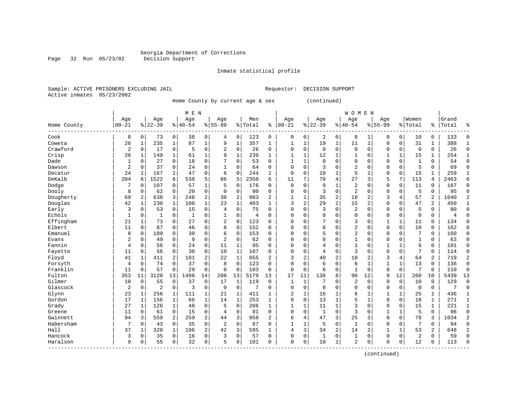Page 32 Run 05/23/02

#### Inmate statistical profile

Sample: ACTIVE PRISONERS EXCLUDING JAIL Requestor: DECISION SUPPORT Active inmates 05/23/2002

Home County by current age & sex (continued)

|             |                |              |                |              | M E N    |                |                |              |         |                |                |              |             |                | <b>WOMEN</b>   |              |              |                |                |                |       |                |
|-------------|----------------|--------------|----------------|--------------|----------|----------------|----------------|--------------|---------|----------------|----------------|--------------|-------------|----------------|----------------|--------------|--------------|----------------|----------------|----------------|-------|----------------|
|             | Age            |              | Age            |              | Age      |                | Age            |              | Men     |                | Age            |              | Age         |                | Age            |              | Age          |                | Women          |                | Grand |                |
| Home County | $00 - 21$      |              | $8 22-39$      |              | $ 40-54$ |                | $8155 - 99$    |              | % Total | ႜ              | $ 00-21$       |              | $8 22-39$   |                | $ 40-54$       |              | $8155 - 99$  |                | % Total        | ႜ              | Total | ႜ              |
| Cook        | 8              | 0            | 73             | 0            | 38       | 0              | 4              | 0            | 123     | 0              | 0              | $\mathbf 0$  | 2           | 0              | 8              | 1            | 0            | $\overline{0}$ | 10             | 0              | 133   | 0              |
| Coweta      | 26             | 1            | 235            | $\mathbf{1}$ | 87       | $\mathbf{1}$   | 9              | $\mathbf{1}$ | 357     | 1              | 1              | $\mathbf 1$  | 19          | $\mathbf{1}$   | 11             | $\mathbf{1}$ | 0            | 0              | 31             | 1              | 388   | $\mathbf{1}$   |
| Crawford    | $\overline{2}$ | $\mathbf 0$  | 17             | 0            | 5        | 0              | 2              | 0            | 26      | 0              | $\mathbf 0$    | $\mathbf 0$  | $\mathbf 0$ | 0              | $\mathbf 0$    | 0            | $\Omega$     | 0              | $\mathbf 0$    | $\mathbf 0$    | 26    | 0              |
| Crisp       | 20             | $\mathbf{1}$ | 149            | $\mathbf 1$  | 61       | $\mathbf 1$    | 9              | $\mathbf{1}$ | 239     | $\mathbf{1}$   | $\mathbf{1}$   | $\mathbf 1$  | 12          | 1              | 1              | $\mathbf 0$  | 1            | $\mathbf{1}$   | 15             | 1              | 254   | $\mathbf{1}$   |
| Dade        | 1              | 0            | 27             | 0            | 18       | 0              | 7              | $\Omega$     | 53      | $\Omega$       | $\mathbf{1}$   | 1            | $\mathbf 0$ | $\Omega$       | $\Omega$       | 0            | 0            | 0              | 1              | $\Omega$       | 54    | $\mathbf 0$    |
| Dawson      | 2              | $\Omega$     | 37             | $\mathbf 0$  | 24       | 0              | $\mathbf{1}$   | $\Omega$     | 64      | $\Omega$       | $\Omega$       | 0            | 3           | 0              | 2              | $\mathbf 0$  | 0            | $\Omega$       | 5              | $\Omega$       | 69    | 0              |
| Decatur     | 24             | 1            | 167            | 1            | 47       | $\mathbf 0$    | 6              | $\mathbf 0$  | 244     | 1              | $\mathbf 0$    | 0            | 10          | $\mathbf{1}$   | 5              | 1            | 0            | 0              | 15             | 1              | 259   | 1              |
| DeKalb      | 204            | 6            | 1522           | 6            | 538      | 5              | 86             | 5            | 2350    | 6              | 11             | 7            | 70          | 4              | 27             | 3            | 5            | 7              | 113            | 4              | 2463  | 6              |
| Dodge       | 7              | $\Omega$     | 107            | $\Omega$     | 57       | $\mathbf{1}$   | .5             | $\Omega$     | 176     | 0              | $\Omega$       | $\Omega$     | 9           | 1              | $\overline{2}$ | $\Omega$     | $\Omega$     | $\Omega$       | 11             | $\Omega$       | 187   | $\Omega$       |
| Dooly       | 8              | $\Omega$     | 62             | 0            | 20       | $\mathbf 0$    | $\Omega$       | $\mathbf 0$  | 90      | $\Omega$       | $\Omega$       | $\Omega$     | 3           | $\Omega$       | $\overline{2}$ | $\Omega$     | 0            | $\Omega$       | 5              | $\Omega$       | 95    | $\Omega$       |
| Dougherty   | 69             | 2            | 638            | 3            | 246      | 2              | 30             | 2            | 983     | $\overline{a}$ | 1              | $\mathbf 1$  | 35          | 2              | 18             | 2            | 3            | 4              | 57             | $\overline{a}$ | 1040  | $\overline{2}$ |
| Douglas     | 42             | $\mathbf{1}$ | 230            | $\mathbf{1}$ | 108      | $\mathbf{1}$   | 23             | $\mathbf{1}$ | 403     | $\mathbf{1}$   | $\overline{3}$ | 2            | 29          | $\overline{2}$ | 15             | 2            | 0            | 0              | 47             | 2              | 450   | $\mathbf{1}$   |
| Early       | 3              | $\mathbf 0$  | 53             | $\mathbf 0$  | 15       | 0              | $\overline{4}$ | $\mathbf 0$  | 75      | $\Omega$       | $\Omega$       | $\mathbf{0}$ | 3           | $\mathbf 0$    | $\overline{2}$ | $\mathbf 0$  | 0            | 0              | 5              | $\Omega$       | 80    | 0              |
| Echols      | 1              | 0            | 1              | 0            | 1        | 0              |                | $\mathbf 0$  | 4       | $\Omega$       | $\Omega$       | 0            | 0           | $\mathbf 0$    | $\Omega$       | 0            | 0            | 0              | $\Omega$       | 0              | 4     | 0              |
| Effingham   | 21             | 1            | 73             | 0            | 27       | 0              | $\overline{2}$ | $\mathbf 0$  | 123     | 0              | $\Omega$       | 0            | 7           | $\Omega$       | 3              | $\mathbf 0$  | 1            | $\mathbf 1$    | 11             | 0              | 134   | 0              |
| Elbert      | 11             | $\mathbf 0$  | 87             | 0            | 46       | $\mathbf 0$    | 8              | $\mathbf 0$  | 152     | $\Omega$       | $\Omega$       | $\Omega$     | 8           | $\mathbf 0$    | $\overline{2}$ | $\mathbf 0$  | $\mathbf 0$  | 0              | 10             | $\Omega$       | 162   | $\mathbf 0$    |
| Emanuel     | 8              | $\Omega$     | 109            | $\Omega$     | 30       | $\mathbf 0$    | 6              | $\Omega$     | 153     | $\Omega$       | $\Omega$       | $\Omega$     | 5           | $\Omega$       | 2              | $\Omega$     | 0            | $\Omega$       | 7              | $\Omega$       | 160   | $\Omega$       |
| Evans       | 2              | $\Omega$     | 49             | 0            | 9        | $\mathbf 0$    | $\overline{c}$ | $\Omega$     | 62      | $\Omega$       | $\Omega$       | $\Omega$     | $\Omega$    | $\mathbf 0$    | $\mathbf{1}$   | $\Omega$     | 0            | $\Omega$       | $\mathbf{1}$   | $\Omega$       | 63    | $\mathbf 0$    |
| Fannin      | 4              | $\Omega$     | 56             | $\mathbf 0$  | 24       | 0              | 11             | 1            | 95      | $\Omega$       | $\Omega$       | $\Omega$     | 4           | $\mathbf 0$    | 1              | 0            | 1            | 1              | 6              | 0              | 101   | $\mathbf 0$    |
| Fayette     | 11             | $\Omega$     | 56             | $\mathbf 0$  | 30       | $\mathbf 0$    | 10             | $\mathbf{1}$ | 107     | $\Omega$       | $\Omega$       | 0            | 4           | $\mathbf 0$    | 3              | $\mathbf 0$  | $\mathbf 0$  | 0              | 7              | $\Omega$       | 114   | $\mathbf 0$    |
| Floyd       | 41             | 1            | 411            | 2            | 181      | $\overline{c}$ | 22             | $\mathbf{1}$ | 655     | 2              | 3              | 2            | 40          | 2              | 18             | 2            | 3            | 4              | 64             | 2              | 719   | $\overline{2}$ |
| Forsyth     | 4              | 0            | 74             | $\mathbf 0$  | 37       | $\mathbf 0$    | 8              | $\mathbf 0$  | 123     | $\Omega$       | $\Omega$       | $\Omega$     | 6           | $\mathbf 0$    | 6              | 1            | $\mathbf{1}$ | 1              | 13             | $\Omega$       | 136   | $\mathbf 0$    |
| Franklin    | 11             | 0            | 57             | $\mathbf 0$  | 29       | $\mathbf 0$    | 6              | 0            | 103     | 0              | 0              | 0            | 6           | $\mathbf 0$    |                | $\mathbf 0$  | 0            | 0              | 7              | $\Omega$       | 110   | 0              |
| Fulton      | 353            | 11           | 3120           | 13           | 1498     | 14             | 208            | 13           | 5179    | 13             | 17             | 11           | 138         | 8              | 96             | 12           | 9            | 12             | 260            | 10             | 5439  | 13             |
| Gilmer      | 10             | 0            | 55             | $\mathbf 0$  | 37       | $\mathbf 0$    | 17             | 1            | 119     | $\Omega$       | 1              | 1            | 7           | O              | 2              | $\Omega$     | 0            | 0              | 10             | $\Omega$       | 129   | $\mathbf 0$    |
| Glascock    | $\overline{2}$ | $\mathbf 0$  | $\overline{c}$ | $\mathbf 0$  | 3        | $\mathbf 0$    | $\mathbf 0$    | $\mathbf 0$  | 7       | $\Omega$       | $\mathbf 0$    | $\mathbf 0$  | $\mathbf 0$ | $\mathbf 0$    | $\mathbf 0$    | $\mathbf 0$  | 0            | 0              | $\mathbf 0$    | $\mathbf 0$    | 7     | $\mathbf 0$    |
| Glynn       | 23             | 1            | 256            | 1            | 111      | $\mathbf 1$    | 21             | 1            | 411     | 1              | 2              | $\mathbf 1$  | 16          | $\mathbf 1$    | 6              | 1            | 1            | $\mathbf 1$    | 25             | 1              | 436   | $\mathbf{1}$   |
| Gordon      | 17             | 1            | 156            | $\mathbf 1$  | 66       | $\mathbf 1$    | 14             | $\mathbf{1}$ | 253     | 1              | $\Omega$       | $\mathbf 0$  | 13          | $\mathbf 1$    | 5              | $\mathbf{1}$ | $\mathbf 0$  | 0              | 18             | $\mathbf{1}$   | 271   | $\mathbf{1}$   |
| Grady       | 27             | 1            | 126            | $\mathbf{1}$ | 48       | $\mathbf 0$    | 5              | $\Omega$     | 206     | $\mathbf{1}$   | 1              | 1            | 11          | $\mathbf{1}$   | 3              | 0            | 0            | 0              | 15             | 1              | 221   | $\mathbf{1}$   |
| Greene      | 11             | $\Omega$     | 61             | 0            | 15       | $\mathbf 0$    | $\overline{4}$ | 0            | 91      | $\Omega$       | $\Omega$       | 0            | 1           | $\mathbf 0$    | ζ              | 0            | 1            | 1              | 5              | $\Omega$       | 96    | $\mathbf 0$    |
| Gwinnett    | 94             | 3            | 559            | 2            | 259      | $\mathbf{2}$   | 44             | 3            | 956     | 2              | 6              | 4            | 47          | 3              | 25             | 3            | 0            | 0              | 78             | 3              | 1034  | $\overline{2}$ |
| Habersham   | 7              | 0            | 43             | $\mathbf 0$  | 35       | $\mathbf 0$    | 2              | 0            | 87      | $\Omega$       | $\mathbf{1}$   | 1            | 5           | $\mathbf 0$    | $\mathbf{1}$   | 0            | 0            | 0              | 7              | $\Omega$       | 94    | $\mathbf 0$    |
| Hall        | 37             | 1            | 320            | 1            | 196      | $\overline{a}$ | 42             | 3            | 595     | 1              | $\overline{4}$ | 3            | 34          | 2              | 14             | 2            | $\mathbf{1}$ | $\mathbf{1}$   | 53             | $\overline{a}$ | 648   | $\overline{2}$ |
| Hancock     | 3              | $\Omega$     | 35             | $\Omega$     | 16       | $\Omega$       | 3              | $\Omega$     | 57      | $\Omega$       | $\Omega$       | $\Omega$     | 1           | $\Omega$       | 1              | $\Omega$     | 0            | $\Omega$       | $\overline{2}$ | $\Omega$       | 59    | $\Omega$       |
| Haralson    | 9              | 0            | 55             | 0            | 32       | $\mathbf 0$    | 5              | 0            | 101     | 0              | $\mathbf 0$    | $\mathbf 0$  | 10          | $\mathbf{1}$   | $\overline{2}$ | 0            | 0            | 0              | 12             | 0              | 113   | $\Omega$       |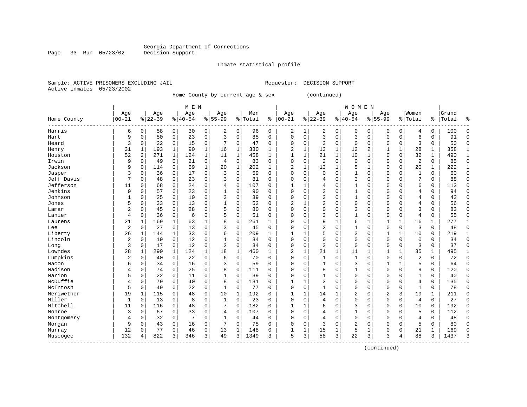Inmate statistical profile

Sample: ACTIVE PRISONERS EXCLUDING JAIL Requestor: DECISION SUPPORT Active inmates 05/23/2002

Page 33 Run 05/23/02

Home County by current age & sex (continued)

|                         |              |          |             |              | M E N     |              |             |                |         |              |                |          |                |             | <b>WOMEN</b> |              |                |             |                |              |       |              |
|-------------------------|--------------|----------|-------------|--------------|-----------|--------------|-------------|----------------|---------|--------------|----------------|----------|----------------|-------------|--------------|--------------|----------------|-------------|----------------|--------------|-------|--------------|
|                         | Age          |          | Age         |              | Age       |              | Aqe         |                | Men     |              | Age            |          | Age            |             | Age          |              | Age            |             | Women          |              | Grand |              |
| Home County<br>------   | $00 - 21$    |          | $8$   22-39 |              | $8 40-54$ |              | $8155 - 99$ |                | % Total | နွ           | $00 - 21$      | %        | $22 - 39$      |             | $8 40-54$    |              | $8155 - 99$    |             | % Total        | ి            | Total | 우            |
| Harris                  | 6            | 0        | 58          | 0            | 30        | 0            | 2           | 0              | 96      | 0            | 2              | 1        | 2              | 0           | 0            | 0            | 0              | 0           | 4              | 0            | 100   | ſ            |
| Hart                    | 9            | $\Omega$ | 50          | $\mathbf 0$  | 23        | 0            | 3           | $\mathbf 0$    | 85      | $\Omega$     | $\Omega$       | $\Omega$ | 3              | $\Omega$    | 3            | $\Omega$     | $\Omega$       | $\mathbf 0$ | 6              | $\Omega$     | 91    | ∩            |
| Heard                   | 3            | $\Omega$ | 22          | $\mathbf 0$  | 15        | 0            | 7           | $\mathbf 0$    | 47      | $\Omega$     | $\Omega$       | 0        | 3              | $\Omega$    | $\Omega$     | $\Omega$     | $\Omega$       | $\mathbf 0$ | 3              | 0            | 50    | $\sqrt{ }$   |
| Henry                   | 31           | 1        | 193         | $\mathbf 1$  | 90        | $\mathbf 1$  | 16          | 1              | 330     | $\mathbf{1}$ | 2              | 1        | 13             | 1           | 12           | 2            |                | 1           | 28             | 1            | 358   |              |
| Houston                 | 52           | 2        | 271         | $\mathbf 1$  | 124       | $\mathbf{1}$ | 11          | $\mathbf{1}$   | 458     | $\mathbf{1}$ |                | 1        | 21             | $\mathbf 1$ | 10           | $\mathbf{1}$ | $\Omega$       | $\mathbf 0$ | 32             | $\mathbf{1}$ | 490   | $\mathbf{1}$ |
| Irwin                   | 9            | 0        | 49          | $\mathbf 0$  | 21        | 0            | 4           | $\mathbf 0$    | 83      | $\Omega$     | $\Omega$       | 0        | $\overline{c}$ | $\Omega$    | $\Omega$     | O            | $\Omega$       | 0           | 2              | 0            | 85    | $\Omega$     |
| Jackson                 | 9            | 0        | 114         | $\mathbf 0$  | 59        | $\mathbf{1}$ | 20          | 1              | 202     | $\mathbf{1}$ | $\overline{c}$ | 1        | 13             | 1           | 5            | 1            | $\Omega$       | $\mathbf 0$ | 20             | 1            | 222   | -1           |
| Jasper                  | 3            | 0        | 36          | 0            | 17        | 0            | 3           | $\mathbf 0$    | 59      | $\Omega$     | $\Omega$       | $\Omega$ | <sup>0</sup>   | $\Omega$    | 1            | 0            | $\Omega$       | $\Omega$    | $\mathbf{1}$   | 0            | 60    | $\Omega$     |
| Jeff Davis              | 7            | 0        | 48          | $\Omega$     | 23        | 0            | 3           | $\mathbf 0$    | 81      | 0            | C              | $\Omega$ |                |             | 3            | 0            | 0              | 0           | 7              | 0            | 88    | 0            |
| Jefferson               | 11           | O        | 68          | $\Omega$     | 24        | 0            | 4           | $\mathbf 0$    | 107     | O            |                |          | 4              | $\Omega$    | 1            | U            | $\Omega$       | $\Omega$    | 6              | 0            | 113   | <sup>0</sup> |
| Jenkins                 | 9            | $\Omega$ | 57          | $\Omega$     | 23        | 0            |             | $\Omega$       | 90      | 0            | $\Omega$       | $\Omega$ | 3              | $\Omega$    | 1            | $\Omega$     | $\Omega$       | $\Omega$    | 4              | 0            | 94    | <sup>0</sup> |
| Johnson                 |              | $\Omega$ | 25          | 0            | 10        | 0            | 3           | 0              | 39      | $\Omega$     | $\Omega$       | $\Omega$ | 3              | $\Omega$    | 1            | $\Omega$     | $\Omega$       | $\Omega$    | 4              | 0            | 43    | ∩            |
| Jones                   | 5            | 0        | 33          | $\Omega$     | 13        | 0            |             | $\mathbf 0$    | 52      | 0            | 2              |          | 2              | $\Omega$    | $\Omega$     | U            | $\Omega$       | $\Omega$    | 4              | 0            | 56    | ∩            |
| Lamar                   | 2            | $\Omega$ | 45          | $\mathbf 0$  | 28        | 0            | 5           | $\mathbf 0$    | 80      | $\Omega$     | C              | 0        |                | $\Omega$    | 3            | $\Omega$     | $\Omega$       | 0           | 3              | 0            | 83    | $\cap$       |
| Lanier                  | 4            | 0        | 36          | $\mathbf 0$  | 6         | 0            | 5           | $\mathbf 0$    | 51      | 0            | C              | 0        | 3              | $\Omega$    | $\mathbf{1}$ | 0            | $\Omega$       | $\mathbf 0$ | 4              | 0            | 55    | $\Omega$     |
| Laurens                 | 21           | 1        | 169         | 1            | 63        | 1            | 8           | 0              | 261     | $\mathbf{1}$ | C              | $\Omega$ | 9              | 1           | 6            | 1            | 1              | 1           | 16             | 1            | 277   | $\mathbf{1}$ |
| Lee                     | 2            | $\Omega$ | 27          | $\Omega$     | 13        | 0            | 3           | 0              | 45      | $\Omega$     | C              | $\Omega$ |                | $\Omega$    | 1            | $\Omega$     | $\Omega$       | $\mathbf 0$ | 3              | 0            | 48    | $\Omega$     |
| Liberty                 | 26           | 1        | 144         | 1            | 33        | 0            | 6           | $\mathbf 0$    | 209     | 1            |                |          |                | $\Omega$    | 3            | O            |                | 1           | 10             | 0            | 219   |              |
| Lincoln                 | 2            | $\Omega$ | 19          | 0            | 12        | 0            |             | $\mathbf 0$    | 34      | O            | $\Omega$       | $\Omega$ | $\Omega$       | $\Omega$    | $\Omega$     | $\Omega$     | $\Omega$       | 0           | $\mathbf 0$    | 0            | 34    | $\Omega$     |
| Long                    | 3            | 0        | 17          | 0            | 12        | 0            | 2           | $\mathbf 0$    | 34      | 0            | $\cap$         | $\Omega$ | 3              | $\Omega$    | $\Omega$     | $\Omega$     | $\Omega$       | $\Omega$    | 3              | 0            | 37    | ſ            |
| Lowndes                 | 28           | 1        | 290         | $\mathbf{1}$ | 124       | $\mathbf 1$  | 18          | $\mathbf{1}$   | 460     | $\mathbf{1}$ | 2              | 1        | 21             | 1           | 11           | 1            |                | 1           | 35             | 1            | 495   |              |
| Lumpkins                | 2            | 0        | 40          | $\mathbf 0$  | 22        | 0            | 6           | $\mathbf 0$    | 70      | $\Omega$     | 0              | 0        |                | $\Omega$    | 1            | U            | $\mathbf 0$    | $\Omega$    | $\overline{2}$ | 0            | 72    | $\Omega$     |
| Macon                   | 6            | 0        | 34          | $\Omega$     | 16        | 0            | 3           | $\mathbf 0$    | 59      | 0            | C              | $\Omega$ |                | $\Omega$    | 3            | 0            |                | 1           | 5              | 0            | 64    | ſ            |
| Madison                 | 4            | $\Omega$ | 74          | $\Omega$     | 25        | 0            | 8           | $\mathbf 0$    | 111     | 0            | C              | $\Omega$ | 8              | $\Omega$    | 1            | 0            | $\Omega$       | $\Omega$    | 9              | 0            | 120   | $\sqrt{ }$   |
| Marion                  | 5            | $\Omega$ | 22          | $\Omega$     | 11        | 0            | 1           | $\mathbf 0$    | 39      | $\Omega$     | C              | $\Omega$ | 1              | $\Omega$    | $\Omega$     | 0            | $\Omega$       | $\Omega$    | 1              | $\Omega$     | 40    | $\Omega$     |
| McDuffie                | 4            | $\Omega$ | 79          | 0            | 40        | 0            | 8           | 0              | 131     | $\Omega$     |                |          | 3              | $\Omega$    | $\Omega$     | $\Omega$     | $\Omega$       | 0           | 4              | 0            | 135   | $\Omega$     |
| McIntosh                | 5            | $\Omega$ | 49          | 0            | 22        | 0            |             | 0              | 77      | O            | $\Omega$       | 0        |                | $\Omega$    | $\Omega$     | $\Omega$     | $\Omega$       | 0           | 1              | 0            | 78    | $\Omega$     |
| Meriwether              | 19           | 1        | 115         | 0            | 48        | 0            | 10          | 1              | 192     | O            | 1              | 1        | 14             |             | 2            | U            | $\overline{2}$ | 3           | 19             | 1            | 211   | <sup>0</sup> |
| Miller                  | $\mathbf{1}$ | 0        | 13          | 0            | 8         | 0            | 1           | $\mathbf 0$    | 23      | 0            | $\cap$         | $\Omega$ | 4              | $\Omega$    | 0            | O            | $\Omega$       | $\mathbf 0$ | 4              | 0            | 27    | <sup>0</sup> |
| Mitchell                | 11           | O        | 116         | $\Omega$     | 48        | 0            | 7           | $\mathbf 0$    | 182     | 0            | 1              | 1        | 6              | $\Omega$    | 3            | U            | $\Omega$       | $\Omega$    | 10             | 0            | 192   | ∩            |
| Monroe                  | 3            | 0        | 67          | $\Omega$     | 33        | 0            | 4           | $\Omega$       | 107     | $\Omega$     | $\Omega$       | $\Omega$ | 4              | $\Omega$    | 1            | O            | $\Omega$       | $\Omega$    | 5              | 0            | 112   | <sup>0</sup> |
| Montgomery              | 4            | 0        | 32          | $\Omega$     | 7         | 0            |             | $\mathbf 0$    | 44      | 0            | C              | $\Omega$ | 4              | $\Omega$    | $\Omega$     | 0            | 0              | $\Omega$    | 4              | 0            | 48    | $\Omega$     |
| Morgan                  | 9            | 0        | 43          | $\Omega$     | 16        | 0            | 7           | 0              | 75      | 0            | C              | 0        | 3              | 0           | 2            | $\Omega$     | $\Omega$       | 0           | 5              | 0            | 80    | Ω            |
| Murray                  | 12           | 0        | 77          | $\mathbf 0$  | 46        | 0            | 13          | 1              | 148     | 0            |                | 1        | 15             | 1           | 5            | 1            | $\Omega$       | 0           | 21             | 1            | 169   | ſ            |
| Muscogee<br>$- - - - -$ | 132          | 4        | 822         | 3            | 346       | 3            | 49          | $\overline{3}$ | 1349    | 3            | 5              | 3        | 58             | 3           | 22           | 3            | 3              | 4           | 88             | 3            | 1437  | p            |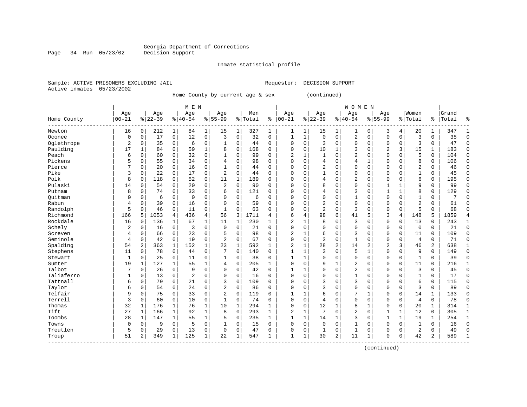Inmate statistical profile

Sample: ACTIVE PRISONERS EXCLUDING JAIL Requestor: DECISION SUPPORT Active inmates 05/23/2002

Page 34 Run 05/23/02

Home County by current age & sex (continued)

|                        |                |                |           |              | M E N          |              |                |              |           |              |                |              |                |                | <b>WOMEN</b>   |              |                |                |                |                |       |              |
|------------------------|----------------|----------------|-----------|--------------|----------------|--------------|----------------|--------------|-----------|--------------|----------------|--------------|----------------|----------------|----------------|--------------|----------------|----------------|----------------|----------------|-------|--------------|
|                        | Age            |                | Age       |              | Age            |              | Age            |              | Men       |              | Age            |              | Age            |                | Age            |              | Age            |                | Women          |                | Grand |              |
| Home County<br>------- | $00 - 21$      |                | $8 22-39$ |              | $ 40-54$       |              | $8155 - 99$    |              | %   Total | ి            | $ 00 - 21$     |              | $8 22-39$      |                | $8140 - 54$    |              | $8 55-99$      |                | % Total        | နွ             | Total | ႜ            |
| Newton                 | 16             | 0              | 212       | 1            | 84             | 1            | 15             | 1            | 327       | 1            | 1              | 1            | 15             | 1              | 1              | $\Omega$     | 3              | 4              | 20             | 1              | 347   | -1           |
| Oconee                 | 0              | $\Omega$       | 17        | $\mathbf 0$  | 12             | 0            | 3              | $\mathbf 0$  | 32        | $\Omega$     | $\mathbf{1}$   | 1            | $\Omega$       | $\Omega$       | 2              | $\Omega$     | $\Omega$       | $\Omega$       | 3              | $\Omega$       | 35    | $\Omega$     |
| Oglethrope             | $\overline{2}$ | $\Omega$       | 35        | 0            | 6              | 0            | 1              | 0            | 44        | $\Omega$     | $\Omega$       | 0            | 3              | $\Omega$       | 0              | $\Omega$     | $\Omega$       | $\Omega$       | 3              | $\Omega$       | 47    | $\Omega$     |
| Paulding               | 17             | $\mathbf{1}$   | 84        | $\Omega$     | 59             | $\mathbf{1}$ | 8              | $\mathbf 0$  | 168       | $\Omega$     | $\Omega$       | 0            | 10             | $\mathbf{1}$   | 3              | 0            | 2              | 3              | 15             | 1              | 183   | $\Omega$     |
| Peach                  | 6              | 0              | 60        | $\mathbf 0$  | 32             | 0            | $\mathbf{1}$   | $\mathbf 0$  | 99        | 0            | $\overline{2}$ | 1            |                | $\mathbf 0$    | $\overline{2}$ | $\Omega$     | $\Omega$       | $\mathbf 0$    | 5              | 0              | 104   | $\Omega$     |
| Pickens                | 5              | 0              | 55        | $\mathbf 0$  | 34             | 0            | 4              | $\mathbf 0$  | 98        | $\Omega$     | $\Omega$       | 0            | 4              | $\Omega$       | $\overline{4}$ | 1            | $\Omega$       | $\Omega$       | 8              | 0              | 106   | $\cap$       |
| Pierce                 | 7              | 0              | 20        | 0            | 16             | 0            | 1              | $\mathbf 0$  | 44        | $\Omega$     | $\cap$         | 0            | 2              | $\Omega$       | $\Omega$       | $\Omega$     | $\Omega$       | $\Omega$       | $\overline{2}$ | 0              | 46    | $\Omega$     |
| Pike                   | 3              | 0              | 22        | $\mathbf 0$  | 17             | 0            | $\overline{2}$ | 0            | 44        | 0            | $\cap$         | 0            |                | $\Omega$       | 0              | $\Omega$     | $\Omega$       | 0              | -1             | 0              | 45    | $\mathbf 0$  |
| Polk                   | 8              | 0              | 118       | 0            | 52             | 0            | 11             | 1            | 189       | $\Omega$     | C              | 0            | 4              | $\Omega$       | 2              | $\Omega$     | $\Omega$       | $\Omega$       | 6              | 0              | 195   | $\Omega$     |
| Pulaski                | 14             | $\Omega$       | 54        | 0            | 20             | 0            | $\overline{2}$ | $\mathbf 0$  | 90        | 0            | C              | 0            | 8              | $\Omega$       | $\Omega$       | $\Omega$     |                |                | 9              | $\Omega$       | 99    | $\Omega$     |
| Putnam                 | 8              | 0              | 74        | $\Omega$     | 33             | 0            | 6              | $\Omega$     | 121       | U            | C              | 0            | 4              | $\Omega$       | 3              | C            | $\mathbf{1}$   |                | 8              | $\Omega$       | 129   | $\cap$       |
| Ouitman                | 0              | 0              | 6         | 0            | $\Omega$       | $\Omega$     | $\Omega$       | $\Omega$     | 6         | 0            | 0              | 0            | $\Omega$       | $\Omega$       | 1              | C            | $\Omega$       | $\Omega$       | -1             | $\Omega$       | 7     |              |
| Rabun                  | 4              | $\Omega$       | 39        | $\Omega$     | 16             | 0            | $\Omega$       | $\Omega$     | 59        | 0            | $\Omega$       | 0            | $\overline{2}$ | $\Omega$       | $\Omega$       | $\Omega$     | $\Omega$       | $\Omega$       | $\overline{2}$ | $\Omega$       | 61    | C            |
| Randolph               | 5              | 0              | 46        | 0            | 11             | 0            | 1              | $\mathbf 0$  | 63        | O            | $\Omega$       | 0            | $\overline{2}$ | $\mathbf 0$    | 3              | $\Omega$     | $\Omega$       | $\mathbf 0$    | 5              | $\Omega$       | 68    | $\cap$       |
| Richmond               | 166            | 5              | 1053      | 4            | 436            | 4            | 56             | 3            | 1711      | 4            | 6              | 4            | 98             | 6              | 41             | 5            | 3              | $\overline{4}$ | 148            | 5              | 1859  | 4            |
| Rockdale               | 16             | 0              | 136       | $\mathbf 1$  | 67             | $\mathbf 1$  | 11             | 1            | 230       | 1            | 2              | 1            | 8              | $\Omega$       | 3              | $\mathbf 0$  | $\Omega$       | $\mathbf 0$    | 13             | 0              | 243   | 1            |
| Schely                 | 2              | 0              | 16        | $\mathbf 0$  | 3              | 0            | $\mathbf 0$    | $\mathbf 0$  | 21        | $\Omega$     | $\Omega$       | 0            | $\Omega$       | $\Omega$       | 0              | $\Omega$     | $\Omega$       | $\mathbf 0$    | $\mathbf 0$    | 0              | 21    | $\mathbf 0$  |
| Screven                | 4              | 0              | 66        | 0            | 23             | 0            | 5              | 0            | 98        | $\Omega$     | $\overline{2}$ |              | 6              | 0              | 3              | $\Omega$     | $\Omega$       | $\mathbf 0$    | 11             | 0              | 109   | $\mathbf 0$  |
| Seminole               | 4              | 0              | 42        | $\mathbf 0$  | 19             | 0            | $\overline{c}$ | $\mathbf 0$  | 67        | 0            | $\Omega$       | 0            | 3              | $\mathbf 0$    | $\mathbf{1}$   | $\mathsf{C}$ | $\Omega$       | $\mathbf 0$    | 4              | 0              | 71    | $\mathbf 0$  |
| Spalding               | 54             | 2              | 363       | $\mathbf{1}$ | 152            | 1            | 23             | $\mathbf{1}$ | 592       | $\mathbf{1}$ | 2              | 1            | 28             | $\overline{2}$ | 14             | 2            | $\overline{c}$ | 3              | 46             | $\overline{2}$ | 638   | 1            |
| Stephens               | 11             | $\Omega$       | 78        | $\mathbf 0$  | 44             | 0            | 7              | $\Omega$     | 140       | $\Omega$     | -1             | 1            | 3              | $\Omega$       | 5              | -1           | $\Omega$       | $\Omega$       | 9              | $\Omega$       | 149   | $\Omega$     |
| Stewart                | 1              | $\Omega$       | 25        | 0            | 11             | 0            | 1              | 0            | 38        | $\Omega$     | 1              | 1            | $\Omega$       | $\Omega$       | $\Omega$       | $\Omega$     | $\Omega$       | $\mathbf 0$    | $\mathbf{1}$   | 0              | 39    | $\Omega$     |
| Sumter                 | 19             | 1              | 127       | 1            | 55             | 1            | 4              | $\mathbf 0$  | 205       | $\mathbf{1}$ | $\Omega$       | 0            | 9              |                | 2              | $\mathbf 0$  | $\Omega$       | $\mathbf 0$    | 11             | 0              | 216   | 1            |
| Talbot                 | 7              | 0              | 26        | $\mathbf 0$  | 9              | 0            | $\Omega$       | $\mathbf 0$  | 42        | 0            | $\mathbf{1}$   | 1            |                | $\Omega$       | $\overline{2}$ | $\Omega$     | $\Omega$       | 0              | 3              | 0              | 45    | $\Omega$     |
| Taliaferro             | 1              | 0              | 13        | $\mathbf 0$  | $\overline{2}$ | 0            | $\Omega$       | $\mathbf 0$  | 16        | $\Omega$     | $\Omega$       | 0            | $\Omega$       | $\Omega$       | $\mathbf{1}$   | $\mathsf{C}$ | $\Omega$       | $\Omega$       | $\mathbf{1}$   | $\Omega$       | 17    | $\Omega$     |
| Tattnall               | 6              | 0              | 79        | $\mathbf 0$  | 21             | 0            | 3              | $\mathbf 0$  | 109       | $\Omega$     | $\Omega$       | 0            | ζ              | $\Omega$       | 3              | $\mathsf{C}$ | $\Omega$       | $\mathbf 0$    | 6              | 0              | 115   | $\mathbf 0$  |
| Taylor                 | 6              | 0              | 54        | 0            | 24             | 0            | 2              | $\mathbf 0$  | 86        | 0            | $\Omega$       | 0            | 3              | $\Omega$       | 0              | $\Omega$     | $\Omega$       | $\mathbf 0$    | 3              | 0              | 89    | $\mathbf 0$  |
| Telfair                | 9              | $\Omega$       | 75        | 0            | 33             | 0            | $\overline{2}$ | $\mathbf 0$  | 119       | 0            |                | 1            | 6              | $\Omega$       | 7              | 1            | $\Omega$       | $\Omega$       | 14             | 1              | 133   | $\Omega$     |
| Terrell                | 3              | $\Omega$       | 60        | 0            | 10             | 0            | $\mathbf{1}$   | $\mathbf 0$  | 74        | 0            | $\Omega$       | 0            | 4              | $\Omega$       | $\Omega$       | C            | $\Omega$       | $\Omega$       | $\overline{4}$ | $\Omega$       | 78    | $\Omega$     |
| Thomas                 | 32             | $\mathbf{1}$   | 176       | $\mathbf{1}$ | 76             | $\mathbf 1$  | 10             | 1            | 294       | $\mathbf{1}$ | $\Omega$       | 0            | 12             | 1              | 8              | -1           | $\Omega$       | $\Omega$       | 20             | 1              | 314   | $\mathbf{1}$ |
| Tift                   | 27             | 1              | 166       | $\mathbf{1}$ | 92             | $\mathbf{1}$ | 8              | $\mathbf 0$  | 293       | $\mathbf{1}$ | 2              | $\mathbf{1}$ | 7              | $\Omega$       | $\overline{2}$ | $\Omega$     |                | $\mathbf{1}$   | 12             | 0              | 305   | $\mathbf{1}$ |
| Toombs                 | 28             | 1              | 147       | $\mathbf{1}$ | 55             | $\mathbf 1$  | 5              | $\mathbf 0$  | 235       | $\mathbf{1}$ | 1              | 1            | 14             | 1              | 3              | $\Omega$     |                | $\mathbf{1}$   | 19             | 1              | 254   | $\mathbf{1}$ |
| Towns                  | $\mathbf 0$    | 0              | 9         | $\mathbf 0$  | 5              | 0            |                | $\mathbf 0$  | 15        | $\mathbf 0$  | $\Omega$       | 0            | $\mathbf 0$    | $\mathbf 0$    | 1              | $\Omega$     | $\Omega$       | $\mathbf 0$    | $\mathbf{1}$   | 0              | 16    | $\Omega$     |
| Treutlen               | 5              | 0              | 29        | 0            | 13             | 0            | $\mathbf 0$    | $\mathbf 0$  | 47        | 0            | $\Omega$       | 0            | $\mathbf{1}$   | $\mathbf 0$    | $\mathbf{1}$   | $\Omega$     | $\Omega$       | $\mathbf 0$    | 2              | 0              | 49    | $\bigcap$    |
| Troup                  | 51             | $\overline{a}$ | 349       | 1            | 125            | $\mathbf{1}$ | 22             | 1            | 547       | $\mathbf{1}$ | $\mathbf{1}$   | 1            | 30             | $\overline{2}$ | 11             | 1            | $\Omega$       | 0              | 42             | 2              | 589   | $\mathbf{1}$ |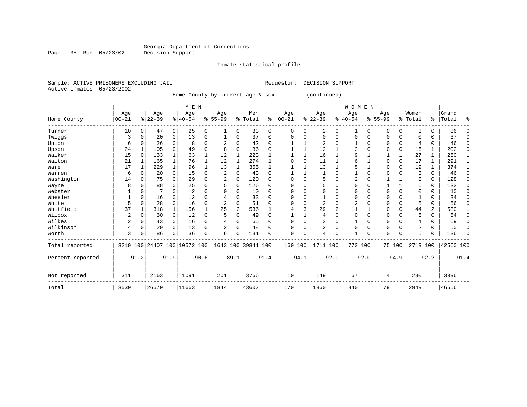Inmate statistical profile

Sample: ACTIVE PRISONERS EXCLUDING JAIL Requestor: DECISION SUPPORT Active inmates 05/23/2002

Page 35 Run 05/23/02

Home County by current age & sex (continued)

|                  |           |             |           |              | M E N                   |          |                |                |                    |          |              |          |                |              | <b>WOMEN</b>   |             |             |              |                |          |           |          |
|------------------|-----------|-------------|-----------|--------------|-------------------------|----------|----------------|----------------|--------------------|----------|--------------|----------|----------------|--------------|----------------|-------------|-------------|--------------|----------------|----------|-----------|----------|
|                  | Age       |             | Age       |              | Age                     |          | Age            |                | Men                |          | Age          |          | Age            |              | Age            |             | Age         |              | Women          |          | Grand     |          |
| Home County      | $00 - 21$ |             | $8 22-39$ |              | $8 40-54$               |          | $8 55-99$      |                | % Total            | ి        | $ 00 - 21$   |          | $ 22-39$       |              | $8 40-54$      |             | $8155 - 99$ |              | % Total        |          | %   Total | ႜ        |
| Turner           | 10        | 0           | 47        | 0            | 25                      | 0        |                | 0              | 83                 | 0        | $\Omega$     | $\Omega$ | 2              | 0            |                | 0           | $\Omega$    | 0            | 3              | 0        | 86        |          |
| Twiggs           | 3         | 0           | 20        | 0            | 13                      | 0        |                | 0              | 37                 | 0        | $\Omega$     | 0        | $\Omega$       | 0            | 0              | 0           | $\Omega$    | 0            | 0              | 0        | 37        | $\Omega$ |
| Union            | 6         | 0           | 26        | $\mathbf 0$  | 8                       | 0        | $\overline{c}$ | 0              | 42                 | $\Omega$ |              |          | 2              | 0            |                | $\mathbf 0$ | 0           | $\mathbf 0$  | 4              | 0        | 46        | $\Omega$ |
| Upson            | 24        |             | 105       | $\Omega$     | 49                      | $\Omega$ | 8              | $\Omega$       | 186                | $\Omega$ |              |          | 12             |              |                | $\Omega$    | O           | $\mathbf 0$  | 16             | 1        | 202       | $\Omega$ |
| Walker           | 15        | $\Omega$    | 133       | 1            | 63                      |          | 12             |                | 223                |          |              |          | 16             |              | 9              |             |             | $\mathbf 1$  | 27             | 1        | 250       |          |
| Walton           | 21        |             | 165       | $\mathbf{1}$ | 76                      |          | 12             | 1              | 274                |          |              | $\Omega$ | 11             |              | 6              |             | 0           | 0            | 17             | 1        | 291       |          |
| Ware             | 17        |             | 229       | $\mathbf{1}$ | 96                      | 1        | 13             | $\mathbf{1}$   | 355                | 1        |              |          | 13             | $\mathbf{1}$ | 5              |             | $\Omega$    | $\mathbf 0$  | 19             | 1        | 374       |          |
| Warren           | 6         | $\Omega$    | 20        | $\mathbf 0$  | 15                      | 0        | $\overline{2}$ | 0              | 43                 | $\Omega$ |              |          | -1             | 0            |                | $\Omega$    | 0           | $\Omega$     | 3              | $\Omega$ | 46        | $\Omega$ |
| Washington       | 14        | $\Omega$    | 75        | $\Omega$     | 29                      | $\Omega$ |                | $\Omega$       | 120                | $\Omega$ | <sup>0</sup> | $\Omega$ | 5              | O            | $\overline{2}$ | $\Omega$    |             | 1            | 8              | $\Omega$ | 128       | $\Omega$ |
| Wayne            | 8         | $\Omega$    | 88        | 0            | 25                      | 0        |                | 0              | 126                | 0        |              |          | 5              | O            |                | $\Omega$    |             | $\mathbf{1}$ | 6              | 0        | 132       | $\Omega$ |
| Webster          |           |             |           | O            | $\overline{2}$          | 0        |                | $\Omega$       | 10                 | 0        |              |          |                | O            |                | $\Omega$    | $\Omega$    | $\Omega$     | O              | 0        | 10        | $\Omega$ |
| Wheeler          |           | $\Omega$    | 16        | 0            | 12                      | 0        |                | $\Omega$       | 33                 | $\Omega$ | ∩            | $\Omega$ |                | 0            | $\Omega$       | $\Omega$    | $\Omega$    | O            |                | 0        | 34        | $\Omega$ |
| White            | 5         | $\mathbf 0$ | 28        | 0            | 16                      | 0        |                | 0              | 51                 | $\Omega$ |              | $\Omega$ | 3              | 0            | $\overline{2}$ | $\Omega$    | 0           | 0            | 5              | 0        | 56        | $\Omega$ |
| Whitfield        | 37        |             | 318       | 1            | 156                     |          | 25             | $\overline{2}$ | 536                |          |              |          | 29             | 2            | 11             |             | $\Omega$    | $\Omega$     | 44             | 2        | 580       |          |
| Wilcox           | 2         | $\Omega$    | 30        | 0            | 12                      | 0        |                | $\Omega$       | 49                 | O        |              |          |                | 0            | $\Omega$       | $\Omega$    | $\Omega$    | 0            | 5              | 0        | 54        | $\Omega$ |
| Wilkes           | 2         | $\mathbf 0$ | 43        | 0            | 16                      | 0        |                | 0              | 65                 | $\Omega$ |              | $\Omega$ | 3              | O            |                | $\mathbf 0$ | 0           |              | 4              | 0        | 69        | $\Omega$ |
| Wilkinson        | 4         | $\mathbf 0$ | 29        | $\Omega$     | 13                      | 0        |                | $\Omega$       | 48                 | O        | $\cap$       | $\Omega$ | $\overline{2}$ | 0            | $\Omega$       | $\Omega$    | $\Omega$    | $\Omega$     | $\overline{2}$ | 0        | 50        | $\Omega$ |
| Worth            | 3         |             | 86        | 0            | 36                      | 0        | 6              | 0              | 131                | 0        | $\Omega$     | 0        | 4              | 0            |                | $\Omega$    | $\Omega$    | $\Omega$     | 5              | 0        | 136       | ∩        |
| Total reported   | 3219      |             |           |              | 100 24407 100 10572 100 |          |                |                | 1643 100 39841 100 |          | 160 100      |          | 1711 100       |              | 773 100        |             |             | 75 100       | 2719 100       |          | 42560 100 |          |
| Percent reported |           | 91.2        |           | 91.9         |                         | 90.6     |                | 89.1           |                    | 91.4     |              | 94.1     |                | 92.0         |                | 92.0        |             | 94.9         |                | 92.2     |           | 91.4     |
| Not reported     | 311       |             | 2163      |              | 1091                    |          | 201            |                | 3766               |          | 10           |          | 149            |              | 67             |             | 4           |              | 230            |          | 3996      |          |
| Total            | 3530      |             | 26570     |              | 11663                   |          | 1844           |                | 43607              |          | 170          |          | 1860           |              | 840            |             | 79          |              | 2949           |          | 46556     |          |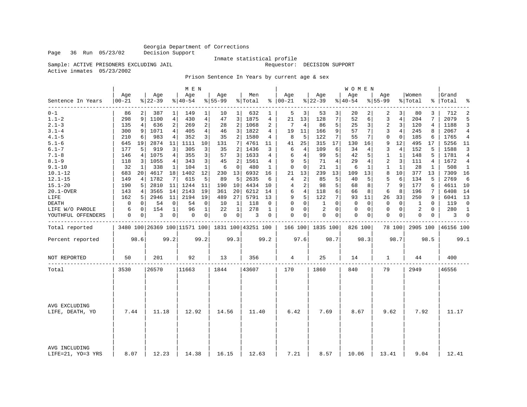Page 36 Run 05/23/02

#### Inmate statistical profile

Sample: ACTIVE PRISONERS EXCLUDING JAIL **Requestor: DECISION SUPPORT** 

Active inmates 05/23/2002

#### Prison Sentence In Years by current age & sex

|                                  |                  |                 |                  |                | M E N                                           |                |                  |                |                  |              |                      |                |                  |                | WOMEN           |              |                    |                |                  |             |                |              |
|----------------------------------|------------------|-----------------|------------------|----------------|-------------------------------------------------|----------------|------------------|----------------|------------------|--------------|----------------------|----------------|------------------|----------------|-----------------|--------------|--------------------|----------------|------------------|-------------|----------------|--------------|
| Sentence In Years                | Age<br>$00 - 21$ |                 | Age<br>$8 22-39$ |                | Age<br>$ 40-54$                                 |                | Age<br>$8 55-99$ |                | Men<br>%   Total |              | Age<br>$8   00 - 21$ |                | Age<br>$ 22-39$  |                | Age<br>$ 40-54$ |              | Aqe<br>$8155 - 99$ |                | Women<br>% Total | ွေ          | Grand<br>Total | °            |
| $0 - 1$                          | 86               |                 | 387              | 1              | 149                                             | 1              | 10               | 1              | 632              | 1            | 5                    | 3              | 53               | 3              | 20              |              | 2                  | 3              | 80               | 3           | 712            | 2            |
| $1.1 - 2$                        | 298              | 9 <sup>1</sup>  | 1100             | $\overline{4}$ | 430                                             | $\overline{4}$ | 47               | 3              | 1875             | 4            | 21                   | 13             | 128              | 7              | 52              | 6            | 3                  | $\overline{4}$ | 204              | 7           | 2079           | 5            |
| $2.1 - 3$                        | 135              | 4               | 636              | $\overline{2}$ | 269                                             | $\overline{2}$ | 28               | $\overline{a}$ | 1068             | 2            | 7                    | 4              | 86               | 5              | 25              | 3            | $\overline{2}$     | 3              | 120              | 4           | 1188           | 3            |
| $3.1 - 4$                        | 300              | 9               | 1071             | 4              | 405                                             | $\overline{4}$ | 46               | 3              | 1822             | 4            | 19                   | 11             | 166              | 9              | 57              | 7            | 3                  | 4              | 245              | 8           | 2067           | 4            |
| $4.1 - 5$                        | 210              | 6               | 983              | 4              | 352                                             | 3              | 35               | $\overline{2}$ | 1580             | 4            | 8                    | 5              | 122              | 7              | 55              | 7            | $\mathbf 0$        | $\mathbf 0$    | 185              | 6           | 1765           | 4            |
| $5.1 - 6$                        | 645              | 19              | 2874             | 11             | 1111                                            | 10             | 131              | 7              | 4761             | 11           | 41                   | 25             | 315              | 17             | 130             | 16           | 9                  | 12             | 495              | 17          | 5256           | 11           |
| $6.1 - 7$                        | 177              | 5               | 919              | 3              | 305                                             | 3              | 35               | $\overline{a}$ | 1436             | 3            | 6                    | 4              | 109              | 6              | 34              | 4            | 3                  | $\overline{4}$ | 152              | 5           | 1588           | 3            |
| $7.1 - 8$                        | 146              | 4               | 1075             | 4              | 355                                             | 3              | 57               | 3              | 1633             | 4            | 6                    | 4              | 99               | 5              | 42              | 5            | 1                  | 1              | 148              | 5           | 1781           | 4            |
| $8.1 - 9$                        | 118              | $\overline{3}$  | 1055             | 4 <sup>1</sup> | 343                                             | 3              | 45               | $\overline{a}$ | 1561             | 4            | 9                    | 5              | 71               | $\overline{4}$ | 29              | 4            | 2                  | 3              | 111              | 4           | 1672           | 4            |
| $9.1 - 10$                       | 32               | 1               | 338              | $\mathbf 1$    | 104                                             | $\mathbf{1}$   | 6                | $\mathbf 0$    | 480              | 1            | $\mathbf 0$          | 0              | 21               | $\mathbf{1}$   | 6               | $\mathbf{1}$ | 1                  | 1              | 28               | 1           | 508            | 1            |
| $10.1 - 12$                      | 683              | 20 <sup>1</sup> | 4617             | 18             | 1402                                            | 12             | 230              | 13             | 6932             | 16           | 21                   | 13             | 239              | 13             | 109             | 13           | 8                  | 10             | 377              | 13          | 7309           | 16           |
| $12.1 - 15$                      | 149              | 4 <sup>1</sup>  | 1782             | 7              | 615                                             | 5              | 89               | 5              | 2635             | 6            | 4                    | 2              | 85               | 5              | 40              | 5            | 5                  | 6              | 134              | 5           | 2769           | 6            |
| $15.1 - 20$                      | 190              | 5               | 2810             | 11             | 1244                                            | 11             | 190              | 10             | 4434             | 10           | 4                    | 2              | 98               | 5              | 68              | 8            | 7                  | 9              | 177              | 6           | 4611 10        |              |
| 20.1-OVER                        | 143              | 4 <sup>1</sup>  | 3565             | 14             | 2143                                            | 19             | 361              | 20             | 6212             | 14           | 6                    | $\overline{4}$ | 118              | 6              | 66              | 8            | 6                  | 8              | 196              | 7           | 6408           | 14           |
| LIFE                             | 162              | 5               | 2946             | 11             | 2194                                            | 19             | 489              | 27             | 5791             | 13           | 9                    | 5              | 122              | 7              | 93              | 11           | 26                 | 33             | 250              | 9           | 6041           | 13           |
| <b>DEATH</b>                     | 0                | 0               | 54               | 0              | 54                                              | 0              | 10               | 1              | 118              | 0            | $\mathbf 0$          | 0              | 1                | $\Omega$       | 0               | 0            | $\mathbf 0$        | $\mathbf 0$    | 1                | $\mathbf 0$ | 119            | $\mathbf 0$  |
| LIFE W/O PAROLE                  | 6                | 0               | 154              | $\mathbf{1}$   | 96                                              | $\mathbf{1}$   | 22               | $\mathbf{1}$   | 278              | $\mathbf{1}$ | 0                    | 0              | $\sqrt{2}$       | $\Omega$       | $\mathbf 0$     | 0            | $\mathbf 0$        | $\mathbf 0$    | 2                | $\Omega$    | 280            | $\mathbf{1}$ |
| YOUTHFUL OFFENDERS               | 0                | $\overline{0}$  | 3                | 0 <sup>1</sup> | 0                                               | 0              | $\mathbf 0$      | 0 <sup>1</sup> | 3                | $\Omega$     | $\Omega$             | 0              | $\Omega$         | $\mathbf{0}$   | 0               | 0            | $\mathbf 0$        | 0              | $\Omega$         | 0           | 3              | $\mathbf 0$  |
| Total reported                   |                  |                 |                  |                | 3480 100 26369 100 11571 100 1831 100 43251 100 |                |                  |                |                  |              |                      |                | 166 100 1835 100 |                | 826 100         |              |                    | 78 100         | 2905 100         |             | 46156 100      |              |
| Percent reported                 |                  | 98.6            |                  | 99.2           |                                                 | 99.2           |                  | 99.3           |                  | 99.2         |                      | 97.6           |                  | 98.7           |                 | 98.3         |                    | 98.7           |                  | 98.5        |                | 99.1         |
| <b>NOT REPORTED</b>              | 50               |                 | 201              |                | 92                                              |                | 13               |                | 356              |              | 4                    |                | 25               |                | 14              |              | -1.                |                | 44               |             | 400            |              |
| Total                            | 3530             |                 | 26570            |                | 11663                                           |                | 1844             |                | 43607            |              | 170                  |                | 1860             |                | 840             |              | 79                 |                | 2949             |             | 46556          |              |
|                                  |                  |                 |                  |                |                                                 |                |                  |                |                  |              |                      |                |                  |                |                 |              |                    |                |                  |             |                |              |
|                                  |                  |                 |                  |                |                                                 |                |                  |                |                  |              |                      |                |                  |                |                 |              |                    |                |                  |             |                |              |
| AVG EXCLUDING<br>LIFE, DEATH, YO | 7.44             |                 | 11.18            |                | 12.92                                           |                | 14.56            |                | 11.40            |              | 6.42                 |                | 7.69             |                | 8.67            |              | 9.62               |                | 7.92             |             | 11.17          |              |
|                                  |                  |                 |                  |                |                                                 |                |                  |                |                  |              |                      |                |                  |                |                 |              |                    |                |                  |             |                |              |
| AVG INCLUDING                    |                  |                 |                  |                |                                                 |                |                  |                |                  |              |                      |                |                  |                |                 |              |                    |                |                  |             |                |              |
| LIFE=21, YO=3 YRS                | 8.07             |                 | 12.23            |                | 14.38                                           |                | 16.15            |                | 12.63            |              | 7.21                 |                | 8.57             |                | 10.06           |              | 13.41              |                | 9.04             |             | 12.41          |              |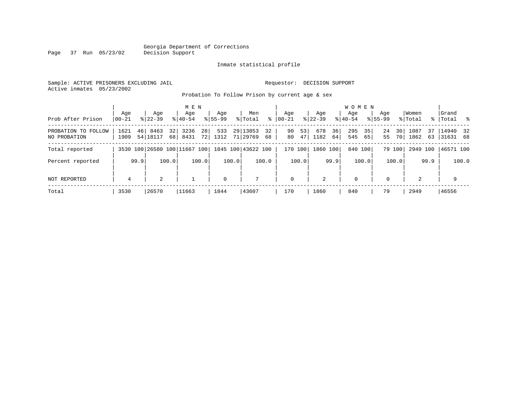#### Georgia Department of Corrections Page 37 Run 05/23/02

#### Inmate statistical profile

Sample: ACTIVE PRISONERS EXCLUDING JAIL Requestor: DECISION SUPPORT Active inmates 05/23/2002

Probation To Follow Prison by current age & sex

|                                     |                  |      |                              |                       | M E N              |                         |                    |       |                      |          |                  |          |                    |          | W O M E N          |          |                    |                       |                  |           |                       |       |
|-------------------------------------|------------------|------|------------------------------|-----------------------|--------------------|-------------------------|--------------------|-------|----------------------|----------|------------------|----------|--------------------|----------|--------------------|----------|--------------------|-----------------------|------------------|-----------|-----------------------|-------|
| Prob After Prison                   | Age<br>$00 - 21$ |      | Age<br>$8122 - 39$           |                       | Age<br>$8140 - 54$ |                         | Age<br>$8155 - 99$ |       | Men<br>% Total       | ႜ        | Age<br>$ 00-21 $ |          | Age<br>$8122 - 39$ |          | Aqe<br>$8140 - 54$ |          | Age<br>$8155 - 99$ |                       | Women<br>% Total | % $\vert$ | Grand<br> Total %     |       |
| PROBATION TO FOLLOW<br>NO PROBATION | 1621<br>1909     |      | 46 8463<br>54 18117          | 32 <sub>1</sub><br>68 | 3236<br>8431       | 28 <sup>1</sup><br>72 l | 533<br>1312        |       | 29 13853<br>71 29769 | 32<br>68 | 90<br>80         | 53<br>47 | 678<br>1182        | 36<br>64 | 295<br>545         | 35<br>65 | 24<br>55           | 30 <sup>1</sup><br>70 | 1087<br>1862     | 37<br>63  | 14940 32<br> 31631 68 |       |
| Total reported                      |                  |      | 3530 100 26580 100 11667 100 |                       |                    |                         |                    |       | 1845 100 43622 100   |          | 170 100          |          | 1860 100           |          | 840 100            |          |                    | 79 100                | 2949 100         |           | 46571 100             |       |
| Percent reported                    |                  | 99.9 |                              | 100.0                 |                    | 100.0                   |                    | 100.0 |                      | 100.0    |                  | 100.0    |                    | 99.9     |                    | 100.0    |                    | 100.0                 |                  | 99.9      |                       | 100.0 |
| NOT REPORTED                        | 4                |      | 2                            |                       |                    |                         | $\mathbf 0$        |       | 7                    |          | $\mathbf{0}$     |          | 2                  |          | 0                  |          | $\Omega$           |                       | 2                |           | 9                     |       |
| Total                               | 3530             |      | 26570                        |                       | 11663              |                         | 1844               |       | 43607                |          | 170              |          | 1860               |          | 840                |          | 79                 |                       | 2949             |           | 46556                 |       |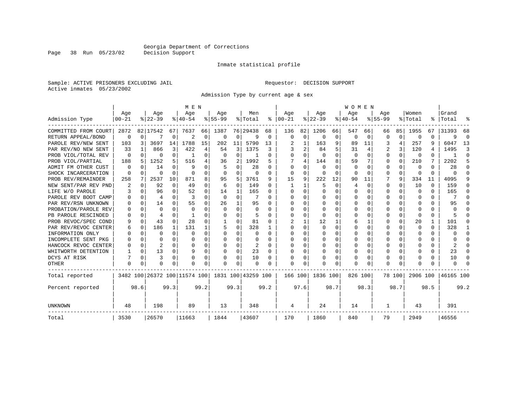Inmate statistical profile

Sample: ACTIVE PRISONERS EXCLUDING JAIL Requestor: DECISION SUPPORT Active inmates 05/23/2002

Admission Type by current age & sex

|                      |                  |          |           |          | M E N                        |          |           |              |                    |      |               |              |              |          | <b>WOMEN</b>     |              |          |          |              |          |           |          |
|----------------------|------------------|----------|-----------|----------|------------------------------|----------|-----------|--------------|--------------------|------|---------------|--------------|--------------|----------|------------------|--------------|----------|----------|--------------|----------|-----------|----------|
|                      | Age<br>$00 - 21$ |          | Age       |          | Age                          |          | Aqe       |              | Men                |      | Aqe           |              | Aqe          |          | Aqe<br>$8 40-54$ |              | Aqe      |          | Women        |          | Grand     | °        |
| Admission Type       |                  |          | $ 22-39 $ |          | $8 40-54$                    |          | $8 55-99$ |              | % Total            |      | $8   00 - 21$ |              | $ 22-39 $    |          |                  |              | $ 55-99$ |          | % Total      |          | %   Total |          |
| COMMITTED FROM COURT | 2872             |          | 82 17542  | 67       | 7637                         | 66       | 1387      |              | 76 29438           | 68   | 136           | 82           | 1206         | 66       | 547              | 66           | 66       | 85       | 1955         | 67       | 31393     | 68       |
| RETURN APPEAL/BOND   | 0                | $\Omega$ |           | 0        | 2                            | 0        | 0         | 0            | 9                  | 0    | $\mathbf 0$   | $\mathbf 0$  | 0            | 0        | 0                | 0            | $\Omega$ | 0        | $\cap$       | U        | 9         | $\Omega$ |
| PAROLE REV/NEW SENT  | 103              | 3        | 3697      | 14       | 1788                         | 15       | 202       | 11           | 5790               | 13   |               | 1            | 163          | 9        | 89               | 11           | 3        | 4        | 257          | 9        | 6047      | 13       |
| PAR REV/NO NEW SENT  | 33               |          | 866       | 3        | 422                          | 4        | 54        | 3            | 1375               | 3    |               | 2            | 84           | 5        | 31               | 4            | 2        | 3        | 120          | 4        | 1495      | 3        |
| PROB VIOL/TOTAL REV  | O                | $\Omega$ | O         | 0        | -1                           | 0        | $\Omega$  | 0            |                    | 0    | <sup>0</sup>  | 0            | $\Omega$     | $\Omega$ | 0                | $\Omega$     | $\Omega$ | $\Omega$ | 0            | 0        |           | $\Omega$ |
| PROB VIOL/PARTIAL    | 188              | 5        | 1252      | 5        | 516                          | 4        | 36        | 2            | 1992               | 5    |               | 4            | 144          | 8        | 59               | 7            | O        | $\Omega$ | 210          | 7        | 2202      | 5        |
| ADMIT FM OTHER CUST  | $\Omega$         | $\Omega$ | 14        | 0        | q                            | 0        | 5         | 0            | 28                 | O    | $\Omega$      | $\Omega$     | $\Omega$     | O        | 0                | $\Omega$     | $\Omega$ | $\Omega$ | <sup>0</sup> | 0        | 28        | $\Omega$ |
| SHOCK INCARCERATION  |                  | $\Omega$ | $\Omega$  | $\Omega$ | $\Omega$                     | 0        | $\Omega$  | 0            | 0                  | 0    | $\Omega$      | $\Omega$     | 0            | $\Omega$ | $\Omega$         | <sup>0</sup> | $\Omega$ | $\Omega$ | <sup>0</sup> | $\Omega$ | U         | ſ        |
| PROB REV/REMAINDER   | 258              | 7        | 2537      | 10       | 871                          | 8        | 95        | 5            | 3761               | 9    | 15            | 9            | 222          | 12       | 90               | 11           |          | 9        | 334          | 11       | 4095      |          |
| NEW SENT/PAR REV PND | 2                | $\Omega$ | 92        | $\Omega$ | 49                           | $\Omega$ | 6         | $\Omega$     | 149                | 0    |               | $\mathbf{1}$ | 5            | $\Omega$ | 4                | $\Omega$     | $\Omega$ | $\Omega$ | 10           | $\Omega$ | 159       | n        |
| LIFE W/O PAROLE      |                  | $\Omega$ | 96        | 0        | 52                           | 0        | 14        | 1            | 165                | 0    | O             | $\Omega$     | <sup>0</sup> | $\Omega$ | U                | O            | O        | $\Omega$ | <sup>0</sup> | 0        | 165       | n        |
| PAROLE REV BOOT CAMP |                  | $\Omega$ | 4         | 0        | $\mathcal{R}$                | 0        | $\Omega$  | $\Omega$     |                    | O    | O             | 0            | <sup>0</sup> | O        | U                | O            | O        | $\Omega$ | O            | 0        |           |          |
| PAR REV/RSN UNKNOWN  |                  | $\Omega$ | 14        | U        | 55                           | 0        | 26        | $\mathbf{1}$ | 95                 | U    | <sup>0</sup>  | 0            | O            | O        | U                | O            | $\Omega$ | U        | O            | U        | 95        |          |
| PROBATION/PAROLE REV |                  | $\Omega$ | O         | U        | $\Omega$                     | U        | $\Omega$  | $\Omega$     | n                  | O    | <sup>0</sup>  | U            | O            | O        | U                | O            | ∩        | $\Omega$ | O            | U        | ∩         |          |
| PB PAROLE RESCINDED  |                  | $\Omega$ | 4         | U        |                              | 0        | O         | 0            | 5                  | U    | <sup>0</sup>  | 0            | <sup>0</sup> | O        | O                | O            | ∩        | $\Omega$ | ∩            | 0        |           |          |
| PROB REVOC/SPEC COND |                  | $\Omega$ | 43        | 0        | 28                           | 0        |           | $\Omega$     | 81                 | O    |               |              | 12           |          | 6                |              | O        | U        | 20           | 1        | 101       | n        |
| PAR REV/REVOC CENTER |                  | 0        | 186       | 1        | 131                          | 1        |           | 0            | 328                |      | O             | 0            | 0            | O        | U                | $\Omega$     | O        | $\Omega$ | O            | 0        | 328       |          |
| INFORMATION ONLY     |                  | $\Omega$ | O         | 0        | $\Omega$                     | 0        | n         | $\Omega$     | O                  | O    | O             | $\Omega$     | O            | O        | U                | <sup>0</sup> | O        | $\Omega$ | O            | 0        | U         | ∩        |
| INCOMPLETE SENT PKG  |                  | $\Omega$ |           | 0        | O                            | 0        |           | $\Omega$     | O                  | O    | <sup>0</sup>  | $\Omega$     | <sup>0</sup> | O        | U                | $\Omega$     | $\Omega$ | $\Omega$ |              | 0        |           | ∩        |
| HANCOCK REVOC CENTER |                  | $\Omega$ | 2         | 0        | O                            | 0        |           | 0            | 2                  | O    | <sup>0</sup>  | $\Omega$     | $\Omega$     | O        | Ω                | $\Omega$     | $\Omega$ | $\Omega$ |              | 0        |           | ∩        |
| WHITWORTH DETENTION  |                  | $\Omega$ | 13        | 0        | q                            | 0        | O         | 0            | 23                 | O    |               | 0            | 0            | 0        | 0                | $\Omega$     | $\Omega$ | $\Omega$ |              | 0        | 23        | ∩        |
| DCYS AT RISK         |                  | $\Omega$ | 3         | 0        | O                            | 0        | O         | $\Omega$     | 10                 | 0    |               | 0            |              | $\Omega$ | 0                | $\Omega$     | $\Omega$ | $\Omega$ |              | 0        | 10        | n        |
| OTHER                | $\Omega$         | O        | U         | U        | O                            | 0        | O         | $\Omega$     | O                  | O    | $\Omega$      | O            | O            | $\Omega$ | U                | O            | $\Omega$ | $\Omega$ |              | U        | U         |          |
| Total reported       |                  |          |           |          | 3482 100 26372 100 11574 100 |          |           |              | 1831 100 43259 100 |      | 166 100       |              | 1836 100     |          | 826 100          |              |          | 78 100   | 2906 100     |          | 46165 100 |          |
| Percent reported     |                  | 98.6     |           | 99.3     |                              | 99.2     |           | 99.3         |                    | 99.2 |               | 97.6         |              | 98.7     |                  | 98.3         |          | 98.7     |              | 98.5     |           | 99.2     |
| UNKNOWN              | 48               |          | 198       |          | 89                           |          | 13        |              | 348                |      | 4             |              | 24           |          | 14               |              | 1        |          | 43           |          | 391       |          |
| Total                | 3530             |          | 26570     |          | 11663                        |          | 1844      |              | 43607              |      | 170           |              | 1860         |          | 840              |              | 79       |          | 2949         |          | 46556     |          |

Page 38 Run 05/23/02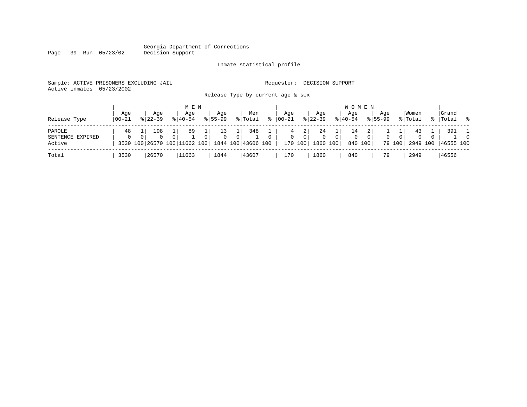#### Georgia Department of Corrections Page 39 Run 05/23/02 Decision Support

#### Inmate statistical profile

|  |                           | Sample: ACTIVE PRISONERS EXCLUDING JAIL |  |                                   |  |  | Requestor: DECISION SUPPORT |  |  |
|--|---------------------------|-----------------------------------------|--|-----------------------------------|--|--|-----------------------------|--|--|
|  | Active inmates 05/23/2002 |                                         |  |                                   |  |  |                             |  |  |
|  |                           |                                         |  | Release Type by current age & sex |  |  |                             |  |  |

| M E N | W O M E N | Age | Age | Age | Age | Men | Age | Age | Age | Age |Women |Grand Release Type  $|00-21 \t s| 22-39 \t s| 40-54 \t s| 55-99 \t s| \ttotal \t s| 00-21 \t s| 22-39 \t s| 40-54 \t s| 55-99 \t s| 55-99 \t s| 55-99 \t s| 55-99 \t s| 55-99 \t s| 55-99 \t s| 55-99 \t s| 55-99 \t s| 55-99 \t s| 55-99 \t s| 55-99 \t s| 55-99 \t s| 55-99 \t s|$ ------------------------------------------------------------------------------------------------------------------------------------PAROLE | 48 1| 198 1| 89 1| 13 1| 348 1 | 4 2| 24 1| 14 2| 1 1| 43 1 | 391 1 SENTENCE EXPIRED | 0 0| 0 0| 1 0| 0 0| 1 0 | 0 0| 0 0| 0 0| 0 0| 0 0 | 1 0 Active | 3530 100 26570 100 11662 100 | 1844 100 | 43606 100 | 170 100 | 1860 100 | 840 100 | 79 100 | 2949 100 | 46555 100 ------------------------------------------------------------------------------------------------------------------------------------Total | 3530 |26570 |11663 | 1844 |43607 | 170 | 1860 | 840 | 79 | 2949 |46556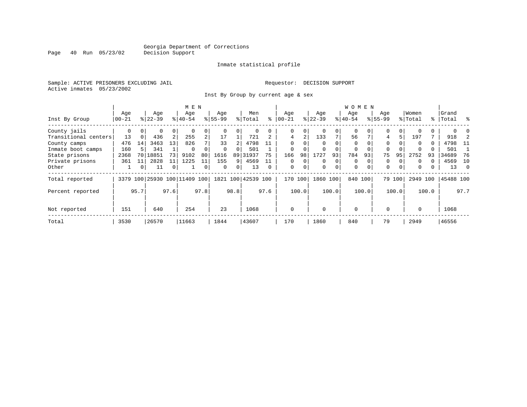Inmate statistical profile

Sample: ACTIVE PRISONERS EXCLUDING JAIL **Requestor: DECISION SUPPORT** Active inmates 05/23/2002

Inst By Group by current age & sex

|                      |           |          |           |                | M E N               |      |             |          |                    |          |             |          |           |          | <b>WOMEN</b> |          |             |          |          |       |           |               |
|----------------------|-----------|----------|-----------|----------------|---------------------|------|-------------|----------|--------------------|----------|-------------|----------|-----------|----------|--------------|----------|-------------|----------|----------|-------|-----------|---------------|
|                      | Age       |          | Age       |                | Age                 |      | Age         |          | Men                |          | Age         |          | Age       |          | Age          |          | Age         |          | Women    |       | Grand     |               |
| Inst By Group        | $00 - 21$ |          | $8 22-39$ |                | $ 40-54 $           |      | $8155 - 99$ |          | % Total            | နွ       | $ 00 - 21 $ |          | $ 22-39 $ |          | $ 40-54$     |          | $8155 - 99$ |          | % Total  |       | %   Total | $\frac{8}{6}$ |
| County jails         | 0         | $\Omega$ | 0         | 0              |                     | 0    |             |          | 0                  |          | 0           | 0        |           | $\Omega$ | $\Omega$     |          | 0           | 0        |          |       |           |               |
| Transitional centers | 13        | 0        | 436       | 2              | 255                 | 2    | 17          |          | 721                |          | 4           | 2        | 133       | 7        | 56           |          | 4           | 5        | 197      |       | 918       |               |
| County camps         | 476       | 14       | 3463      | 13             | 826                 | 7    | 33          |          | 4798               |          | $\Omega$    |          |           |          | $\Omega$     |          | $\Omega$    |          | $\Omega$ | 0     | 4798      | -11           |
| Inmate boot camps    | 160       |          | 341       |                | $\Omega$            |      | $\Omega$    |          | 501                |          | $\mathbf 0$ |          |           |          | 0            |          | $\Omega$    |          |          |       | 501       |               |
| State prisons        | 2368      | 70       | 18851     | 73             | 9102                | 80   | 1616        | 89       | 31937              | 75       | 166         | 98       | 1727      | 93       | 784          | 93       | 75          | 95       | 2752     | 93    | 34689     | 76            |
| Private prisons      | 361       | 11       | 2828      | 11             | 1225                | 11   | 155         | 9        | 4569               |          | $\Omega$    | $\Omega$ | $\Omega$  | $\Omega$ | $\Omega$     |          | $\Omega$    | $\Omega$ | $\Omega$ | 0     | 4569      | 10            |
| Other                | Ŧ.        | 0        | 11        | $\overline{0}$ |                     | 0    | $\Omega$    | $\Omega$ | 13                 | $\Omega$ | $\mathbf 0$ | 0        | $\Omega$  | $\Omega$ | $\mathbf 0$  | $\Omega$ | $\Omega$    | $\Omega$ | $\Omega$ |       | 13        | - 0           |
| Total reported       | 3379      |          |           |                | 100 25930 100 11409 | 100  |             |          | 1821 100 42539 100 |          | 170         | 100      | 1860      | 100      | 840 100      |          |             | 79 100   | 2949 100 |       | 45488 100 |               |
| Percent reported     |           | 95.7     |           | 97.6           |                     | 97.8 |             | 98.8     |                    | 97.6     |             | 100.0    |           | 100.0    |              | 100.0    |             | 100.0    |          | 100.0 |           | 97.7          |
| Not reported         | 151       |          | 640       |                | 254                 |      | 23          |          | 1068               |          | $\Omega$    |          | $\Omega$  |          | $\mathbf 0$  |          | $\Omega$    |          | $\Omega$ |       | 1068      |               |
| Total                | 3530      |          | 26570     |                | 11663               |      | 1844        |          | 43607              |          | 170         |          | 1860      |          | 840          |          | 79          |          | 2949     |       | 46556     |               |

Page 40 Run 05/23/02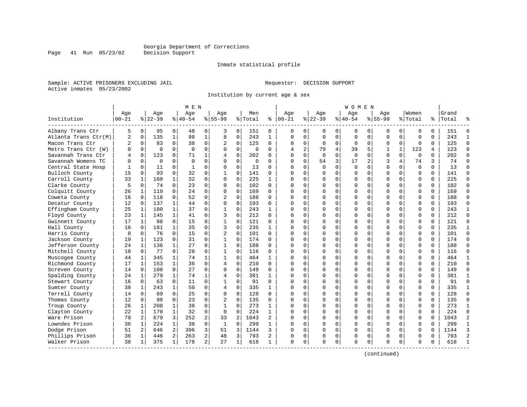Inmate statistical profile

Sample: ACTIVE PRISONERS EXCLUDING JAIL **Requestor: DECISION SUPPORT** Active inmates 05/23/2002

Page 41 Run 05/23/02

Institution by current age & sex

|                      |             |                |          |              | M E N     |                |                |                |          |                |           |                |             |             | W O M E N   |             |              |              |             |          |           |                |
|----------------------|-------------|----------------|----------|--------------|-----------|----------------|----------------|----------------|----------|----------------|-----------|----------------|-------------|-------------|-------------|-------------|--------------|--------------|-------------|----------|-----------|----------------|
|                      | Age         |                | Age      |              | Aqe       |                | Aqe            |                | Men      |                | Age       |                | Aqe         |             | Aqe         |             | Aqe          |              | Women       |          | Grand     |                |
| Institution          | $ 00 - 21 $ |                | $ 22-39$ |              | $8 40-54$ |                | $8155 - 99$    |                | % Total  | ႜ              | $ 00-21$  |                | $ 22-39$    |             | $ 40-54$    |             | $8155 - 99$  |              | % Total     |          | %   Total |                |
| Albany Trans Ctr     | 5           | $\overline{0}$ | 95       | 0            | 48        | 0              | 3              | 0              | 151      | 0              | 0         | 0              | 0           | 0           | 0           | 0           | 0            | 0            | 0           | $\Omega$ | 151       | $\Omega$       |
| Atlanta Trans Ctr(M) | 2           | $\mathbf 0$    | 135      | $\mathbf{1}$ | 98        | $1\,$          | 8              | $\mathbf 0$    | 243      | $\mathbf{1}$   | $\Omega$  | $\mathbf 0$    | 0           | $\mathbf 0$ | 0           | $\mathbf 0$ | 0            | $\mathbf 0$  | $\mathbf 0$ | $\Omega$ | 243       | $\mathbf{1}$   |
| Macon Trans Ctr      | 2           | $\mathbf 0$    | 83       | 0            | 38        | 0              | 2              | 0              | 125      | 0              | $\Omega$  | 0              | $\mathbf 0$ | 0           | $\mathbf 0$ | 0           | 0            | $\mathbf 0$  | $\mathbf 0$ | 0        | 125       | $\Omega$       |
| Metro Trans Ctr (W)  | O           | $\Omega$       | $\Omega$ | $\Omega$     | $\Omega$  | $\Omega$       | $\Omega$       | $\Omega$       | $\Omega$ | $\Omega$       | 4         | $\overline{a}$ | 79          | 4           | 39          | 5           | $\mathbf{1}$ | $\mathbf{1}$ | 123         | 4        | 123       | $\Omega$       |
| Savannah Trans Ctr   | 4           | $\Omega$       | 123      | $\Omega$     | 71        | $\mathbf 1$    | $\overline{4}$ | $\Omega$       | 202      | 0              | $\Omega$  | $\Omega$       | $\Omega$    | $\Omega$    | $\Omega$    | $\Omega$    | $\Omega$     | $\Omega$     | $\Omega$    | $\Omega$ | 202       | $\Omega$       |
| Savannah Womens TC   | U           | $\Omega$       | $\Omega$ | $\Omega$     | $\Omega$  | 0              | $\Omega$       | $\Omega$       | $\Omega$ | $\Omega$       | $\Omega$  | $\Omega$       | 54          | 3           | 17          | 2           | 3            | 4            | 74          | 3        | 74        | $\Omega$       |
| Central State Hosp   |             | $\mathbf 0$    | 11       | 0            | 1         | 0              | 0              | $\mathbf 0$    | 13       | 0              | $\Omega$  | $\mathbf 0$    | $\Omega$    | $\mathbf 0$ | $\mathbf 0$ | $\mathbf 0$ | $\mathbf 0$  | $\Omega$     | $\Omega$    | $\Omega$ | 13        | $\Omega$       |
| Bulloch County       | 15          | $\Omega$       | 93       | $\Omega$     | 32        | 0              |                | $\Omega$       | 141      | 0              | $\Omega$  | $\Omega$       | $\Omega$    | $\Omega$    | $\Omega$    | 0           | $\Omega$     | $\Omega$     | $\mathbf 0$ | $\Omega$ | 141       | $\Omega$       |
| Carroll County       | 33          | 1              | 160      | $\mathbf{1}$ | 32        | 0              | $\Omega$       | $\Omega$       | 225      | $\mathbf{1}$   | $\Omega$  | $\Omega$       | $\Omega$    | $\Omega$    | $\Omega$    | $\Omega$    | $\Omega$     | $\Omega$     | $\Omega$    | $\Omega$ | 225       | $\Omega$       |
| Clarke County        | 5           | $\Omega$       | 74       | $\Omega$     | 23        | 0              | $\Omega$       | $\Omega$       | 102      | $\Omega$       | $\Omega$  | $\Omega$       | $\Omega$    | $\Omega$    | $\Omega$    | 0           | $\Omega$     | $\Omega$     | $\Omega$    | $\Omega$ | 102       | $\Omega$       |
| Colquitt County      | 26          | 1              | 119      | $\Omega$     | 24        | 0              | $\Omega$       | $\Omega$       | 169      | 0              | $\cap$    | $\Omega$       | $\Omega$    | $\Omega$    | $\Omega$    | $\Omega$    | $\cap$       | $\Omega$     | $\Omega$    | $\Omega$ | 169       | $\Omega$       |
| Coweta County        | 16          | $\Omega$       | 118      | $\Omega$     | 52        | $\Omega$       | 2              | $\Omega$       | 188      | 0              | C         | $\Omega$       | $\Omega$    | $\mathbf 0$ | $\Omega$    | $\Omega$    | $\Omega$     | $\Omega$     | $\mathbf 0$ | $\Omega$ | 188       | ∩              |
| Decatur County       | 12          | $\mathbf 0$    | 137      | 1            | 44        | 0              | $\Omega$       | $\mathbf 0$    | 193      | 0              | $\Omega$  | $\mathbf 0$    | $\Omega$    | $\mathbf 0$ | $\Omega$    | 0           | $\Omega$     | $\Omega$     | $\mathbf 0$ | $\Omega$ | 193       | $\Omega$       |
| Effingham County     | 25          | $\mathbf{1}$   | 180      | $\mathbf{1}$ | 37        | $\Omega$       | $\mathbf{1}$   | $\Omega$       | 243      | $\mathbf{1}$   | $\bigcap$ | $\Omega$       | $\Omega$    | $\Omega$    | $\Omega$    | $\Omega$    | $\Omega$     | $\Omega$     | $\Omega$    | $\Omega$ | 243       | $\mathbf{1}$   |
| Floyd County         | 23          | 1              | 145      | $\mathbf{1}$ | 41        | 0              | 3              | $\Omega$       | 212      | $\Omega$       | $\Omega$  | 0              | $\Omega$    | $\mathbf 0$ | $\Omega$    | 0           | $\Omega$     | $\Omega$     | $\mathbf 0$ | $\Omega$ | 212       | $\Omega$       |
| Gwinnett County      | 17          | 1              | 88       | 0            | 15        | 0              |                | 0              | 121      | 0              | n         | $\Omega$       | $\Omega$    | $\Omega$    | $\Omega$    | 0           | $\Omega$     | $\Omega$     | 0           | $\Omega$ | 121       | $\Omega$       |
| Hall County          | 16          | $\Omega$       | 181      | $\mathbf{1}$ | 35        | 0              | 3              | $\Omega$       | 235      | $\mathbf{1}$   | $\cap$    | $\Omega$       | $\Omega$    | $\Omega$    | $\Omega$    | $\Omega$    | $\Omega$     | $\Omega$     | $\Omega$    | $\Omega$ | 235       | 1              |
| Harris County        | 8           | $\Omega$       | 76       | $\Omega$     | 15        | 0              | $\overline{2}$ | $\Omega$       | 101      | $\Omega$       | $\cap$    | $\Omega$       | $\Omega$    | $\Omega$    | $\Omega$    | $\Omega$    | $\Omega$     | $\Omega$     | $\Omega$    | $\Omega$ | 101       | $\Omega$       |
| Jackson County       | 19          | 1              | 123      | $\Omega$     | 31        | 0              | 1              | $\Omega$       | 174      | 0              | $\Omega$  | $\Omega$       | $\Omega$    | $\Omega$    | $\Omega$    | $\Omega$    | $\Omega$     | $\Omega$     | $\Omega$    | $\Omega$ | 174       | $\Omega$       |
| Jefferson County     | 24          | $\mathbf{1}$   | 136      | $\mathbf{1}$ | 27        | $\Omega$       | $\mathbf{1}$   | $\Omega$       | 188      | $\Omega$       | $\cap$    | $\Omega$       | $\Omega$    | $\Omega$    | $\Omega$    | $\Omega$    | $\Omega$     | $\Omega$     | $\Omega$    | $\Omega$ | 188       | $\Omega$       |
| Mitchell County      | 10          | $\mathbf{0}$   | 77       | 0            | 28        | 0              | 1              | $\Omega$       | 116      | 0              | $\Omega$  | 0              | $\Omega$    | 0           | U           | 0           | $\Omega$     | $\Omega$     | $\Omega$    | $\Omega$ | 116       | $\Omega$       |
| Muscogee County      | 44          | 1              | 345      | 1            | 74        | 1              |                | $\Omega$       | 464      | $\mathbf{1}$   | $\Omega$  | $\Omega$       | $\Omega$    | $\Omega$    | $\Omega$    | $\Omega$    | $\Omega$     | $\Omega$     | $\Omega$    | $\Omega$ | 464       | $\mathbf{1}$   |
| Richmond County      | 17          | 1              | 153      | $\mathbf{1}$ | 36        | 0              | $\overline{4}$ | $\Omega$       | 210      | 0              | $\Omega$  | $\Omega$       | $\Omega$    | $\Omega$    | $\Omega$    | $\Omega$    | $\Omega$     | $\Omega$     | $\Omega$    | $\Omega$ | 210       | $\Omega$       |
| Screven County       | 14          | $\Omega$       | 108      | $\Omega$     | 27        | $\Omega$       | $\Omega$       | $\Omega$       | 149      | 0              | $\Omega$  | $\Omega$       | $\Omega$    | $\Omega$    | $\Omega$    | $\Omega$    | $\Omega$     | $\Omega$     | $\Omega$    | $\Omega$ | 149       | $\Omega$       |
| Spalding County      | 24          | 1              | 279      | $\mathbf{1}$ | 74        | 1              | 4              | $\mathbf 0$    | 381      | $\mathbf{1}$   | $\Omega$  | $\Omega$       | $\Omega$    | $\mathbf 0$ | U           | 0           | $\Omega$     | $\Omega$     | $\mathbf 0$ | $\Omega$ | 381       | -1             |
| Stewart County       | 16          | $\Omega$       | 63       | 0            | 11        | $\Omega$       | $\mathbf{1}$   | 0              | 91       | $\Omega$       | $\cap$    | $\mathbf 0$    | $\Omega$    | $\mathbf 0$ | U           | $\mathbf 0$ | $\Omega$     | $\Omega$     | $\mathbf 0$ | $\Omega$ | 91        | $\Omega$       |
| Sumter County        | 38          | 1              | 243      | 1            | 50        | 0              | 4              | 0              | 335      | 1              | $\Omega$  | 0              | $\Omega$    | 0           | $\Omega$    | 0           | $\Omega$     | $\Omega$     | $\Omega$    | $\Omega$ | 335       | $\mathbf{1}$   |
| Terrell County       | 14          | $\Omega$       | 89       | $\Omega$     | 25        | 0              | $\Omega$       | $\Omega$       | 128      | $\Omega$       | $\Omega$  | $\Omega$       | $\Omega$    | $\Omega$    | $\Omega$    | $\Omega$    | $\Omega$     | $\Omega$     | $\Omega$    | $\Omega$ | 128       | $\Omega$       |
| Thomas County        | 12          | $\Omega$       | 98       | 0            | 23        | 0              | 2              | $\Omega$       | 135      | 0              | n         | $\Omega$       | $\Omega$    | $\Omega$    | $\Omega$    | $\mathbf 0$ | $\Omega$     | 0            | $\Omega$    | $\Omega$ | 135       | $\Omega$       |
| Troup County         | 26          | 1              | 208      | 1            | 38        | 0              | 1              | $\Omega$       | 273      | 1              | ∩         | $\Omega$       | $\Omega$    | $\Omega$    | $\Omega$    | $\Omega$    | $\Omega$     | $\Omega$     | $\Omega$    | $\Omega$ | 273       | -1             |
| Clayton County       | 22          | 1              | 170      | 1            | 32        | 0              | 0              | 0              | 224      | $\mathbf{1}$   | $\cap$    | $\Omega$       | $\Omega$    | $\mathbf 0$ | $\Omega$    | 0           | $\Omega$     | $\Omega$     | $\mathbf 0$ | $\Omega$ | 224       | $\Omega$       |
| Ware Prison          | 79          | 2              | 679      | 3            | 252       | 2              | 33             | $\overline{2}$ | 1043     | $\overline{a}$ | $\cap$    | $\Omega$       | $\Omega$    | $\Omega$    | $\Omega$    | $\mathbf 0$ | $\Omega$     | $\Omega$     | $\Omega$    | $\Omega$ | 1043      | $\overline{2}$ |
| Lowndes Prison       | 36          | 1              | 224      | $\mathbf{1}$ | 38        | 0              | $\mathbf{1}$   | 0              | 299      | $\mathbf{1}$   | $\cap$    | $\Omega$       | $\Omega$    | $\Omega$    | $\Omega$    | $\mathbf 0$ | $\Omega$     | $\Omega$     | $\Omega$    | $\Omega$ | 299       | $\mathbf{1}$   |
| Dodge Prison         | 51          | 2              | 646      | 2            | 396       | 3              | 51             | 3              | 1144     | 3              | $\Omega$  | 0              | $\Omega$    | 0           | 0           | $\mathbf 0$ | $\Omega$     | $\Omega$     | $\mathbf 0$ | $\Omega$ | 1144      | 3              |
| Phillips Prison      | 36          | 1              | 446      | 2            | 263       | $\overline{a}$ | 48             | 3              | 793      | 2              | O         | 0              | 0           | 0           | 0           | 0           | $\Omega$     | 0            | 0           | 0        | 793       | $\overline{2}$ |
| Walker Prison        | 38          | 1              | 375      | 1            | 178       | $\overline{a}$ | 27             | 1              | 618      | $\mathbf{1}$   | $\Omega$  | 0              | $\Omega$    | 0           | $\Omega$    | $\mathbf 0$ | $\Omega$     | 0            | $\Omega$    | $\Omega$ | 618       |                |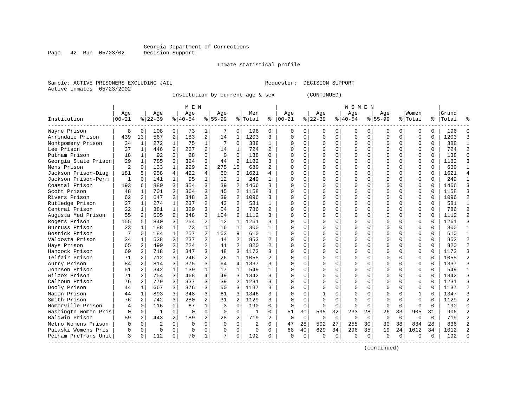### Georgia Department of Corrections<br>Decision Support

Page 42 Run 05/23/02

#### Inmate statistical profile

Sample: ACTIVE PRISONERS EXCLUDING JAIL **Requestor: DECISION SUPPORT** Active inmates 05/23/2002

Institution by current age & sex (CONTINUED)

| M E N | W O M E N

|                      | Age      |    | Age       | Age       | Age       |    | Men     |   | Age       | Age       | Aqe       | Age         | Women   |   | Grand |   |
|----------------------|----------|----|-----------|-----------|-----------|----|---------|---|-----------|-----------|-----------|-------------|---------|---|-------|---|
| Institution          | $ 00-21$ |    | $ 22-39 $ | $ 40-54 $ | $8 55-99$ |    | % Total | ⊱ | $00 - 21$ | $ 22-39 $ | $ 40-54 $ | $8155 - 99$ | % Total | ိ | Total | ႜ |
| Wayne Prison         | 8        |    | 108       | 73        |           |    | 196     |   |           |           |           |             |         |   | 196   |   |
| Arrendale Prison     | 439      | 13 | 567       | 183       | 14        |    | 1203    |   |           |           |           |             |         | 0 | 1203  |   |
| Montgomery Prison    | 34       |    | 272       | 75        |           |    | 388     |   |           |           |           |             |         |   | 388   |   |
| Lee Prison           | 37       |    | 446       | 227       | 14        |    | 724     |   |           |           |           |             |         |   | 724   |   |
| Putnam Prison        | 18       |    | 92        | 28        |           |    | 138     |   |           |           |           |             |         |   | 138   |   |
| Georgia State Prison | 29       |    | 785       | 324       | 44        |    | 1182    |   |           |           |           |             |         |   | 1182  |   |
| Mens Prison          | 2        |    | 133       | 229       | 275       | 15 | 639     |   |           |           |           |             |         |   | 639   |   |
| Jackson Prison-Diag  | 181      |    | 958       | 422       | 60        |    | 1621    |   |           |           |           |             |         |   | 1621  |   |
| Jackson Prison-Perm  |          |    | 141       | 95        |           |    | 249     |   |           |           |           |             |         |   | 249   |   |
| Coastal Prison       | 193      |    | 880       | 354       | 39        |    | 1466    |   |           |           |           |             |         |   | 1466  |   |
| Scott Prison         | 48       |    | 701       | 364       | 45        |    | 1158    |   |           |           |           |             |         |   | 1158  |   |
| Rivers Prison        | 62       |    | 647       | 348       | 39        |    | 1096    |   |           |           |           |             |         |   | 1096  |   |
| Rutledge Prison      | 27       |    | 274       | 237       | 43        |    | 581     |   |           |           |           |             |         |   | 581   |   |
| Central Prison       | 22       |    | 381       | 329       | 54        |    | 786     |   |           |           |           |             |         |   | 786   |   |
| Augusta Med Prison   | 55       |    | 605       | 348       | 104       | 6  | 1112    |   |           |           |           |             |         |   |       |   |

| Scott Prison         | 48  | 701 | 364 | 45  | 1158 |   |    |    |     |          |     |    |    |    |      |    | 1158 |  |
|----------------------|-----|-----|-----|-----|------|---|----|----|-----|----------|-----|----|----|----|------|----|------|--|
| Rivers Prison        | 62  | 647 | 348 | 39  | 1096 |   |    |    |     |          |     |    |    |    |      |    | 1096 |  |
| Rutledge Prison      | 27  | 274 | 237 | 43  | 581  |   |    |    |     |          |     |    |    |    |      |    | 581  |  |
| Central Prison       | 22  | 381 | 329 | 54  | 786  |   |    |    |     |          |     |    |    |    |      |    | 786  |  |
| Augusta Med Prison   | 55  | 605 | 348 | 104 | 1112 |   |    |    |     |          |     |    |    |    |      |    | 1112 |  |
| Rogers Prison        | 155 | 840 | 254 | 12  | 1261 |   |    |    |     |          |     |    |    |    |      |    | 1261 |  |
| Burruss Prison       | 23  | 188 | 73  | 16  | 300  |   |    |    |     |          |     |    |    |    |      |    | 300  |  |
| Bostick Prison       |     | 184 | 257 | 162 | 610  |   |    |    |     |          |     |    |    |    |      |    | 610  |  |
| Valdosta Prison      | 34  | 538 | 237 | 44  | 853  |   |    |    |     |          |     |    |    |    |      |    | 853  |  |
| Hays Prison          | 65  | 490 | 224 | 41  | 820  |   |    |    |     |          |     |    |    |    |      |    | 820  |  |
| Hancock Prison       | 60  | 718 | 347 | 48  | 1173 |   |    |    |     |          |     |    |    |    |      |    | 1173 |  |
| Telfair Prison       | 71  | 712 | 246 | 26  | 1055 |   |    |    |     |          |     |    |    |    |      |    | 1055 |  |
| Autry Prison         | 84  | 814 | 375 | 64  | 1337 |   |    |    |     |          |     |    |    |    |      |    | 1337 |  |
| Johnson Prison       | 51  | 342 | 139 | 17  | 549  |   |    |    |     |          |     |    |    |    |      |    | 549  |  |
| Wilcox Prison        | 71  | 754 | 468 | 49  | 1342 |   |    |    |     |          |     |    |    |    |      |    | 1342 |  |
| Calhoun Prison       | 76  | 779 | 337 | 39  | 1231 |   |    |    |     |          |     |    |    |    |      |    | 1231 |  |
| Dooly Prison         | 44  | 667 | 376 | 50  | 1137 |   |    |    |     |          |     |    |    |    |      |    | 1137 |  |
| Macon Prison         | 44  | 893 | 348 | 61  | 1346 |   |    |    |     |          |     |    |    |    |      |    | 1347 |  |
| Smith Prison         | 76  | 742 | 280 | 31  | 1129 |   |    |    |     |          |     |    |    |    |      |    | 1129 |  |
| Homerville Prison    |     | 116 | 67  |     | 190  | 0 |    |    |     |          |     |    |    |    |      |    | 190  |  |
| Washingtn Women Pris |     |     |     |     |      |   | 51 | 30 | 595 | 32       | 233 | 28 | 26 | 33 | 905  | 31 | 906  |  |
| Baldwin Prison       | 59  | 443 | 189 | 28  | 719  |   |    |    |     | $\Omega$ |     |    |    |    |      |    | 719  |  |
| Metro Womens Prison  |     |     |     | O   |      |   | 47 | 28 | 502 | 27       | 255 | 30 | 30 | 38 | 834  | 28 | 836  |  |
| Pulaski Womens Pris  |     |     |     |     |      |   | 68 | 40 | 629 | 34       | 296 | 35 | 19 | 24 | 1012 | 34 | 1012 |  |
| Pelham PreTrans Unit |     | 112 | 70  |     | 192  |   |    |    |     |          |     |    |    |    |      |    | 192  |  |

------------------------------------------------------------------------------------------------------------------------------------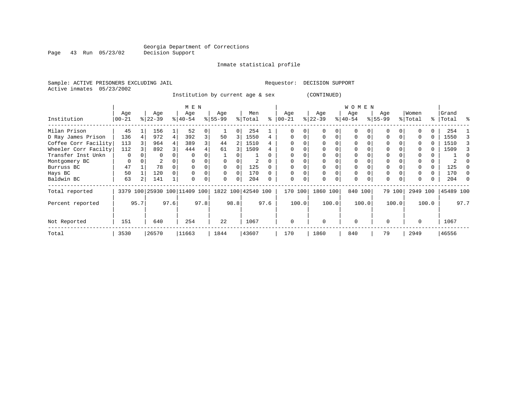Page 43 Run 05/23/02

#### Inmate statistical profile

Active inmates 05/23/2002

Sample: ACTIVE PRISONERS EXCLUDING JAIL **Requestor: DECISION SUPPORT** 

Institution by current age & sex (CONTINUED)

|                      |                  |      |                  |      | M E N                        |      |                  |          |                    |      |                  |       |                  |       | W O M E N        |       |                    |        |                  |          |                    |      |
|----------------------|------------------|------|------------------|------|------------------------------|------|------------------|----------|--------------------|------|------------------|-------|------------------|-------|------------------|-------|--------------------|--------|------------------|----------|--------------------|------|
| Institution          | Age<br>$00 - 21$ |      | Age<br>$ 22-39 $ |      | Age<br>$8 40-54$             |      | Age<br>$8 55-99$ |          | Men<br>% Total     | ⊱    | Age<br>$00 - 21$ |       | Age<br>$ 22-39 $ |       | Age<br>$ 40-54 $ |       | Age<br>$8155 - 99$ |        | Women<br>% Total |          | Grand<br>%   Total | ം ക  |
| Milan Prison         | 45               |      | 156              |      | 52                           |      |                  | 0        | 254                |      |                  |       | $\Omega$         | 0     |                  |       |                    |        |                  |          | 254                |      |
| D Ray James Prison   | 136              |      | 972              | 4    | 392                          | 3    | 50               | 3        | 1550               | 4    |                  |       | $\Omega$         |       |                  |       |                    |        |                  |          | 1550               | 3    |
| Coffee Corr Facility | 113              |      | 964              |      | 389                          |      | 44               |          | 1510               | 4    |                  |       |                  |       |                  |       | 0                  |        | 0                |          | 1510               |      |
| Wheeler Corr Facilty | 112              |      | 892              |      | 444                          |      | 61               | 3        | 1509               |      |                  |       |                  |       |                  |       | 0                  |        | $\Omega$         |          | 1509               | 3    |
| Transfer Inst Unkn   | 0                |      | 0                |      |                              |      |                  |          |                    |      |                  |       |                  |       |                  |       |                    |        |                  |          |                    |      |
| Montgomery BC        | 0                |      | 2                |      |                              |      |                  |          |                    |      |                  |       |                  |       |                  |       | 0                  |        |                  |          |                    |      |
| Burruss BC           | 47               |      | 78               |      |                              |      | $\Omega$         | $\Omega$ | 125                |      |                  |       | $\Omega$         |       |                  |       | 0                  |        | $\Omega$         | $\Omega$ | 125                |      |
| Hays BC              | 50               |      | 120              |      |                              |      | 0                | 0        | 170                |      |                  |       | 0                | 0     |                  |       | 0                  |        |                  | 0        | 170                |      |
| Baldwin BC           | 63               |      | 141              |      | $\Omega$                     |      | $\Omega$         | $\Omega$ | 204                |      |                  | 0     | $\Omega$         | 0     | $\Omega$         |       | 0                  |        | $\Omega$         |          | 204                |      |
| Total reported       |                  |      |                  |      | 3379 100 25930 100 11409 100 |      |                  |          | 1822 100 42540 100 |      | 170 100          |       | 1860 100         |       | 840 100          |       |                    | 79 100 | 2949 100         |          | 45489 100          |      |
| Percent reported     |                  | 95.7 |                  | 97.6 |                              | 97.8 |                  | 98.8     |                    | 97.6 |                  | 100.0 |                  | 100.0 |                  | 100.0 |                    | 100.0  |                  | 100.0    |                    | 97.7 |
| Not Reported         | 151              |      | 640              |      | 254                          |      | 22               |          | 1067               |      | $\Omega$         |       | $\Omega$         |       | $\Omega$         |       | $\Omega$           |        | 0                |          | 1067               |      |
| Total                | 3530             |      | 26570            |      | 11663                        |      | 1844             |          | 43607              |      | 170              |       | 1860             |       | 840              |       | 79                 |        | 2949             |          | 46556              |      |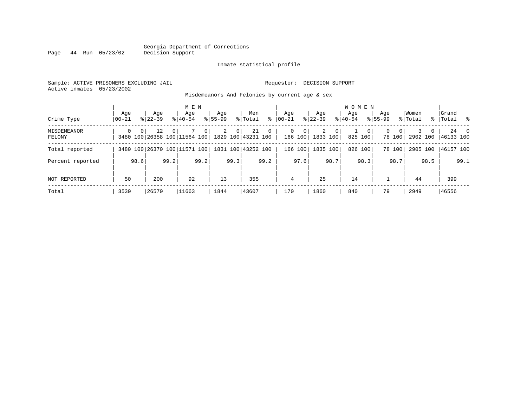#### Georgia Department of Corrections Page 44 Run 05/23/02

#### Inmate statistical profile

Sample: ACTIVE PRISONERS EXCLUDING JAIL Requestor: DECISION SUPPORT Active inmates 05/23/2002

Misdemeanors And Felonies by current age & sex

| Crime Type            | Aqe<br>  00-21 | Age<br>$8122 - 39$                                                      | M E N<br>Age<br>$8140 - 54$    | Age<br>$8155 - 99$               | Men<br>∻<br>% Total  | Aqe<br>$00 - 21$                       | Age<br>$ 22-39 $                | <b>WOMEN</b><br>Aqe<br>$8 40-54$ | Age<br>$8155 - 99$      | Women<br>% Total | Grand<br>%   Total %       |
|-----------------------|----------------|-------------------------------------------------------------------------|--------------------------------|----------------------------------|----------------------|----------------------------------------|---------------------------------|----------------------------------|-------------------------|------------------|----------------------------|
| MISDEMEANOR<br>FELONY | $\Omega$       | 0 <sup>1</sup><br>12<br>3480 100 26358 100 11564 100 1829 100 43231 100 | 0 <sup>1</sup><br>$\mathbf{0}$ | $\overline{2}$<br>0 <sup>1</sup> | 21<br>$\overline{0}$ | $\mathbf{0}$<br>$\mathbf 0$<br>166 100 | 2<br>0 <sup>1</sup><br>1833 100 | - 0 P<br>825 100                 | $\Omega$<br>0<br>78 100 | 0                | 24 0<br>2902 100 46133 100 |
| Total reported        |                | 3480 100 26370 100 11571 100                                            |                                |                                  | 1831 100 43252 100   | 166 100                                | 1835 100                        | 826 100                          | 78 100                  | 2905 100         | 46157 100                  |
| Percent reported      |                | 99.2<br>98.6                                                            | 99.2                           | 99.3                             | 99.2                 | 97.6                                   | 98.7                            | 98.3                             | 98.7                    | 98.5             | 99.1                       |
| NOT REPORTED          | 50             | 200                                                                     | 92                             | 13                               | 355                  | 4                                      | 25                              | 14                               |                         | 44               | 399                        |
| Total                 | 3530           | 26570                                                                   | 11663                          | 1844                             | 43607                | 170                                    | 1860                            | 840                              | 79                      | 2949             | 46556                      |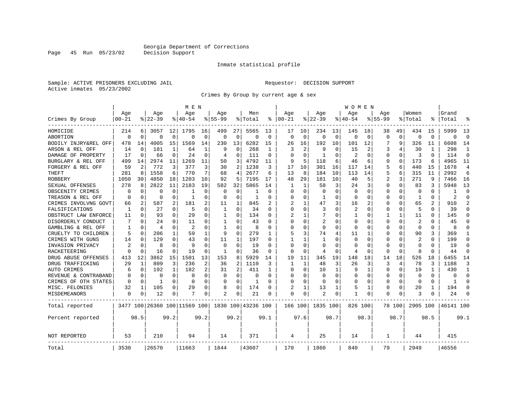Page 45 Run 05/23/02

#### Inmate statistical profile

Sample: ACTIVE PRISONERS EXCLUDING JAIL Requestor: DECISION SUPPORT Active inmates 05/23/2002

Crimes By Group by current age & sex

|                      |             |             |           |              | M E N                        |             |              |                |                    |             |                         |              |              |              | W O M E N      |             |             |          |                |          |           |                |
|----------------------|-------------|-------------|-----------|--------------|------------------------------|-------------|--------------|----------------|--------------------|-------------|-------------------------|--------------|--------------|--------------|----------------|-------------|-------------|----------|----------------|----------|-----------|----------------|
|                      | Age         |             | Age       |              | Age                          |             | Aqe          |                | Men                |             | Aqe                     |              | Aqe          |              | Aqe            |             | Aqe         |          | Women          |          | Grand     |                |
| Crimes By Group      | $00 - 21$   |             | $8 22-39$ |              | % 40-54                      |             | $8155 - 99$  |                | % Total            | ႜ           | $ 00-21$                |              | $ 22-39$     |              | $8140 - 54$    |             | $8155 - 99$ |          | % Total        | ႜ        | Total     |                |
| HOMICIDE             | 214         | 6           | 3057      | 12           | 1795                         | 16          | 499          | 27             | 5565               | 13          | 17                      | 10           | 234          | 13           | 145            | 18          | 38          | 49       | 434            | 15       | 5999      | 13             |
| ABORTION             | $\Omega$    | $\mathbf 0$ | $\Omega$  | $\mathbf 0$  | $\Omega$                     | $\mathbf 0$ | $\Omega$     | $\mathbf 0$    | $\Omega$           | $\mathbf 0$ | $\Omega$                | $\mathbf 0$  | $\Omega$     | $\mathbf 0$  | $\Omega$       | $\mathbf 0$ | $\Omega$    | $\Omega$ | $\mathbf 0$    | $\Omega$ | $\Omega$  | $\Omega$       |
| BODILY INJRY&REL OFF | 478         | 14          | 4005      | 15           | 1569                         | 14          | 230          | 13             | 6282               | 15          | 26                      | 16           | 192          | 10           | 101            | 12          |             | 9        | 326            | 11       | 6608      | 14             |
| ARSON & REL OFF      | 14          | 0           | 181       | 1            | 64                           | 1           | 9            | 0              | 268                | 1           | 3                       | 2            | 9            | 0            | 15             | 2           | 3           | 4        | 30             | 1        | 298       | 1              |
| DAMAGE OF PROPERTY   | 17          | $\mathbf 0$ | 66        | 0            | 24                           | 0           | 4            | 0              | 111                | 0           | $\Omega$                | $\Omega$     | $\mathbf{1}$ | $\Omega$     | $\overline{2}$ | 0           | $\Omega$    | $\Omega$ | 3              | $\Omega$ | 114       | $\Omega$       |
| BURGLARY & REL OFF   | 499         | 14          | 2974      | 11           | 1269                         | 11          | 50           | 3              | 4792               | 11          | 9                       | 5            | 118          | 6            | 46             | 6           | $\Omega$    | 0        | 173            | 6        | 4965      | 11             |
| FORGERY & REL OFF    | 59          | 2           | 772       | 3            | 377                          | 3           | 30           | 2              | 1238               | 3           | 17                      | 10           | 301          | 16           | 117            | 14          | 5           | 6        | 440            | 15       | 1678      | $\overline{4}$ |
| THEFT                | 281         | 8           | 1558      | 6            | 770                          | 7           | 68           | 4              | 2677               | 6           | 13                      | 8            | 184          | 10           | 113            | 14          | 5           | 6        | 315            | 11       | 2992      | 6              |
| ROBBERY              | 1050        | 30          | 4850      | 18           | 1203                         | 10          | 92           | 5              | 7195               | 17          | 48                      | 29           | 181          | 10           | 40             | 5           | 2           | 3        | 271            | 9        | 7466      | 16             |
| SEXUAL OFFENSES      | 278         | 8           | 2822      | 11           | 2183                         | 19          | 582          | 32             | 5865               | 14          |                         | 1            | 58           | 3            | 24             | 3           | $\Omega$    | $\Omega$ | 83             | 3        | 5948      | 13             |
| OBSCENITY CRIMES     | 0           | 0           | 0         | 0            |                              | $\Omega$    | 0            | 0              |                    | $\Omega$    | <sup>0</sup>            | $\Omega$     | $\Omega$     | O            | 0              | 0           | $\Omega$    | $\Omega$ | $\Omega$       | $\Omega$ | -1        | $\Omega$       |
| TREASON & REL OFF    | $\Omega$    | 0           | $\Omega$  | $\Omega$     | 1                            | $\Omega$    | $\Omega$     | $\Omega$       | 1                  | 0           | 0                       | $\Omega$     | 1            | 0            | $\Omega$       | $\Omega$    | $\Omega$    | $\Omega$ | 1              | $\Omega$ | 2         | $\Omega$       |
| CRIMES INVOLVNG GOVT | 66          | 2           | 587       | 2            | 181                          | 2           | 11           | 1              | 845                |             | $\overline{\mathbf{c}}$ | $\mathbf{1}$ | 47           | 3            | 16             | 2           | $\Omega$    | $\Omega$ | 65             |          | 910       | $\mathfrak{D}$ |
| FALSIFICATIONS       | 1           | 0           | 27        | 0            | -5                           | $\Omega$    | 1            | $\Omega$       | 34                 | 0           | $\Omega$                | $\Omega$     | 3            | O            | 2              | 0           | 0           | $\Omega$ | 5              | 0        | 39        | ∩              |
| OBSTRUCT LAW ENFORCE | 11          | 0           | 93        | 0            | 29                           | $\Omega$    | 1            | 0              | 134                | O           | 2                       | 1            | 7            | U            | 1              | 0           | 1           | 1        | 11             | O        | 145       | ∩              |
| DISORDERLY CONDUCT   |             | 0           | 24        | O            | 11                           | 0           |              | $\Omega$       | 43                 | O           | <sup>0</sup>            | 0            | 2            | 0            | $\Omega$       | 0           | $\Omega$    | $\Omega$ | 2              |          | 45        |                |
| GAMBLING & REL OFF   | 1           | $\Omega$    | 4         | 0            | $\mathfrak{D}$               | $\Omega$    | $\mathbf{1}$ | $\Omega$       | 8                  | O           | $\Omega$                | $\Omega$     | $\Omega$     | O            | $\Omega$       | $\Omega$    | $\Omega$    | $\Omega$ | $\Omega$       | $\Omega$ | 8         |                |
| CRUELTY TO CHILDREN  | 5           | 0           | 206       | $\mathbf{1}$ | 59                           | 1           | 9            | $\Omega$       | 279                | 1           | 5                       | 3            | 74           | 4            | 11             | 1           | $\Omega$    | $\Omega$ | 90             | 3        | 369       |                |
| CRIMES WITH GUNS     | 14          | $\mathbf 0$ | 129       | 0            | 43                           | 0           | 11           | 1              | 197                | $\Omega$    |                         | $\mathbf{1}$ | 1            | O            | 0              | $\mathbf 0$ | $\Omega$    | 0        | $\overline{c}$ | $\Omega$ | 199       | $\Omega$       |
| INVASION PRIVACY     | 2           | $\mathbf 0$ | 8         | $\Omega$     | 9                            | $\Omega$    | $\Omega$     | $\mathbf 0$    | 19                 | $\Omega$    | $\Omega$                | $\Omega$     | $\Omega$     | U            | $\Omega$       | 0           | 0           | $\Omega$ | $\Omega$       | $\Omega$ | 19        | $\Omega$       |
| RACKETEERING         | $\Omega$    | 0           | 16        | 0            | 19                           | $\Omega$    | 1            | 0              | 36                 | $\Omega$    | ∩                       | 0            | 4            | 0            | 4              | 0           | $\Omega$    | $\Omega$ | 8              | $\Omega$ | 44        | $\Omega$       |
| DRUG ABUSE OFFENSES  | 413         | 12          | 3862      | 15           | 1501                         | 13          | 153          | 8              | 5929               | 14          | 19                      | 11           | 345          | 19           | 148            | 18          | 14          | 18       | 526            | 18       | 6455      | 14             |
| DRUG TRAFFICKING     | 29          | 1           | 809       | 3            | 236                          | 2           | 36           | $\overline{2}$ | 1110               | 3           | 1                       | $\mathbf{1}$ | 48           | 3            | 26             | 3           | 3           | 4        | 78             | 3        | 1188      | 3              |
| AUTO CRIMES          | 6           | 0           | 192       | 1            | 182                          | 2           | 31           | $\overline{2}$ | 411                | 1           | <sup>0</sup>            | $\Omega$     | 10           | $\mathbf{1}$ | 9              | 1           | $\Omega$    | $\Omega$ | 19             | 1        | 430       | -1             |
| REVENUE & CONTRABAND | 0           | 0           | 0         | 0            | 0                            | 0           | 0            | $\mathbf 0$    | 0                  | $\Omega$    | 0                       | 0            | 0            | 0            | 0              | 0           | $\Omega$    | 0        | $\mathbf 0$    | $\Omega$ | $\Omega$  | $\Omega$       |
| CRIMES OF OTH STATES | 0           | 0           | 1         | $\Omega$     | $\Omega$                     | 0           | $\Omega$     | 0              | 1                  | 0           | $\Omega$                | 0            | 0            | $\Omega$     | $\Omega$       | 0           | 0           | $\Omega$ | 0              | $\Omega$ | 1         | ∩              |
| MISC. FELONIES       | 32          | 1           | 105       | 0            | 29                           | 0           | 8            | 0              | 174                | O           | 2                       | 1            | 13           | 1            | 5              | 1           | 0           | 0        | 20             | 1        | 194       | ∩              |
| <b>MISDEMEANORS</b>  | $\mathbf 0$ | 0           | 12        | 0            |                              | 0           | 2            | 0              | 21                 | 0           | $\Omega$                | 0            | 2            | 0            |                | 0           | $\Omega$    | 0        | 3              | 0        | 24        |                |
| Total reported       |             |             |           |              | 3477 100 26360 100 11569 100 |             |              |                | 1830 100 43236 100 |             | 166 100                 |              | 1835 100     |              | 826 100        |             |             | 78 100   | 2905 100       |          | 46141 100 |                |
| Percent reported     |             | 98.5        |           | 99.2         |                              | 99.2        |              | 99.2           |                    | 99.1        |                         | 97.6         |              | 98.7         |                | 98.3        |             | 98.7     |                | 98.5     |           | 99.1           |
| NOT REPORTED         | 53          |             | 210       |              | 94                           |             | 14           |                | 371                |             | 4                       |              | 25           |              | 14             |             | 1           |          | 44             |          | 415       |                |
| Total                | 3530        |             | 26570     |              | 11663                        |             | 1844         |                | 43607              |             | 170                     |              | 1860         |              | 840            |             | 79          |          | 2949           |          | 46556     |                |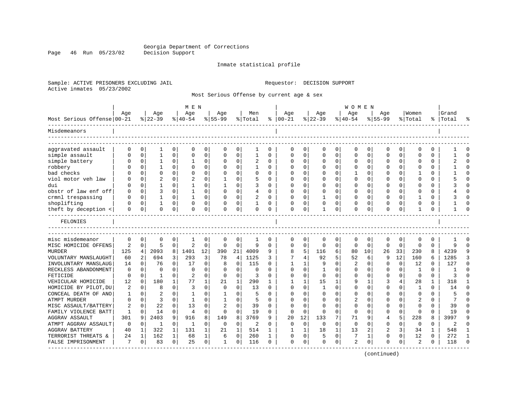Page 46 Run 05/23/02

#### Inmate statistical profile

Sample: ACTIVE PRISONERS EXCLUDING JAIL Requestor: DECISION SUPPORT Active inmates 05/23/2002

Most Serious Offense by current age & sex

|                            |                |             |                |              | M E N          |             |              |             |          |          |              |              |              |             | <b>WOMEN</b> |             |             |             |                |             |           |          |
|----------------------------|----------------|-------------|----------------|--------------|----------------|-------------|--------------|-------------|----------|----------|--------------|--------------|--------------|-------------|--------------|-------------|-------------|-------------|----------------|-------------|-----------|----------|
|                            | Age            |             | Age            |              | Age            |             | Age          |             | Men      |          | Age          |              | Age          |             | Age          |             | Age         |             | Women          |             | Grand     |          |
| Most Serious Offense 00-21 |                |             | $ 22-39$       |              | $ 40-54$       |             | $8 55-99$    |             | % Total  | ⊱        | $ 00-21$     |              | $ 22-39$     |             | $8 40-54$    |             | $8155 - 99$ |             | % Total        |             | %   Total |          |
| Misdemeanors               |                |             |                |              |                |             |              |             |          |          |              |              |              |             |              |             |             |             |                |             |           |          |
| aggravated assault         | $\Omega$       | 0           | 1              | 0            | $\mathbf 0$    | 0           | $\Omega$     | 0           |          | 0        | $\Omega$     | 0            | $\Omega$     | 0           | $\mathbf 0$  | 0           | 0           | 0           | 0              | 0           |           |          |
| simple assault             | $\Omega$       | $\mathbf 0$ | $\mathbf{1}$   | 0            | 0              | 0           | O            | $\mathbf 0$ | 1        | $\Omega$ | $\Omega$     | 0            | $\Omega$     | $\mathbf 0$ | $\Omega$     | 0           | $\Omega$    | 0           | $\Omega$       | $\Omega$    |           | $\Omega$ |
| simple battery             |                | 0           | 1              | 0            |                | $\Omega$    |              | $\Omega$    |          | $\Omega$ | <sup>0</sup> | U            | $\Omega$     | U           | $\Omega$     | 0           | O           | 0           | ∩              | 0           |           | $\cap$   |
| robbery                    |                | $\Omega$    | 1              | $\Omega$     | $\Omega$       | 0           |              | 0           | 1        | $\Omega$ | ∩            | 0            | $\Omega$     | $\Omega$    | $\Omega$     | 0           | O           | $\Omega$    | $\Omega$       | $\Omega$    |           | $\cap$   |
| bad checks                 |                | $\Omega$    | $\Omega$       | $\Omega$     | $\Omega$       | $\Omega$    | O            | $\Omega$    | $\Omega$ | O        |              | $\Omega$     | $\Omega$     | 0           |              | 0           | 0           | $\Omega$    | -1             | O           |           |          |
| viol motor veh law         |                | $\Omega$    | $\overline{a}$ | $\Omega$     |                | $\Omega$    |              | $\Omega$    | 5        | O        |              | $\Omega$     | $\Omega$     | O           | $\Omega$     | $\mathbf 0$ | $\Omega$    | $\Omega$    | $\Omega$       | $\Omega$    |           | $\cap$   |
| dui                        |                | 0           | 1              | $\Omega$     | -1             | 0           |              | 0           | 3        | 0        | ∩            | 0            | $\Omega$     | $\Omega$    | O            | 0           | O           | $\Omega$    | O              | 0           |           | ∩        |
| obstr of law enf off       | $\Omega$       | 0           | 3              | 0            |                | 0           | O            | 0           | 4        | 0        | <sup>0</sup> | 0            | $\Omega$     | 0           | $\Omega$     | 0           | U           | 0           | <sup>0</sup>   | O           |           |          |
| crmnl trespassing          | ∩              | 0           | 1              | U            |                | $\Omega$    | O            | $\Omega$    | 2        | 0        | <sup>0</sup> | 0            | 1            | U           | $\Omega$     | 0           | O           | O           | -1             | $\Omega$    |           |          |
| shoplifting                |                | $\Omega$    | 1              | 0            | $\Omega$       | 0           |              | 0           |          | 0        | <sup>0</sup> | $\Omega$     | $\Omega$     | 0           | $\Omega$     | 0           | $\Omega$    | $\Omega$    | 0              | 0           |           |          |
| theft by deception <       | $\Omega$       | $\mathbf 0$ | $\Omega$       | 0            | $\mathbf 0$    | 0           | $\Omega$     | 0           | $\Omega$ | 0        | $\mathbf 0$  | $\mathbf 0$  | $\mathbf{1}$ | 0           | $\Omega$     | 0           | $\Omega$    | 0           | 1              | 0           |           | ∩        |
| FELONIES                   |                |             |                |              |                |             |              |             |          |          |              |              |              |             |              |             |             |             |                |             |           |          |
| misc misdemeanor           | $\mathbf 0$    | 0           | 0              | 0            | 1              | $\mathbf 0$ | 0            | 0           | 1        | 0        | $\mathbf 0$  | $\mathbf 0$  | $\mathbf 0$  | 0           | $\mathbf 0$  | $\mathbf 0$ | 0           | 0           | $\mathbf 0$    | $\mathbf 0$ |           |          |
| MISC HOMICIDE OFFENS       | $\overline{2}$ | 0           | 5              | $\mathbf 0$  | $\overline{2}$ | $\mathbf 0$ | 0            | $\mathbf 0$ | 9        | $\Omega$ | $\Omega$     | $\mathbf 0$  | 0            | $\mathbf 0$ | 0            | $\mathbf 0$ | $\mathbf 0$ | $\mathbf 0$ | $\mathbf 0$    | $\Omega$    | 9         | $\cap$   |
| <b>MURDER</b>              | 125            | 4           | 2093           | 8            | 1401           | 12          | 390          | 21          | 4009     | 9        |              | 5            | 116          | 6           | 80           | 10          | 26          | 33          | 230            | 8           | 4239      |          |
| VOLUNTARY MANSLAUGHT       | 60             | 2           | 694            | 3            | 293            | 3           | 78           | 4           | 1125     | 3        | 7            | 4            | 92           | 5           | 52           | 6           | 9           | 12          | 160            | 6           | 1285      | 3        |
| INVOLUNTARY MANSLAUG       | 14             | 0           | 76             | 0            | 17             | 0           | 8            | 0           | 115      | O        |              |              | 9            | 0           | 2            | 0           | $\Omega$    | 0           | 12             | $\Omega$    | 127       | $\Omega$ |
| RECKLESS ABANDONMENT       | 0              | $\Omega$    | $\Omega$       | U            | $\Omega$       | $\Omega$    | O            | $\Omega$    | $\Omega$ | U        | $\Omega$     | $\Omega$     | $\mathbf{1}$ | O           | $\Omega$     | $\mathbf 0$ | $\Omega$    | $\Omega$    | 1              | $\Omega$    |           | $\cap$   |
| FETICIDE                   | 0              | $\Omega$    | $\mathbf{1}$   | $\Omega$     | $\overline{2}$ | $\Omega$    | $\Omega$     | $\Omega$    | 3        | O        | <sup>0</sup> | $\Omega$     | $\Omega$     | O           | $\Omega$     | $\Omega$    | $\Omega$    | $\Omega$    | $\Omega$       | $\Omega$    | ζ         |          |
| VEHICULAR HOMICIDE         | 12             | 0           | 180            | $\mathbf{1}$ | 77             | 1           | 21           | $\mathbf 1$ | 290      | 1        |              | $\mathbf{1}$ | 15           | 1           | 9            | 1           | 3           | 4           | 28             | 1           | 318       |          |
| HOMICIDE BY PILOT, DU      | 2              | 0           | 8              | $\Omega$     | 3              | $\Omega$    | 0            | $\Omega$    | 13       | O        | $\Omega$     | $\Omega$     | $\mathbf{1}$ | O           | $\Omega$     | 0           | $\Omega$    | 0           | 1              | $\Omega$    | 14        | ∩        |
| CONCEAL DEATH OF ANO       | 1              | 0           | 2              | $\Omega$     | 1              | 0           | 1            | 0           | 5        | U        | $\cap$       | $\Omega$     | $\Omega$     | O           | $\Omega$     | 0           | U           | $\Omega$    | $\mathbf 0$    | 0           |           | $\cap$   |
| <b>ATMPT MURDER</b>        | $\Omega$       | $\mathbf 0$ | 3              | 0            | 1              | 0           |              | 0           | 5        | O        |              | O            | $\Omega$     | 0           | 2            | 0           | $\Omega$    | $\Omega$    | $\overline{2}$ | O           |           |          |
| MISC ASSAULT/BATTERY       | 2              | $\Omega$    | 22             | O            | 13             | $\Omega$    |              | $\Omega$    | 39       | $\Omega$ | ∩            | $\Omega$     | $\Omega$     | U           | $\Omega$     | $\Omega$    | U           | $\Omega$    | $\Omega$       | $\Omega$    | 39        |          |
| FAMILY VIOLENCE BATT       | 1              | $\Omega$    | 14             | 0            | $\overline{4}$ | $\Omega$    | $\Omega$     | $\Omega$    | 19       | O        | $\Omega$     | $\Omega$     | $\Omega$     | $\Omega$    | $\Omega$     | $\Omega$    | O           | $\Omega$    | $\Omega$       | 0           | 19        | ∩        |
| <b>AGGRAV ASSAULT</b>      | 301            | 9           | 2403           | 9            | 916            | 8           | 149          | 8           | 3769     | 9        | 20           | 12           | 133          | 7           | 71           | 9           | 4           | 5           | 228            | 8           | 3997      | 9        |
| ATMPT AGGRAV ASSAULT       | 0              | 0           | 1              | 0            | 1              | 0           | 0            | 0           | 2        | $\Omega$ | $\Omega$     | $\mathbf 0$  | 0            | 0           | $\mathbf 0$  | $\mathbf 0$ | 0           | 0           | $\mathbf 0$    | $\Omega$    | 2         | $\cap$   |
| <b>AGGRAV BATTERY</b>      | 40             | 1           | 322            | 1            | 131            | 1           | 21           | 1           | 514      | 1        |              | 1            | 18           | $\mathbf 1$ | 13           | 2           | 2           | 3           | 34             | 1           | 548       | -1       |
| TERRORIST THREATS &        | 24             | 1           | 162            | 1            | 68             | 1           | 6            | $\mathbf 0$ | 260      | 1        | <sup>0</sup> | 0            | 5            | 0           | 7            | 1           | $\Omega$    | $\Omega$    | 12             | $\Omega$    | 272       | -1       |
| FALSE IMPRISONMENT         | 7              | $\Omega$    | 83             | $\Omega$     | 25             | $\Omega$    | $\mathbf{1}$ | $\Omega$    | 116      | $\Omega$ | $\Omega$     | $\Omega$     | $\Omega$     | $\Omega$    | 2            | $\Omega$    | $\Omega$    | $\Omega$    | $\overline{c}$ | $\Omega$    | 118       |          |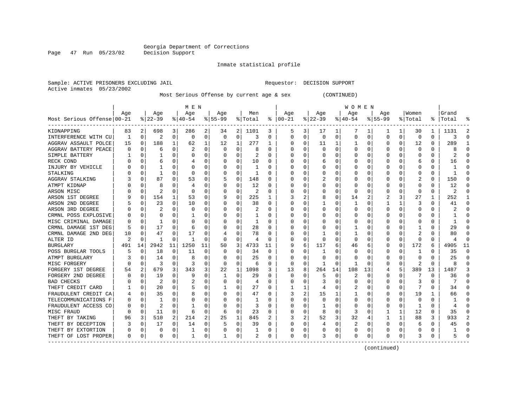Inmate statistical profile

Active inmates 05/23/2002

Sample: ACTIVE PRISONERS EXCLUDING JAIL Requestor: DECISION SUPPORT

Most Serious Offense by current age & sex (CONTINUED)

|                            | M E N |             |          |          |           |    |           |             |         |          |          |   |          |          | W O M E N |          |              |          |         |          |       |              |
|----------------------------|-------|-------------|----------|----------|-----------|----|-----------|-------------|---------|----------|----------|---|----------|----------|-----------|----------|--------------|----------|---------|----------|-------|--------------|
|                            | Age   |             | Age      |          | Age       |    | Age       |             | Men     |          | Age      |   | Age      |          | Age       |          | Age          |          | Women   |          | Grand |              |
| Most Serious Offense 00-21 |       |             | $ 22-39$ |          | $ 40-54 $ |    | $8 55-99$ |             | % Total | ႜ        | $ 00-21$ |   | $ 22-39$ |          | $ 40-54$  |          | $8 55-99$    |          | % Total | ိ        | Total |              |
| KIDNAPPING                 | 83    | 2           | 698      | 3        | 286       | 2  | 34        | 2           | 1101    | 3        | 5        | 3 | 17       | 1        | 7         |          |              | 1        | 30      | 1        | 1131  |              |
| INTERFERENCE WITH CU       | 1     | 0           | 2        | 0        | $\Omega$  | 0  | 0         | 0           | 3       | O        | $\Omega$ | 0 | 0        | 0        | 0         | $\Omega$ | <sup>0</sup> | 0        | 0       | 0        | 3     | C            |
| AGGRAV ASSAULT POLCE       | 15    | 0           | 188      | 1        | 62        | 1  | 12        | 1           | 277     | ı        | $\Omega$ | 0 | 11       | 1        |           | $\Omega$ | 0            | $\Omega$ | 12      | 0        | 289   |              |
| AGGRAV BATTERY PEACE       | O     | $\mathbf 0$ | 6        | $\Omega$ | 2         | O  | O         | $\mathbf 0$ | 8       | O        | C        | O | $\Omega$ | 0        | O         | $\Omega$ |              | $\Omega$ | 0       | 0        | 8     | ſ            |
| SIMPLE BATTERY             |       | 0           |          | O        | 0         | 0  |           | 0           | 2       | O        |          | U |          | $\Omega$ |           | C        |              | U        | C       | 0        | 2     | ſ            |
| RECK COND                  |       | $\Omega$    | 6        | O        |           | 0  |           | 0           | 10      | 0        |          | U | 6        | O        | ი         | C        |              | 0        | 6       | 0        | 16    | ∩            |
| INJURY BY VEHICLE          |       | 0           |          | O        | 0         | 0  |           | 0           | -1      | O        | O        | 0 | O        | 0        | $\Omega$  | C        |              | O        | 0       | 0        |       | O            |
| STALKING                   |       | 0           | 1        | O        | 0         | 0  |           | 0           | -1      | 0        | O        | 0 | 0        | 0        | 0         | 0        |              | O        | 0       | 0        |       | O            |
| AGGRAV STALKING            |       | 0           | 87       |          | 53        | 0  |           | 0           | 148     | 0        |          | 0 |          | 0        | C         | C        |              |          | 2       | 0        | 150   | U            |
| ATMPT KIDNAP               |       | 0           | 8        |          | 4         | 0  |           | $\Omega$    | 12      | N        |          | U | O        | O        | C         | C        |              | U        | O       | U        | 12    |              |
| ARSON MISC                 |       | 0           | 2        | O        | 0         | 0  |           | 0           | 2       | U        |          | 0 | O        | $\Omega$ | 0         | C        |              | O        | O       | 0        | 2     |              |
| ARSON 1ST DEGREE           |       | 0           | 154      | 1        | 53        | 0  |           | 0           | 225     | 1        |          | 2 | 8        | 0        | 14        | 2        | 2            | 3        | 27      | 1        | 252   |              |
| ARSON 2ND DEGREE           |       | 0           | 23       | 0        | 10        | 0  |           | 0           | 38      | 0        |          | 0 |          | $\Omega$ |           | 0        |              | 1        | 3       | 0        | 41    | C            |
| ARSON 3RD DEGREE           |       | $\mathbf 0$ |          | O        | $\Omega$  | 0  |           | $\Omega$    | 2       | O        |          | U | 0        | $\Omega$ | 0         | C        |              | $\Omega$ | O       | 0        |       | ſ            |
| CRMNL POSS EXPLOSIVE       |       | 0           | O        | 0        |           | 0  |           | 0           | -1      | 0        |          | 0 | 0        | O        | 0         | C        |              | 0        |         | 0        |       | ∩            |
| MISC CRIMINAL DAMAGE       | 0     | 0           | 1        | 0        | 0         | 0  |           | 0           | -1      | 0        | C        | 0 | 0        | 0        | 0         | C        |              | O        |         | 0        |       | ∩            |
| CRMNL DAMAGE 1ST DEG       | 5     | 0           | 17       | 0        | 6         | 0  |           | 0           | 28      | 0        | C        | 0 | 0        | $\Omega$ |           | C        |              |          |         | 0        | 29    | <sup>0</sup> |
| CRMNL DAMAGE 2ND DEG       | 10    | 0           | 47       | 0        | 17        | 0  |           | $\Omega$    | 78      | 0        |          | 0 |          | 0        |           | C        |              |          |         | 0        | 80    |              |
| ALTER ID                   | 2     | C           | 1        | O        |           | 0  | $\Omega$  | $\Omega$    | 4       | O        | C        | 0 | $\Omega$ | $\Omega$ | $\Omega$  | C        |              | $\Omega$ | O       | U        |       | C            |
| <b>BURGLARY</b>            | 491   | 14          | 2942     | 11       | 1250      | 11 | 50        | 3           | 4733    | 11       | 9        | 6 | 117      | 6        | 46        | 6        | 0            | 0        | 172     | 6        | 4905  | 11           |
| POSS BURGLAR TOOLS         |       | $\mathbf 0$ | 18       | 0        | 11        | 0  | 0         | 0           | 34      | 0        | 0        | 0 |          | $\Omega$ | C         | C        |              | $\Omega$ | -1      | 0        | 35    | $\Omega$     |
| ATMPT BURGLARY             |       | 0           | 14       | O        | 8         | 0  |           | 0           | 25      | 0        |          | O | O        | $\Omega$ | C         | C        |              | $\Omega$ | O       | U        | 25    | ſ            |
| MISC FORGERY               |       | $\mathbf 0$ | 3        | $\Omega$ | 3         | O  | $\Omega$  | 0           | 6       | $\Omega$ | O        | 0 |          | $\Omega$ |           | C        |              | $\Omega$ | 2       | $\Omega$ | 8     | $\sqrt{ }$   |
| FORGERY 1ST DEGREE         | 54    | 2           | 679      | 3        | 343       | 3  | 22        | 1           | 1098    | 3        | 13       | 8 | 264      | 14       | 108       | 13       |              | 5        | 389     | 13       | 1487  |              |
| FORGERY 2ND DEGREE         | O     | 0           | 19       | O        | 9         | 0  |           | 0           | 29      | O        | 0        | 0 | 5        | $\Omega$ | 2         | C        | O            | O        |         | 0        | 36    | O            |
| <b>BAD CHECKS</b>          |       | 0           | 2        |          | 2         | 0  |           | $\Omega$    | 4       | O        | C        | 0 |          | O        | 0         | C        |              | O        | 3       | U        |       | O            |
| THEFT CREDIT CARD          |       | 0           | 20       | O        | 5         | 0  |           | $\Omega$    | 27      | O        |          |   |          | O        |           | C        |              | O        |         | O        | 34    |              |
| FRAUDULENT CREDIT CA       |       | $\Omega$    | 35       | U        | 8         | 0  |           | $\Omega$    | 47      | O        |          | 2 | 15       |          |           | C        |              | O        | 19      | 1        | 66    |              |
| TELECOMMUNICATIONS F       | N     | $\Omega$    | 1        | U        | O         | 0  |           | $\Omega$    | -1      | O        | 0        | U | O        | $\Omega$ | 0         | C        |              | O        | 0       | 0        |       |              |
| FRAUDULENT ACCESS CO       |       | 0           | 2        | 0        |           | 0  |           | 0           | 3       | O        |          | U |          | O        | C         | C        |              | $\Omega$ |         | U        |       |              |
| MISC FRAUD                 |       | 0           | 11       | 0        | 6         | 0  | 6         | $\mathsf 0$ | 23      | 0        |          | 0 | 8        | $\Omega$ | 3         | C        |              | 1        | 12      | 0        | 35    |              |
| THEFT BY TAKING            | 96    | 3           | 510      | 2        | 214       | 2  | 25        | 1           | 845     |          |          | 2 | 52       | 3        | 32        | 4        |              | 1        | 88      | 3        | 933   |              |
| THEFT BY DECEPTION         |       | 0           | 17       | 0        | 14        | 0  |           | 0           | 39      | O        | C        | 0 | 4        | $\Omega$ | 2         | C        |              | 0        | 6       | 0        | 45    | ∩            |
| THEFT BY EXTORTION         |       | 0           | 0        | 0        |           | 0  |           | 0           |         | 0        | 0        | 0 | 0        | 0        | 0         | 0        |              | 0        | 0       | 0        |       | C            |
| THEFT OF LOST PROPER       | 0     | 0           | 0        | 0        | -1        | 0  |           | 0           | 2       | 0        | $\Omega$ | 0 |          | 0        | 0         | 0        | O            | 0        | 3       | 0        |       |              |

(continued)

Page 47 Run 05/23/02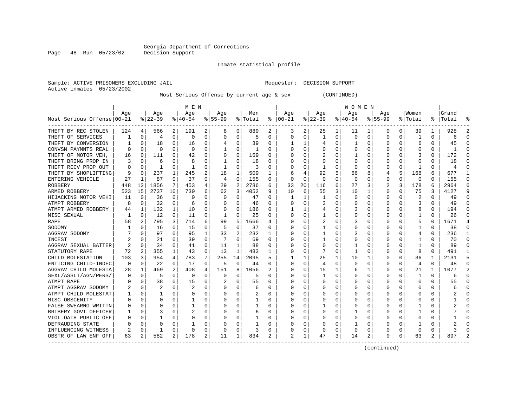Inmate statistical profile

Active inmates 05/23/2002

Sample: ACTIVE PRISONERS EXCLUDING JAIL Requestor: DECISION SUPPORT

Most Serious Offense by current age & sex (CONTINUED)

|                            | M E N |             |          |                |              |   |           |             |         |    |                |          |          |          | W O M E N |          |           |          |              |     |       |          |
|----------------------------|-------|-------------|----------|----------------|--------------|---|-----------|-------------|---------|----|----------------|----------|----------|----------|-----------|----------|-----------|----------|--------------|-----|-------|----------|
|                            | Age   |             | Age      |                | Age          |   | Age       |             | Men     |    | Age            |          | Age      |          | Age       |          | Age       |          | Women        |     | Grand |          |
| Most Serious Offense 00-21 |       |             | $ 22-39$ |                | $8 40-54$    |   | $8 55-99$ |             | % Total | ႜ  | $ 00-21$       |          | $ 22-39$ |          | $ 40-54 $ |          | $8 55-99$ |          | % Total      | % ၂ | Total |          |
| THEFT BY REC STOLEN        | 124   | 4           | 566      | 2              | 191          | 2 | 8         | 0           | 889     | 2  | 3              | 2        | 25       | 1        | 11        |          | $\Omega$  | $\Omega$ | 39           |     | 928   |          |
| THEFT OF SERVICES          |       | $\Omega$    | 4        | 0              | $\Omega$     | 0 |           | 0           | 5       | O  | $\Omega$       | 0        |          | $\Omega$ | 0         | 0        | $\Omega$  | $\Omega$ | 1            | 0   | 6     | C        |
| THEFT BY CONVERSION        |       | $\Omega$    | 18       | 0              | 16           | 0 |           | $\Omega$    | 39      | O  |                | 1        | 4        | O        |           | $\Omega$ | $\Omega$  | $\Omega$ | б            | 0   | 45    |          |
| CONVSN PAYMNTS REAL        | U     | $\Omega$    | $\Omega$ | <sup>0</sup>   | $\Omega$     | 0 |           | $\Omega$    | -1      | O  | $\Omega$       | 0        | O        | O        | Ω         | O        |           | $\Omega$ | C            | 0   |       |          |
| THEFT OF MOTOR VEH,        | 16    | $\mathbf 0$ | 111      | 0              | 42           | 0 | $\Omega$  | $\mathbf 0$ | 169     | 0  | C              | $\Omega$ |          | O        |           | O        |           | $\Omega$ | 3            | 0   | 172   | n        |
| THEFT BRING PROP IN        |       | $\Omega$    | 6        | O              | 8            | 0 |           | $\Omega$    | 18      | O  |                | O        |          | O        | 0         | 0        |           | $\Omega$ | 0            | U   | 18    | $\cap$   |
| THEFT RECV PROP OUT        | U     | $\Omega$    | 1        | $\Omega$       | $\mathbf{1}$ | 0 |           | $\Omega$    | 3       | O  | $\cap$         | $\Omega$ |          | O        | 0         | 0        | $\Omega$  | $\Omega$ | $\mathbf{1}$ | U   | 4     | $\cap$   |
| THEFT BY SHOPLIFTING       | 9     | $\Omega$    | 237      | 1              | 245          | 2 | 18        | 1           | 509     | 1  | 6              | 4        | 92       | 5        | 66        | 8        |           | 5        | 168          | 6   | 677   | -1       |
| ENTERING VEHICLE           | 27    | 1           | 87       | 0              | 37           | 0 | 4         | 0           | 155     | 0  | n              | 0        | 0        | O        | 0         | 0        | 0         | 0        | 0            | 0   | 155   | $\Omega$ |
| ROBBERY                    | 448   | 13          | 1856     | 7              | 453          | 4 | 29        | 2           | 2786    | 6  | 33             | 20       | 116      | 6        | 27        | 3        | 2         | 3        | 178          | 6   | 2964  | 6        |
| ARMED ROBBERY              | 523   | 15          | 2737     | 10             | 730          | 6 | 62        | 3           | 4052    | 9  | 10             | 6        | 55       | 3        | 10        |          | $\Omega$  | O        | 75           | 3   | 4127  | q        |
| HIJACKING MOTOR VEHI       | 11    | $\Omega$    | 36       | 0              | <sup>0</sup> | 0 | O         | $\Omega$    | 47      | O  | -1             | 1        |          | O        | $\Omega$  | O        | $\Omega$  | 0        | 2            | 0   | 49    | ∩        |
| ATMPT ROBBERY              | 8     | $\Omega$    | 32       | 0              | 6            | 0 |           | $\Omega$    | 46      | 0  | $\Omega$       | $\Omega$ |          | O        | 0         | O        | $\Omega$  | $\Omega$ | 3            | 0   | 49    | C        |
| ATMPT ARMED ROBBERY        | 44    | 1           | 132      | 1              | 10           | 0 |           | $\Omega$    | 186     | 0  |                | 1        |          | 0        | 3         | 0        | $\Omega$  | $\Omega$ | 8            | 0   | 194   | n        |
| MISC SEXUAL                |       | $\Omega$    | 12       | $\Omega$       | 11           | 0 |           | $\Omega$    | 25      | O  | C              | $\Omega$ |          | 0        | 0         | 0        | $\Omega$  | $\Omega$ |              | U   | 26    |          |
| <b>RAPE</b>                | 58    | 2           | 795      | 3              | 714          | 6 | 99        | 5           | 1666    | 4  |                | O        |          | $\Omega$ | 3         | O        | $\Omega$  | $\Omega$ | 5            | 0   | 1671  | 4        |
| SODOMY                     |       | $\Omega$    | 16       | $\Omega$       | 15           | 0 | 5         | $\Omega$    | 37      | 0  | $\cap$         | $\Omega$ |          | O        | O         | O        | $\Omega$  | $\Omega$ | -1           | 0   | 38    | $\Omega$ |
| AGGRAV SODOMY              |       | $\Omega$    | 97       | 0              | 95           | 1 | 33        | 2           | 232     | ı  | n              | $\Omega$ |          | O        | 3         | O        | $\Omega$  | $\Omega$ | 4            | 0   | 236   | -1       |
| INCEST                     | 2     | O           | 21       |                | 39           | 0 |           | $\Omega$    | 69      | O  | C              | U        |          | O        | Ω         | O        | $\Omega$  | $\Omega$ |              | U   | 70    | $\cap$   |
| AGGRAV SEXUAL BATTER       |       | $\Omega$    | 34       | <sup>0</sup>   | 41           | O | 11        | 1           | 88      | O  | C              | $\Omega$ | $\Omega$ | O        |           | O        | $\Omega$  | $\Omega$ |              | 0   | 89    |          |
| STATUTORY RAPE             | 72    | 2           | 355      | 1              | 43           | 0 | 13        | 1           | 483     | 1  | C              | 0        |          | O        | 1         | O        | O         | $\Omega$ | 8            | 0   | 491   |          |
| CHILD MOLESTATION          | 103   | 3           | 954      | 4              | 783          | 7 | 255       | 14          | 2095    | 5  |                | 1        | 25       | 1        | 10        |          | ∩         | $\Omega$ | 36           | 1   | 2131  | д        |
| ENTICING CHILD-INDEC       | 0     | 0           | 22       | 0              | 17           | 0 | 5         | 0           | 44      | 0  | 0              | $\Omega$ | 4        | $\Omega$ | 0         | 0        | O         | $\Omega$ | 4            | 0   | 48    | n        |
| AGGRAV CHILD MOLESTA       | 28    | 1           | 469      | $\overline{2}$ | 408          | 4 | 151       | 8           | 1056    | 2  |                | 0        | 15       | 1        | 6         | 1        | 0         | 0        | 21           | 1   | 1077  |          |
| SEXL/ASSLT/AGN/PERS/       | O     | $\Omega$    | 5        | $\Omega$       | $\Omega$     | 0 | O         | 0           | 5       | U  | O              | 0        |          | O        | Ω         | 0        | $\Omega$  | $\Omega$ | $\mathbf{1}$ | 0   | б     | $\cap$   |
| ATMPT RAPE                 | O     | $\Omega$    | 38       | 0              | 15           | 0 |           | 0           | 55      | 0  | n              | 0        | 0        | 0        | 0         | 0        | O         | $\Omega$ | 0            | 0   | 55    | $\Omega$ |
| ATMPT AGGRAV SODOMY        |       | $\Omega$    |          | 0              | 2            | 0 |           | 0           | 6       | 0  | 0              | 0        | 0        | 0        | 0         | 0        | O         | 0        | 0            | 0   | 6     | $\Omega$ |
| ATMPT CHILD MOLESTAT       |       | $\Omega$    |          | 0              | 0            | 0 |           | $\Omega$    | 2       | O  | n              | 0        | O        | O        | 0         | O        | O         | $\Omega$ | O            | U   |       | $\cap$   |
| MISC OBSCENITY             |       | O           | $\Omega$ |                |              | U |           | $\Omega$    |         | O  |                | U        | O        | O        | Ω         | O        | O         |          | ſ            | U   |       |          |
| FALSE SWEARNG WRITTN       | O     | $\Omega$    | ∩        |                |              | U |           | $\Omega$    |         | O  | $\cap$         | $\Omega$ |          | O        | Ω         | O        | $\Omega$  | $\Omega$ |              | U   |       |          |
| BRIBERY GOVT OFFICER       |       | O           |          | <sup>0</sup>   | 2            | O |           | $\Omega$    | 6       | O  | C              | O        | U        | O        |           | O        |           | $\Omega$ |              | 0   |       |          |
| VIOL OATH PUBLIC OFF       | O     | $\Omega$    |          | 0              | $\Omega$     | 0 |           | 0           |         | O  | C              | $\Omega$ | O        | $\Omega$ | Ω         | 0        | O         | $\Omega$ | C            | U   |       |          |
| DEFRAUDING STATE           |       | $\Omega$    | O        | 0              |              | 0 |           | $\mathbf 0$ |         | O  |                | 0        | 0        | 0        |           | 0        |           | $\Omega$ |              | U   |       |          |
| INFLUENCING WITNESS        |       | $\Omega$    |          | O              | $\Omega$     | 0 |           | 0           | 3       | O  |                | 0        | O        | $\Omega$ | Ω         | 0        |           | $\Omega$ |              | U   |       |          |
| OBSTR OF LAW ENF OFF       | 63    | 2           | 582      | 2              | 178          | 2 | 11        | 1           | 834     | 2. | $\overline{a}$ | 1        | 47       | 3        | 14        | 2        | $\Omega$  | 0        | 63           | 2   | 897   |          |

(continued)

Page 48 Run 05/23/02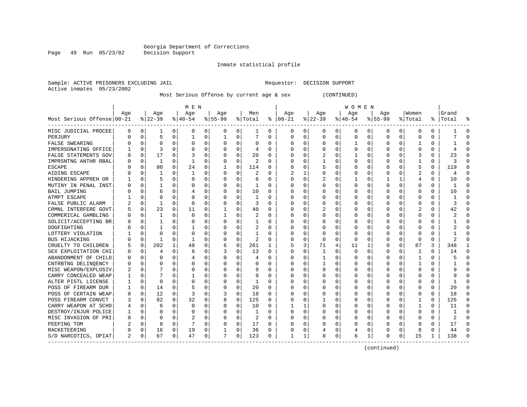Inmate statistical profile

Sample: ACTIVE PRISONERS EXCLUDING JAIL Requestor: DECISION SUPPORT Active inmates 05/23/2002

Most Serious Offense by current age & sex (CONTINUED)

|                            | M E N |          |          |          |              |          |           |             |              |          |          |          |              |          | WOMEN    |   |             |              |         |          |       |              |
|----------------------------|-------|----------|----------|----------|--------------|----------|-----------|-------------|--------------|----------|----------|----------|--------------|----------|----------|---|-------------|--------------|---------|----------|-------|--------------|
|                            | Age   |          | Age      |          | Age          |          | Age       |             | Men          |          | Age      |          | Age          |          | Age      |   | Age         |              | Women   |          | Grand |              |
| Most Serious Offense 00-21 |       |          | $ 22-39$ |          | $8 40-54$    |          | $8 55-99$ |             | % Total      | ႜ        | $ 00-21$ |          | $8$   22-39  |          | $ 40-54$ |   | $8155 - 99$ |              | % Total | ိ        | Total |              |
| MISC JUDICIAL PROCEE       | 0     | 0        | -1       | 0        | 0            | 0        | 0         | 0           | 1            | $\Omega$ | 0        | 0        | 0            | 0        | 0        | 0 | 0           | 0            | 0       | 0        |       | <sup>0</sup> |
| PERJURY                    | U     | O        | 5        | $\Omega$ | 1            | 0        | 1         | $\Omega$    | 7            | U        | C        | $\Omega$ | <sup>0</sup> | $\Omega$ | 0        | 0 | $\Omega$    | $\Omega$     | 0       | 0        |       | ſ            |
| FALSE SWEARING             |       | 0        | $\Omega$ | $\Omega$ | $\Omega$     | 0        | O         | 0           | 0            | U        | C        | $\Omega$ | <sup>0</sup> | $\Omega$ |          | 0 |             | $\Omega$     |         | U        |       | ſ            |
| IMPERSONATING OFFICE       |       | $\Omega$ | 3        | $\Omega$ | O            | 0        |           | 0           | 4            | O        | O        | $\Omega$ |              | $\Omega$ | U        | 0 |             | $\Omega$     | U       | O        |       |              |
| FALSE STATEMENTS GOV       | U     | 0        | 17       | $\Omega$ |              | 0        |           | $\mathbf 0$ | 20           | O        | $\Box$   | 0        | 2            | 0        |          | U |             | $\Omega$     | 3       | O        | 23    | ſ            |
| IMPRSNTNG ANTHR RBAL       |       | 0        | 1        | $\Omega$ | $\mathbf{1}$ | 0        |           | $\mathbf 0$ | 2            | U        |          | 0        |              | $\Omega$ | 0        | U |             | <sup>0</sup> | 1       | 0        | 3     | ſ            |
| <b>ESCAPE</b>              |       | 0        | 80       | $\Omega$ | 24           | 0        |           | 0           | 114          | 0        | C        | 0        |              | $\Omega$ | O        | O | U           | 0            | 5       | 0        | 119   | $\Omega$     |
| AIDING ESCAPE              |       | O        | -1       | O        | 1            | 0        | O         | 0           | 2            | U        | 2        | 1        |              | O        | 0        | O | n           | 0            | 2       | 0        | 4     | $\Omega$     |
| HINDERING APPREH OR        |       | 0        | 5        | O        | 0            | $\Omega$ | O         | $\Omega$    | 6            | U        | C        | 0        |              | $\Omega$ |          | 0 |             | 1            | 4       | 0        | 10    | $\Omega$     |
| MUTINY IN PENAL INST       |       | 0        |          |          | 0            | 0        |           | 0           | 1            | 0        | C        | 0        |              |          | 0        | 0 |             | 0            | 0       | 0        |       | ſ            |
| <b>BAIL JUMPING</b>        |       | O        | 6        |          | 4            | 0        | U         | $\Omega$    | 10           | U        | C        | 0        |              | $\Omega$ | 0        | O |             | U            | 0       | 0        | 10    | $\Omega$     |
| ATMPT ESCAPE               |       | U        | n        | U        | O            | 0        |           | $\Omega$    | 1            | U        | C        | 0        |              | $\Omega$ | 0        | O |             | <sup>0</sup> | U       | 0        |       | ſ            |
| FALSE PUBLIC ALARM         |       | O        | -1       | $\Omega$ | O            | $\Omega$ |           | $\Omega$    | 3            | O        | C        | $\Omega$ |              | $\Omega$ | O        | O |             | 0            | U       | O        | 3     | ∩            |
| CRMNL INTERFERE GOVT       |       | 0        | 23       | $\Omega$ | 11           | 0        |           | 0           | 40           | U        | $\Box$   | 0        | 2            | $\Omega$ | O        | U |             | $\Omega$     | 2       | 0        | 42    | <sup>0</sup> |
| COMMERICAL GAMBLING        |       | 0        | 1        | $\Omega$ | $\Omega$     | 0        |           | $\mathbf 0$ | 2            | O        |          | $\Omega$ |              | $\Omega$ | U        | O |             | <sup>0</sup> | O       | 0        | 2     | ſ            |
| SOLICIT/ACCEPTING BR       |       | O        |          | 0        | 0            | 0        |           | 0           | $\mathbf{1}$ | U        |          | 0        |              | $\Omega$ | O        | O |             | <sup>0</sup> | 0       | 0        |       | ∩            |
| DOGFIGHTING                |       | O        |          | O        |              | 0        |           | 0           | 2            | $\Omega$ | C        | 0        |              | $\Omega$ | 0        | O | n           | 0            | O       | 0        |       | ∩            |
| LOTTERY VIOLATION          |       | 0        |          | O        | O            | 0        |           | 0           | 1            | U        | 0        | 0        |              | $\Omega$ | 0        | O |             | 0            | O       | 0        |       | <sup>0</sup> |
| <b>BUS HIJACKING</b>       |       | 0        | -1       | 0        |              | 0        |           | $\mathbf 0$ | 2            | 0        | C        | 0        |              | $\Omega$ | 0        | 0 |             | 0            | 0       | 0        | 2     |              |
| CRUELTY TO CHILDREN        |       | 0        | 202      | 1        | 48           | 0        | 6         | 0           | 261          | 1        | 5        | 3        | 71           | 4        | 11       | 1 | n           | 0            | 87      | 3        | 348   |              |
| SEX EXPLOITATION CHI       |       | 0        |          | O        | 6            | 0        |           | $\Omega$    | 13           | $\Omega$ | C        | 0        |              | $\Omega$ | 0        | O |             | 0            | -1      | 0        | 14    | ∩            |
| ABANDONMENT OF CHILD       |       | O        |          |          | 4            | 0        |           | $\Omega$    | 4            | O        | C        | $\Omega$ |              | $\Omega$ | O        | O |             | $\Omega$     | -1      | 0        | 5     | ſ            |
| CNTRBTNG DELINQENCY        |       | O        |          | O        | U            | 0        |           | $\Omega$    | 0            | O        | $\Box$   | $\Omega$ |              | $\Omega$ |          | O |             | $\Omega$     |         | O        |       | ſ            |
| MISC WEAPON/EXPLOSIV       |       | N        |          | O        | 0            | 0        |           | 0           | 9            | O        |          | 0        |              | $\Omega$ | Ω        | O |             | O            | 0       | 0        | 9     | ſ            |
| CARRY CONCEALED WEAP       |       | U        |          | O        | 1            | 0        |           | 0           | 9            | O        |          | $\Omega$ |              | $\Omega$ | Ω        | U |             | <sup>0</sup> | Ω       | $\Omega$ |       | $\sqrt{ }$   |
| ALTER PISTL LICENSE        |       | O        | $\Omega$ | 0        | 0            | 0        | O         | 0           | 1            | U        | C        | 0        |              | O        | 0        | O | n           | 0            | 0       | 0        |       | ∩            |
| POSS OF FIREARM DUR        |       | 0        | 14       | 0        | 5            | 0        | O         | 0           | 20           | U        | C        | 0        |              | O        | 0        | O |             | 0            | O       | 0        | 20    | n            |
| POSS OF CERTAIN WEAP       | 0     | 0        | 12       | 0        | 3            | 0        | 3         | 0           | 18           | U        | C        | 0        |              |          | 0        | 0 |             | U            | 0       | 0        | 18    | n            |
| POSS FIREARM CONVCT        |       | 0        | 82       | O        | 32           | $\Omega$ |           | $\mathbf 0$ | 125          | U        |          | 0        |              | $\Omega$ | 0        |   |             |              | 1       | 0        | 126   | ∩            |
| CARRY WEAPON AT SCHO       | 4     | O        | 6        |          | 0            | 0        | U         | $\Omega$    | 10           | U        |          | 1        |              | $\Omega$ | U        | O |             | U            | 1       | 0        | 11    | ∩            |
| DESTROY/INJUR POLICE       |       | O        |          | 0        | 0            | $\Omega$ |           | $\Omega$    | 1            | U        | C        | $\Omega$ |              | $\Omega$ | 0        | O |             | <sup>0</sup> | 0       | 0        |       | ſ            |
| MISC INVASION OF PRI       | N     | O        |          | 0        | 2            | 0        |           | 0           | 2            | U        | C        | $\Omega$ |              | $\Omega$ | Ω        | U |             | 0            | Ω       | O        | 2     | ſ            |
| PEEPING TOM                |       | 0        | 8        | $\Omega$ |              | 0        |           | 0           | 17           | U        | C        | 0        |              | 0        | O        | U |             | $\Omega$     | Ω       | 0        | 17    | ∩            |
| RACKETEERING               |       | 0        | 16       | 0        | 19           | 0        |           | $\mathbf 0$ | 36           | 0        | C        | 0        |              | 0        |          | 0 |             | 0            | 8       | 0        | 44    | ſ            |
| S/D NARCOTICS, OPIAT       | 2     | 0        | 67       | 0        | 47           | 0        | 7         | 0           | 123          | 0        | -1       | 1        | 8            | 0        | 6        | 1 | $\Omega$    | 0            | 15      | 1        | 138   | ſ            |

(continued)

Page 49 Run 05/23/02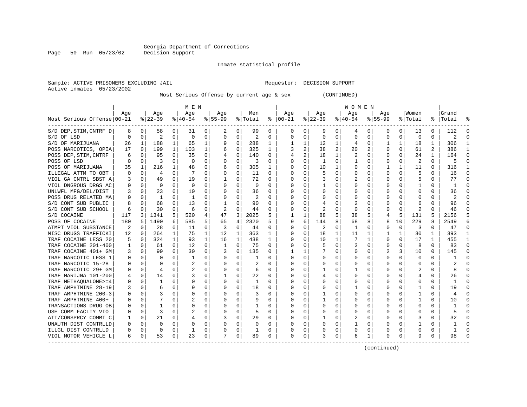Inmate statistical profile

Sample: ACTIVE PRISONERS EXCLUDING JAIL Requestor: DECISION SUPPORT Active inmates 05/23/2002

Most Serious Offense by current age & sex (CONTINUED)

|                            | M E N |          |              |          |           |          |           |                |                |          |          |          |              |                | W O M E N |                  |             |              |         |              |       |              |
|----------------------------|-------|----------|--------------|----------|-----------|----------|-----------|----------------|----------------|----------|----------|----------|--------------|----------------|-----------|------------------|-------------|--------------|---------|--------------|-------|--------------|
|                            | Age   |          | Age          |          | Age       |          | Age       |                | Men            |          | Age      |          | Age          |                | Age       |                  | Age         |              | Women   |              | Grand |              |
| Most Serious Offense 00-21 |       |          | $ 22-39$     |          | $8 40-54$ |          | $8 55-99$ |                | % Total        | ႜ        | $ 00-21$ |          | $8$   22-39  |                | $ 40-54$  |                  | $8155 - 99$ |              | % Total | ႜႂ           | Total |              |
| S/D DEP, STIM, CNTRF D     | 8     | 0        | 58           | 0        | 31        | 0        | 2         | 0              | 99             | 0        | 0        | 0        | 9            | 0              | 4         | 0                | 0           | 0            | 13      | 0            | 112   |              |
| S/D OF LSD                 | 0     | O        | 2            | 0        | 0         | 0        | 0         | 0              | $\overline{2}$ | U        | C        | 0        | $\Omega$     | 0              | 0         | 0                | O           | 0            | 0       | 0            | 2     |              |
| S/D OF MARIJUANA           | 26    | 1        | 188          | 1        | 65        | 1        | 9         | 0              | 288            | 1        |          | 1        | 12           | 1              | 4         | 0                |             | 1            | 18      | 1            | 306   |              |
| POSS NARCOTICS, OPIA       | 17    | $\Omega$ | 199          | 1        | 103       | 1        | 6         | 0              | 325            | 1        | 3        | 2        | 38           | $\overline{2}$ | 20        | 2                |             | $\Omega$     | 61      | 2            | 386   |              |
| POSS DEP, STIM, CNTRF      | 6     | 0        | 95           | $\Omega$ | 35        | 0        |           | 0              | 140            | O        |          | 2        | 18           | 1              | 2         | 0                |             | $\Omega$     | 24      | $\mathbf{1}$ | 164   | Λ            |
| POSS OF LSD                | U     | $\Omega$ | 3            | $\Omega$ | $\Omega$  | $\Omega$ | U         | 0              | 3              | O        |          | $\Omega$ | 1            | $\Omega$       |           | O                |             | $\Omega$     | 2       | $\Omega$     | 5     | $\sqrt{ }$   |
| POSS OF MARIJUANA          | 35    | 1        | 216          | 1        | 48        | 0        | 6         | 0              | 305            | 1        | C        | $\Omega$ | 10           | 1              | U         | O                |             | 1            | 11      | 0            | 316   | -1           |
| ILLEGAL ATTM TO OBT        | O     | 0        | 4            | 0        | 7         | 0        | 0         | 0              | 11             | $\Omega$ | C        | 0        |              | $\Omega$       | 0         | O                | $\Omega$    | 0            | 5       | 0            | 16    | $\Omega$     |
| VIOL GA CNTRL SBST A       | 3     | 0        | 49           | 0        | 19        | 0        |           | 0              | 72             | U        | O        | 0        | 3            | O              | 2         | 0                |             | <sup>0</sup> | 5       | 0            | 77    | $\Omega$     |
| VIOL DNGROUS DRGS AC       | 0     | 0        | $\Omega$     |          | 0         | 0        |           | 0              | 0              | U        | $\Box$   | 0        |              |                | 0         |                  |             |              |         | 0            |       | ſ            |
| UNLWFL MFG/DEL/DIST        |       | O        | 23           | 0        | 10        | 0        |           | 0              | 36             | U        |          | 0        |              | O              | Ω         |                  |             |              | O       | 0            | 36    |              |
| POSS DRUG RELATED MA       | O     | O        | -1           | 0        | -1        | 0        |           | $\Omega$       | 2              | U        | $\Box$   | 0        | O            | ∩              | $^{(1)}$  | U                |             |              | U       | U            | 2     |              |
| S/D CONT SUB PUBLIC        | 8     | O        | 68           | 0        | 13        | 0        |           | 0              | 90             | U        | C        | 0        | 4            | $\Omega$       | 2         |                  |             | <sup>0</sup> | 6       | U            | 96    |              |
| S/D CONT SUB SCHOOL        | 6     | 0        | 30           | 0        | 6         | 0        | 2         | 0              | 44             | 0        |          | 0        | 2            | $\Omega$       | 0         | O                |             | 0            | 2       | 0            | 46    |              |
| S/D COCAINE                | 117   | 3        | 1341         | 5        | 520       | 4        | 47        | $\overline{3}$ | 2025           | 5        |          | 1        | 88           | 5              | 38        | 5                |             | 5            | 131     | 5            | 2156  |              |
| POSS OF COCAINE            | 180   | 5        | 1490         | 6        | 585       | 5        | 65        | 4              | 2320           | 5        | 9        | 6        | 144          | 8              | 68        | 8                |             | 10           | 229     | 8            | 2549  | 6            |
| ATMPT VIOL SUBSTANCE       | 2     | $\Omega$ | 28           | 0        | 11        | 0        | 3         | 0              | 44             | 0        | C        | 0        | 2            | $\Omega$       | -1        | O                | O           | 0            | 3       | 0            | 47    | <sup>0</sup> |
| MISC DRUGS TRAFFICKI       | 12    | 0        | 264          | 1        | 75        | 1        | 12        | 1              | 363            | 1        | 0        | 0        | 18           | 1              | 11        |                  |             | 1            | 30      | 1            | 393   |              |
| TRAF COCAINE LESS 20       | 5     | 0        | 324          | 1        | 93        | 1        | 16        | 1              | 438            | 1        | O        | 0        | 10           | 1              | 7         | 1                |             | 0            | 17      | 1            | 455   |              |
| COCAINE 201-400<br>TRAF    |       | 0        | 61           | $\Omega$ | 12        | 0        | 1         | $\Omega$       | 75             | 0        | C        | 0        |              | $\Omega$       | 3         | O                | O           | 0            | 8       | 0            | 83    | ∩            |
| TRAF COCAINE 401+ GM       | 3     | O        | 99           | $\Omega$ | 30        | 0        | 3         | 0              | 135            | U        |          | 1        |              | $\Omega$       | U         | O                |             | 3            | 10      | $\Omega$     | 145   |              |
| TRAF NARCOTIC LESS 1       | U     | O        | <sup>0</sup> | 0        | -1        | 0        | O         | $\Omega$       | 1              | U        | O        | 0        | 0            | $\Omega$       | O         | U                |             | $\Omega$     | 0       | 0            |       | ſ            |
| TRAF NARCOTIC 15-28        |       | 0        | O            | 0        | 2         | 0        |           | 0              | 2              | U        | O        | 0        |              | 0              | O         | O                |             | 0            | 0       | 0            | 2     |              |
| TRAF NARCOTIC 29+ GM       | 0     | 0        | 4            | 0        |           | 0        |           | 0              | 6              | O        |          | 0        |              | $\Omega$       |           | 0                |             |              |         | 0            | 8     | ſ            |
| TRAF MARIJNA 101-200       | 4     | 0        | 14           | 0        | 3         | 0        |           | 0              | 22             | 0        | C        | 0        |              | $\Omega$       | O         | O                |             | 0            | 4       | 0            | 26    | n            |
| TRAF METHAOUALONE>=4       | 0     | 0        | -1           | 0        | 0         | 0        | O         | 0              | 1              | U        | $\Box$   | 0        |              | 0              | 0         | $\left( \right)$ | O           | 0            | 0       | 0            | -1    | n            |
| TRAF AMPHTMINE 28-19       | 3     | 0        | 6            | O        | 9         | 0        |           | 0              | 18             | U        | O        | 0        |              |                |           |                  |             |              |         | 0            | 19    | n            |
| TRAF AMPHTMINE 200-3       | 0     | 0        |              |          | 0         | 0        |           | 0              | 3              | 0        | C        | 0        |              |                | 0         |                  |             |              |         | 0            |       | C            |
| TRAF AMPHTMINE 400+        | U     | O        |              |          |           | 0        |           | $\Omega$       | 9              | U        | C        | O        |              | $\Omega$       | 0         | O                |             |              |         | 0            | 10    | ſ            |
| TRANSACTIONS DRUG OB       | U     | O        |              |          | O         | 0        |           | $\Omega$       | 1              | U        | C        | 0        | <sup>0</sup> | $\Omega$       | 0         | O                |             | <sup>0</sup> | O       | 0            |       |              |
| USE COMM FACLTY VIO        | 0     | 0        | 3            | 0        |           | 0        |           | $\Omega$       | 5              | U        | 0        | 0        | 0            | $\Omega$       | 0         | 0                |             | 0            | Ω       | 0            | 5     | ſ            |
| ATT/CONSPRCY COMMT C       |       | 0        | 21           | 0        |           | 0        |           | 0              | 29             | 0        | C        | 0        |              | $\Omega$       | 2         | 0                |             | 0            | З       | 0            | 32    | Ω            |
| UNAUTH DIST CONTRLLD       | U     | O        | $\Omega$     | $\Omega$ |           | 0        |           | 0              | $\Omega$       | O        |          | 0        |              | $\Omega$       |           | 0                |             | $\Omega$     |         | 0            |       |              |
| ILLGL DIST CONTRLLD        | N     | 0        | $\Omega$     | 0        | -1        | 0        |           | 0              | 1              | O        | C        | 0        |              | $\Omega$       | 0         | O                |             | 0            |         | 0            | 1     | r            |
| VIOL MOTOR VEHICLE L       | 6     | 0        | 53           | 0        | 23        | 0        | 7         | 0              | 89             | 0        | $\Omega$ | 0        |              | 0              | 6         | 1                | $\Omega$    | 0            | 9       | 0            | 98    |              |

(continued)

Page 50 Run 05/23/02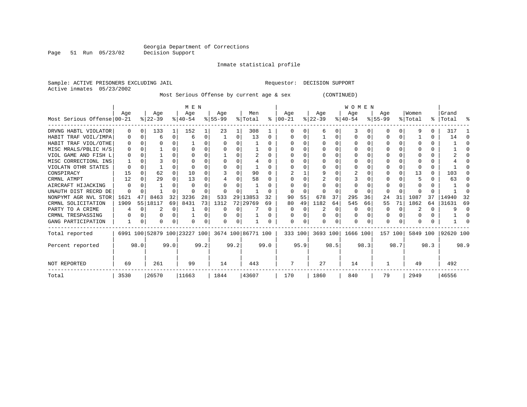Inmate statistical profile

Page 51 Run 05/23/02

|  |                           | Sample: ACTIVE PRISONERS EXCLUDING JAIL |  | Requestor: DECISION SUPPORT |  |
|--|---------------------------|-----------------------------------------|--|-----------------------------|--|
|  | Active inmates 05/23/2002 |                                         |  |                             |  |

Most Serious Offense by current age & sex (CONTINUED)

|                            | M E N        |          |            |          |                              |          |           |      |                    |          |           |          |           |      | <b>WOMEN</b> |          |           |          |          |      |           |              |
|----------------------------|--------------|----------|------------|----------|------------------------------|----------|-----------|------|--------------------|----------|-----------|----------|-----------|------|--------------|----------|-----------|----------|----------|------|-----------|--------------|
|                            | Age          |          | Age        |          | Age                          |          | Aqe       |      | Men                |          | Age       |          | Aqe       |      | Age          |          | Age       |          | Women    |      | Grand     |              |
| Most Serious Offense 00-21 |              |          | $ 22-39 $  |          | $8140 - 54$                  |          | $8 55-99$ |      | % Total            | ∻        | $ 00-21 $ |          | $ 22-39 $ |      | $ 40-54 $    |          | $ 55-99 $ |          | % Total  |      | %   Total | ႜ            |
| DRVNG HABTL VIOLATOR       | $\Omega$     | 0        | 133        |          | 152                          |          | 23        |      | 308                |          |           |          |           |      |              |          |           |          | q        |      | 317       |              |
| HABIT TRAF VOIL/IMPA       | 0            | $\Omega$ | 6          | $\Omega$ | -6                           | 0        |           | 0    | 13                 | $\Omega$ |           |          |           | N    |              | $\Omega$ |           | $\Omega$ |          |      | 14        | <sup>0</sup> |
| HABIT TRAF VIOL/OTHE       | 0            | ∩        |            |          |                              |          | $\Omega$  |      |                    | $\Omega$ |           |          |           |      |              |          |           | U        |          |      |           | U            |
| MISC MRALS/PBLIC H/S       | <sup>0</sup> | $\Omega$ |            |          |                              |          |           |      |                    |          |           |          |           |      |              |          |           |          |          |      |           |              |
| VIOL GAME AND FISH L       |              |          |            |          |                              |          |           |      |                    | $\Omega$ |           |          |           |      |              |          |           | U        |          |      |           |              |
| MISC CORRECTIONL INS       |              |          |            |          |                              |          |           | O    |                    |          |           |          |           |      |              |          |           |          |          |      |           |              |
| VIOLATN OTHR STATES        |              | $\Omega$ |            |          |                              |          |           |      |                    |          |           |          |           |      |              |          |           |          |          |      |           |              |
| CONSPIRACY                 | 15           | $\Omega$ | 62         |          | 10                           |          |           | U    | 90                 |          |           |          | q         |      |              |          |           |          | 13       |      | 103       |              |
| CRMNL ATMPT                | 12           | ∩        | 29         |          | 13                           |          |           |      | 58                 | $\Omega$ |           |          |           |      |              |          |           |          |          |      | 63        |              |
| AIRCRAFT HIJACKING         | ∩            |          |            |          |                              |          |           |      |                    |          |           |          |           |      |              |          |           |          |          |      |           | U            |
| UNAUTH DIST RECRD DE       | $\Omega$     |          |            |          |                              |          |           |      |                    |          |           |          |           |      |              |          |           |          |          |      |           |              |
| NONPYMT AGR NVL STOR       | 1621         | 47       | 8463       | 32       | 3236                         | 28       | 533       | 29   | 13853              | 32       | 90        | 55       | 678       | 37   | 295          | 36       | 24        | 31       | 1087     | 37   | 14940     | 32           |
| CRMNL SOLICITATION         | 1909         |          | 55   18117 | 69       | 8431                         | 73       | 1312      |      | 72 29769           | 69       | 80        | 49       | 1182      | 64   | 545          | 66       | 55        | 71       | 1862     | 64   | 31631     | 69           |
| PARTY TO A CRIME           | 4            | $\Omega$ |            | $\Omega$ |                              | $\Omega$ | 0         | 0    |                    | $\Omega$ |           |          |           | 0    |              | $\Omega$ | O         | $\Omega$ |          |      | 9         | $\Omega$     |
| CRMNL TRESPASSING          |              |          |            | O        |                              | 0        |           | 0    |                    |          |           |          |           |      |              |          | 0         | U        |          |      |           |              |
| GANG PARTICIPATION         |              | 0        | O          | O        | $\Omega$                     | 0        | $\Omega$  | 0    |                    | $\Omega$ | $\Omega$  | $\Omega$ | $\Omega$  | O    | $\Omega$     | $\Omega$ | O         | $\Omega$ | $\Omega$ |      |           |              |
| Total reported             |              |          |            |          | 6991 100 52879 100 23227 100 |          |           |      | 3674 100 86771 100 |          |           | 333 100  | 3693 100  |      | 1666 100     |          |           | 157 100  | 5849 100 |      | 92620 100 |              |
| Percent reported           |              | 98.0     |            | 99.0     |                              | 99.2     |           | 99.2 |                    | 99.0     |           | 95.9     |           | 98.5 |              | 98.3     |           | 98.7     |          | 98.3 |           | 98.9         |
| NOT REPORTED               | 69           |          | 261        |          | 99                           |          | 14        |      | 443                |          | 7         |          | 27        |      | 14           |          |           |          | 49       |      | 492       |              |
| Total                      | 3530         |          | 26570      |          | 11663                        |          | 1844      |      | 43607              |          | 170       |          | 1860      |      | 840          |          | 79        |          | 2949     |      | 46556     |              |